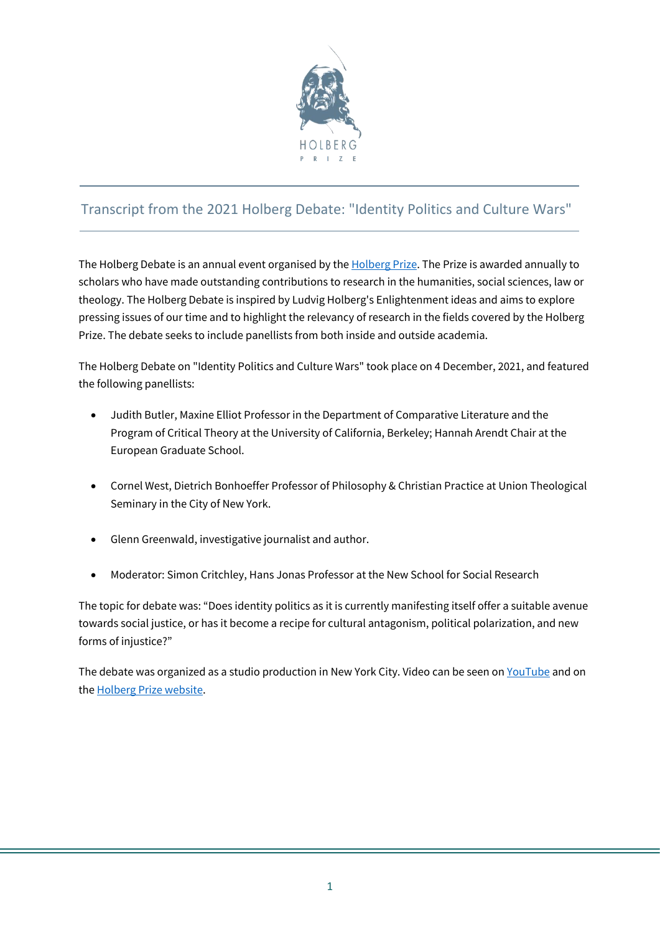

# Transcript from the 2021 Holberg Debate: "Identity Politics and Culture Wars"

The Holberg Debate is an annual event organised by th[e Holberg Prize.](https://holbergprisen.no/en) The Prize is awarded annually to scholars who have made outstanding contributions to research in the humanities, social sciences, law or theology. The Holberg Debate is inspired by Ludvig Holberg's Enlightenment ideas and aims to explore pressing issues of our time and to highlight the relevancy of research in the fields covered by the Holberg Prize. The debate seeks to include panellists from both inside and outside academia.

The Holberg Debate on "Identity Politics and Culture Wars" took place on 4 December, 2021, and featured the following panellists:

- Judith Butler, Maxine Elliot Professor in the Department of Comparative Literature and the Program of Critical Theory at the University of California, Berkeley; Hannah Arendt Chair at the European Graduate School.
- Cornel West, Dietrich Bonhoeffer Professor of Philosophy & Christian Practice at Union Theological Seminary in the City of New York.
- Glenn Greenwald, investigative journalist and author.
- Moderator: Simon Critchley, Hans Jonas Professor at the New School for Social Research

The topic for debate was: "Does identity politics as it is currently manifesting itself offer a suitable avenue towards social justice, or has it become a recipe for cultural antagonism, political polarization, and new forms of injustice?"

The debate was organized as a studio production in New York City. Video can be seen o[n YouTube](https://youtu.be/Sv-TXOfI7vg) and on th[e Holberg Prize website.](https://holbergprisen.no/en/2021-holberg-debate-identity-politics-and-culture-wars)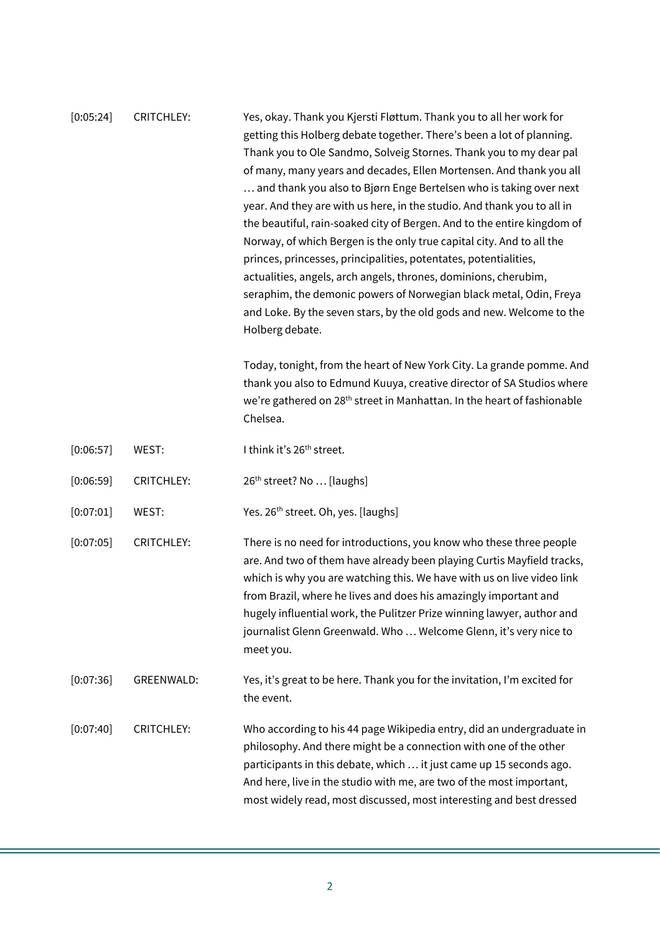[0:05:24] CRITCHLEY: Yes, okay. Thank you Kjersti Fløttum. Thank you to all her work for getting this Holberg debate together. There's been a lot of planning. Thank you to Ole Sandmo, Solveig Stornes. Thank you to my dear pal of many, many years and decades, Ellen Mortensen. And thank you all … and thank you also to Bjørn Enge Bertelsen who is taking over next year. And they are with us here, in the studio. And thank you to all in the beautiful, rain-soaked city of Bergen. And to the entire kingdom of Norway, of which Bergen is the only true capital city. And to all the princes, princesses, principalities, potentates, potentialities, actualities, angels, arch angels, thrones, dominions, cherubim, seraphim, the demonic powers of Norwegian black metal, Odin, Freya and Loke. By the seven stars, by the old gods and new. Welcome to the Holberg debate.

> Today, tonight, from the heart of New York City. La grande pomme. And thank you also to Edmund Kuuya, creative director of SA Studios where we're gathered on 28<sup>th</sup> street in Manhattan. In the heart of fashionable Chelsea.

- $[0:06:57]$  WEST: I think it's  $26<sup>th</sup>$  street.
- [0:06:59] CRITCHLEY: 26<sup>th</sup> street? No ... [laughs]
- [0:07:01] WEST: Yes. 26<sup>th</sup> street. Oh, yes. [laughs]
- [0:07:05] CRITCHLEY: There is no need for introductions, you know who these three people are. And two of them have already been playing Curtis Mayfield tracks, which is why you are watching this. We have with us on live video link from Brazil, where he lives and does his amazingly important and hugely influential work, the Pulitzer Prize winning lawyer, author and journalist Glenn Greenwald. Who … Welcome Glenn, it's very nice to meet you.
- [0:07:36] GREENWALD: Yes, it's great to be here. Thank you for the invitation, I'm excited for the event.
- [0:07:40] CRITCHLEY: Who according to his 44 page Wikipedia entry, did an undergraduate in philosophy. And there might be a connection with one of the other participants in this debate, which … it just came up 15 seconds ago. And here, live in the studio with me, are two of the most important, most widely read, most discussed, most interesting and best dressed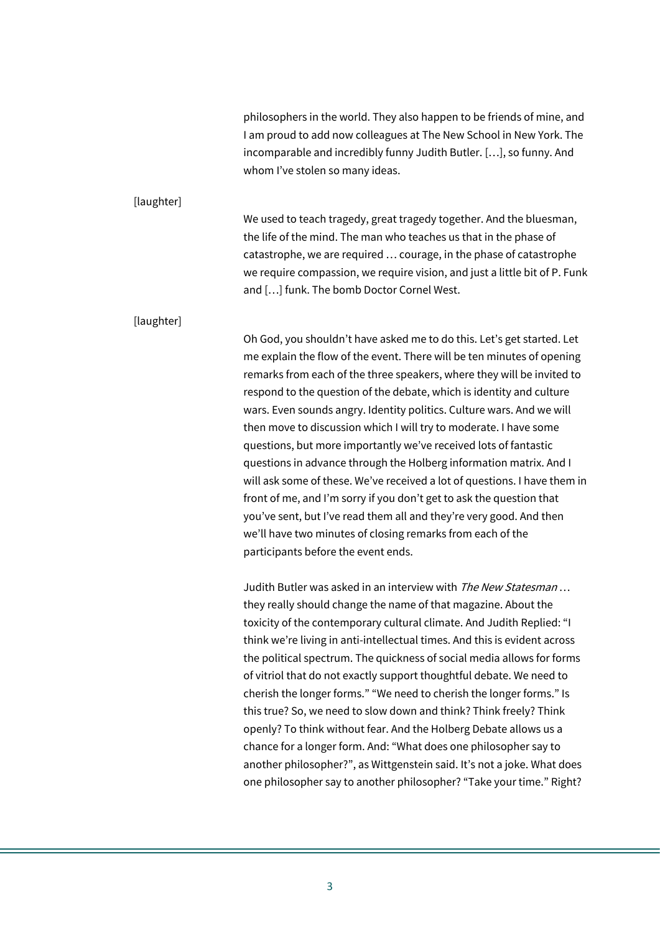|            | philosophers in the world. They also happen to be friends of mine, and<br>I am proud to add now colleagues at The New School in New York. The<br>incomparable and incredibly funny Judith Butler. [], so funny. And<br>whom I've stolen so many ideas.                                                                                                                                                                                                                                                                                                                                                                                                                                                                                                                                                                                                                                                                                                                                                                                                                                                                                                                                                                                                                                                                                                                                                                                                                                                                                                                                                                                                                                                                                                                                                            |
|------------|-------------------------------------------------------------------------------------------------------------------------------------------------------------------------------------------------------------------------------------------------------------------------------------------------------------------------------------------------------------------------------------------------------------------------------------------------------------------------------------------------------------------------------------------------------------------------------------------------------------------------------------------------------------------------------------------------------------------------------------------------------------------------------------------------------------------------------------------------------------------------------------------------------------------------------------------------------------------------------------------------------------------------------------------------------------------------------------------------------------------------------------------------------------------------------------------------------------------------------------------------------------------------------------------------------------------------------------------------------------------------------------------------------------------------------------------------------------------------------------------------------------------------------------------------------------------------------------------------------------------------------------------------------------------------------------------------------------------------------------------------------------------------------------------------------------------|
| [laughter] | We used to teach tragedy, great tragedy together. And the bluesman,<br>the life of the mind. The man who teaches us that in the phase of<br>catastrophe, we are required  courage, in the phase of catastrophe<br>we require compassion, we require vision, and just a little bit of P. Funk<br>and [] funk. The bomb Doctor Cornel West.                                                                                                                                                                                                                                                                                                                                                                                                                                                                                                                                                                                                                                                                                                                                                                                                                                                                                                                                                                                                                                                                                                                                                                                                                                                                                                                                                                                                                                                                         |
| [laughter] | Oh God, you shouldn't have asked me to do this. Let's get started. Let<br>me explain the flow of the event. There will be ten minutes of opening<br>remarks from each of the three speakers, where they will be invited to<br>respond to the question of the debate, which is identity and culture<br>wars. Even sounds angry. Identity politics. Culture wars. And we will<br>then move to discussion which I will try to moderate. I have some<br>questions, but more importantly we've received lots of fantastic<br>questions in advance through the Holberg information matrix. And I<br>will ask some of these. We've received a lot of questions. I have them in<br>front of me, and I'm sorry if you don't get to ask the question that<br>you've sent, but I've read them all and they're very good. And then<br>we'll have two minutes of closing remarks from each of the<br>participants before the event ends.<br>Judith Butler was asked in an interview with The New Statesman<br>they really should change the name of that magazine. About the<br>toxicity of the contemporary cultural climate. And Judith Replied: "I<br>think we're living in anti-intellectual times. And this is evident across<br>the political spectrum. The quickness of social media allows for forms<br>of vitriol that do not exactly support thoughtful debate. We need to<br>cherish the longer forms." "We need to cherish the longer forms." Is<br>this true? So, we need to slow down and think? Think freely? Think<br>openly? To think without fear. And the Holberg Debate allows us a<br>chance for a longer form. And: "What does one philosopher say to<br>another philosopher?", as Wittgenstein said. It's not a joke. What does<br>one philosopher say to another philosopher? "Take your time." Right? |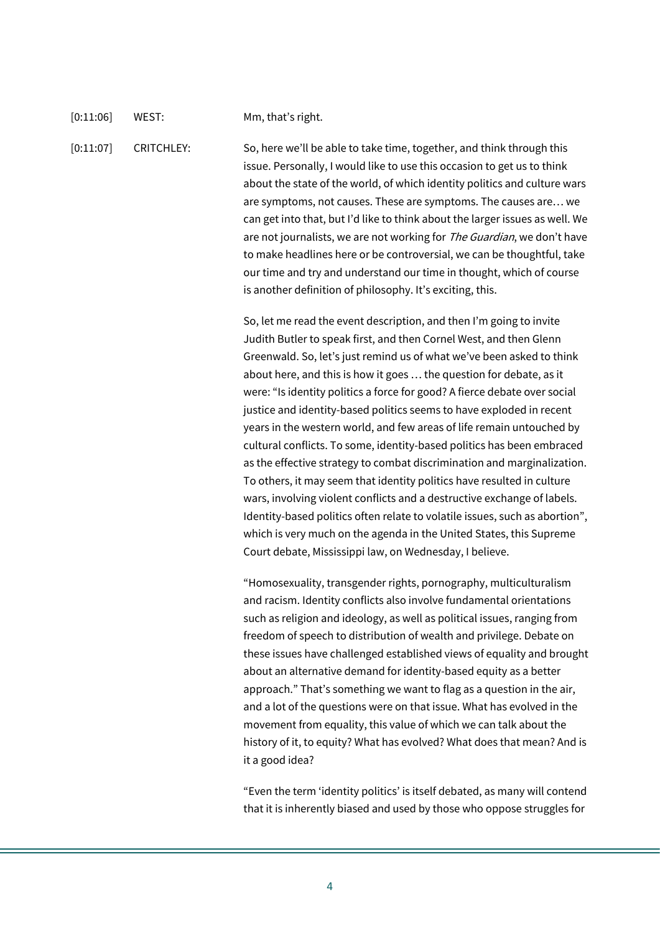### [0:11:06] WEST: Mm, that's right.

[0:11:07] CRITCHLEY: So, here we'll be able to take time, together, and think through this issue. Personally, I would like to use this occasion to get us to think about the state of the world, of which identity politics and culture wars are symptoms, not causes. These are symptoms. The causes are… we can get into that, but I'd like to think about the larger issues as well. We are not journalists, we are not working for The Guardian, we don't have to make headlines here or be controversial, we can be thoughtful, take our time and try and understand our time in thought, which of course is another definition of philosophy. It's exciting, this.

> So, let me read the event description, and then I'm going to invite Judith Butler to speak first, and then Cornel West, and then Glenn Greenwald. So, let's just remind us of what we've been asked to think about here, and this is how it goes … the question for debate, as it were: "Is identity politics a force for good? A fierce debate over social justice and identity-based politics seems to have exploded in recent years in the western world, and few areas of life remain untouched by cultural conflicts. To some, identity-based politics has been embraced as the effective strategy to combat discrimination and marginalization. To others, it may seem that identity politics have resulted in culture wars, involving violent conflicts and a destructive exchange of labels. Identity-based politics often relate to volatile issues, such as abortion", which is very much on the agenda in the United States, this Supreme Court debate, Mississippi law, on Wednesday, I believe.

> "Homosexuality, transgender rights, pornography, multiculturalism and racism. Identity conflicts also involve fundamental orientations such as religion and ideology, as well as political issues, ranging from freedom of speech to distribution of wealth and privilege. Debate on these issues have challenged established views of equality and brought about an alternative demand for identity-based equity as a better approach." That's something we want to flag as a question in the air, and a lot of the questions were on that issue. What has evolved in the movement from equality, this value of which we can talk about the history of it, to equity? What has evolved? What does that mean? And is it a good idea?

> "Even the term 'identity politics' is itself debated, as many will contend that it is inherently biased and used by those who oppose struggles for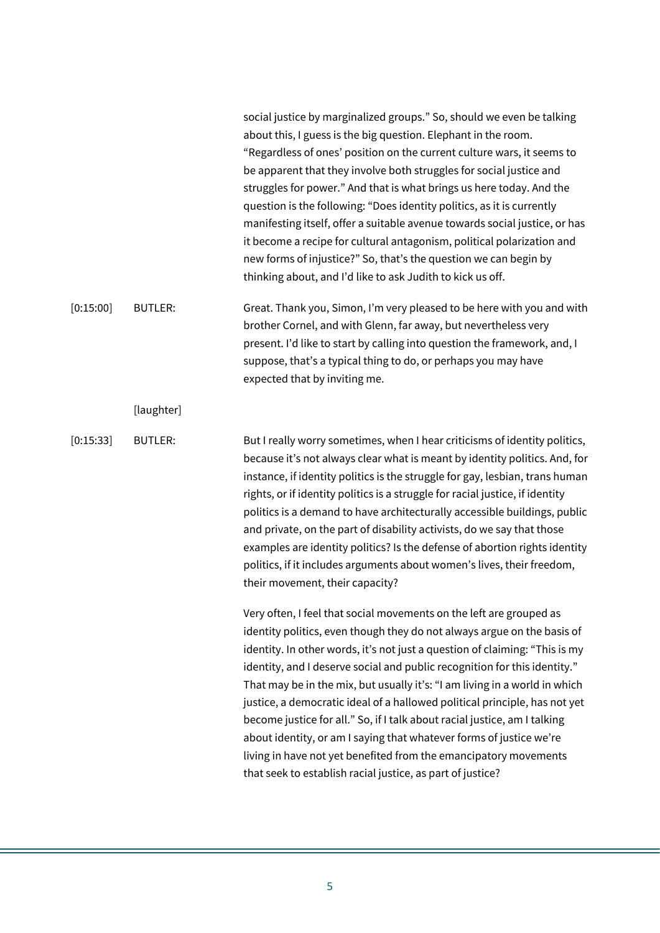|           |                | social justice by marginalized groups." So, should we even be talking<br>about this, I guess is the big question. Elephant in the room.<br>"Regardless of ones' position on the current culture wars, it seems to<br>be apparent that they involve both struggles for social justice and<br>struggles for power." And that is what brings us here today. And the<br>question is the following: "Does identity politics, as it is currently<br>manifesting itself, offer a suitable avenue towards social justice, or has<br>it become a recipe for cultural antagonism, political polarization and<br>new forms of injustice?" So, that's the question we can begin by<br>thinking about, and I'd like to ask Judith to kick us off.                         |
|-----------|----------------|--------------------------------------------------------------------------------------------------------------------------------------------------------------------------------------------------------------------------------------------------------------------------------------------------------------------------------------------------------------------------------------------------------------------------------------------------------------------------------------------------------------------------------------------------------------------------------------------------------------------------------------------------------------------------------------------------------------------------------------------------------------|
| [0:15:00] | <b>BUTLER:</b> | Great. Thank you, Simon, I'm very pleased to be here with you and with<br>brother Cornel, and with Glenn, far away, but nevertheless very<br>present. I'd like to start by calling into question the framework, and, I<br>suppose, that's a typical thing to do, or perhaps you may have<br>expected that by inviting me.                                                                                                                                                                                                                                                                                                                                                                                                                                    |
|           | [laughter]     |                                                                                                                                                                                                                                                                                                                                                                                                                                                                                                                                                                                                                                                                                                                                                              |
| [0:15:33] | <b>BUTLER:</b> | But I really worry sometimes, when I hear criticisms of identity politics,<br>because it's not always clear what is meant by identity politics. And, for<br>instance, if identity politics is the struggle for gay, lesbian, trans human<br>rights, or if identity politics is a struggle for racial justice, if identity<br>politics is a demand to have architecturally accessible buildings, public<br>and private, on the part of disability activists, do we say that those<br>examples are identity politics? Is the defense of abortion rights identity<br>politics, if it includes arguments about women's lives, their freedom,<br>their movement, their capacity?                                                                                  |
|           |                | Very often, I feel that social movements on the left are grouped as<br>identity politics, even though they do not always argue on the basis of<br>identity. In other words, it's not just a question of claiming: "This is my<br>identity, and I deserve social and public recognition for this identity."<br>That may be in the mix, but usually it's: "I am living in a world in which<br>justice, a democratic ideal of a hallowed political principle, has not yet<br>become justice for all." So, if I talk about racial justice, am I talking<br>about identity, or am I saying that whatever forms of justice we're<br>living in have not yet benefited from the emancipatory movements<br>that seek to establish racial justice, as part of justice? |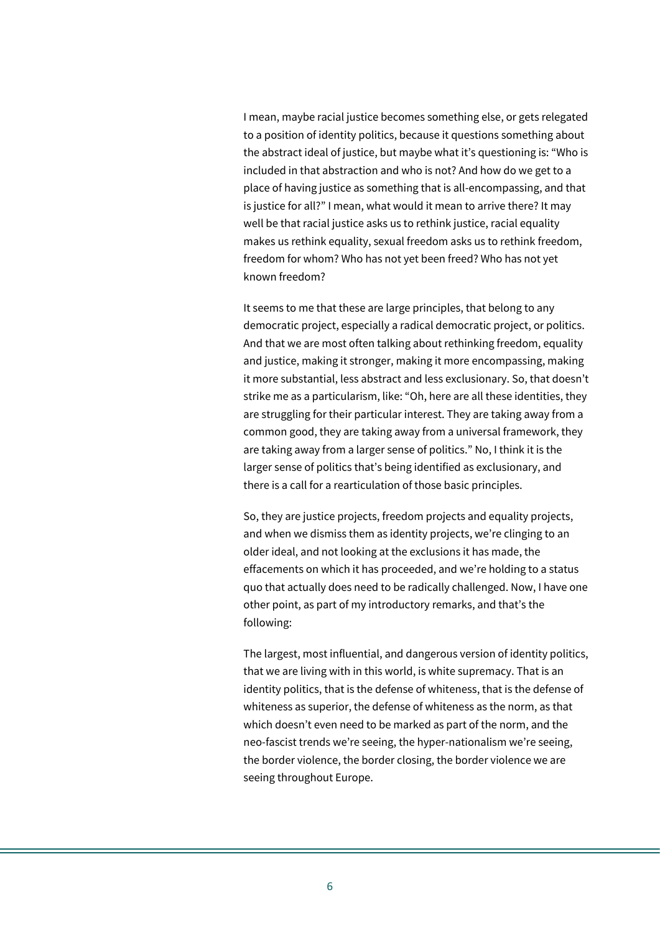I mean, maybe racial justice becomes something else, or gets relegated to a position of identity politics, because it questions something about the abstract ideal of justice, but maybe what it's questioning is: "Who is included in that abstraction and who is not? And how do we get to a place of having justice as something that is all-encompassing, and that is justice for all?" I mean, what would it mean to arrive there? It may well be that racial justice asks us to rethink justice, racial equality makes us rethink equality, sexual freedom asks us to rethink freedom, freedom for whom? Who has not yet been freed? Who has not yet known freedom?

It seems to me that these are large principles, that belong to any democratic project, especially a radical democratic project, or politics. And that we are most often talking about rethinking freedom, equality and justice, making it stronger, making it more encompassing, making it more substantial, less abstract and less exclusionary. So, that doesn't strike me as a particularism, like: "Oh, here are all these identities, they are struggling for their particular interest. They are taking away from a common good, they are taking away from a universal framework, they are taking away from a larger sense of politics." No, I think it is the larger sense of politics that's being identified as exclusionary, and there is a call for a rearticulation of those basic principles.

So, they are justice projects, freedom projects and equality projects, and when we dismiss them as identity projects, we're clinging to an older ideal, and not looking at the exclusions it has made, the effacements on which it has proceeded, and we're holding to a status quo that actually does need to be radically challenged. Now, I have one other point, as part of my introductory remarks, and that's the following:

The largest, most influential, and dangerous version of identity politics, that we are living with in this world, is white supremacy. That is an identity politics, that is the defense of whiteness, that is the defense of whiteness as superior, the defense of whiteness as the norm, as that which doesn't even need to be marked as part of the norm, and the neo-fascist trends we're seeing, the hyper-nationalism we're seeing, the border violence, the border closing, the border violence we are seeing throughout Europe.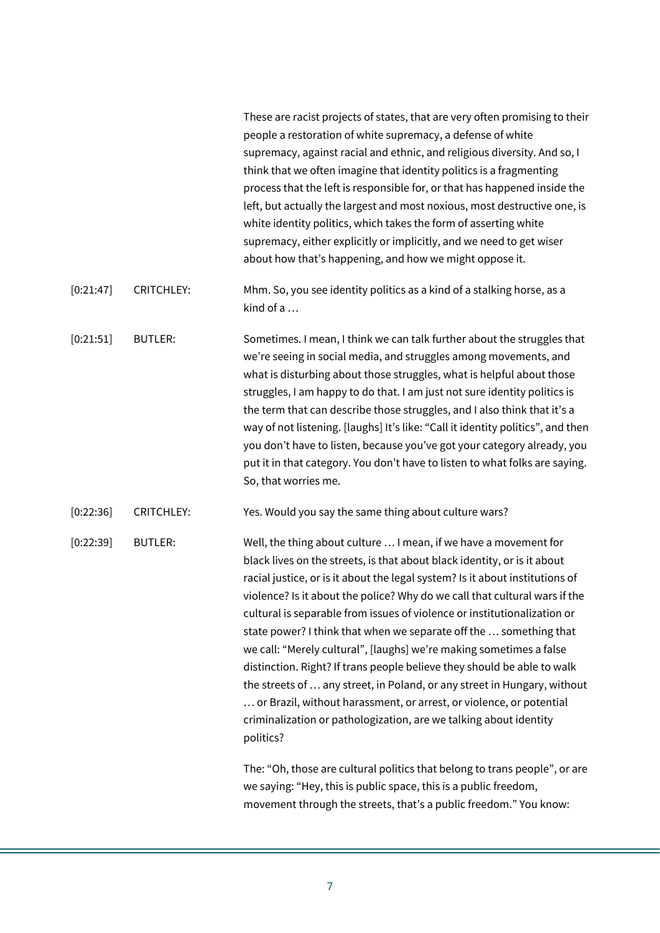|           |                   | These are racist projects of states, that are very often promising to their<br>people a restoration of white supremacy, a defense of white<br>supremacy, against racial and ethnic, and religious diversity. And so, I<br>think that we often imagine that identity politics is a fragmenting<br>process that the left is responsible for, or that has happened inside the<br>left, but actually the largest and most noxious, most destructive one, is<br>white identity politics, which takes the form of asserting white<br>supremacy, either explicitly or implicitly, and we need to get wiser<br>about how that's happening, and how we might oppose it.                                                                                                                                                                                      |
|-----------|-------------------|-----------------------------------------------------------------------------------------------------------------------------------------------------------------------------------------------------------------------------------------------------------------------------------------------------------------------------------------------------------------------------------------------------------------------------------------------------------------------------------------------------------------------------------------------------------------------------------------------------------------------------------------------------------------------------------------------------------------------------------------------------------------------------------------------------------------------------------------------------|
| [0:21:47] | <b>CRITCHLEY:</b> | Mhm. So, you see identity politics as a kind of a stalking horse, as a<br>kind of a                                                                                                                                                                                                                                                                                                                                                                                                                                                                                                                                                                                                                                                                                                                                                                 |
| [0:21:51] | <b>BUTLER:</b>    | Sometimes. I mean, I think we can talk further about the struggles that<br>we're seeing in social media, and struggles among movements, and<br>what is disturbing about those struggles, what is helpful about those<br>struggles, I am happy to do that. I am just not sure identity politics is<br>the term that can describe those struggles, and I also think that it's a<br>way of not listening. [laughs] It's like: "Call it identity politics", and then<br>you don't have to listen, because you've got your category already, you<br>put it in that category. You don't have to listen to what folks are saying.<br>So, that worries me.                                                                                                                                                                                                  |
| [0:22:36] | <b>CRITCHLEY:</b> | Yes. Would you say the same thing about culture wars?                                                                                                                                                                                                                                                                                                                                                                                                                                                                                                                                                                                                                                                                                                                                                                                               |
| [0:22:39] | <b>BUTLER:</b>    | Well, the thing about culture  I mean, if we have a movement for<br>black lives on the streets, is that about black identity, or is it about<br>racial justice, or is it about the legal system? Is it about institutions of<br>violence? Is it about the police? Why do we call that cultural wars if the<br>cultural is separable from issues of violence or institutionalization or<br>state power? I think that when we separate off the  something that<br>we call: "Merely cultural", [laughs] we're making sometimes a false<br>distinction. Right? If trans people believe they should be able to walk<br>the streets of  any street, in Poland, or any street in Hungary, without<br>or Brazil, without harassment, or arrest, or violence, or potential<br>criminalization or pathologization, are we talking about identity<br>politics? |
|           |                   | The: "Oh, those are cultural politics that belong to trans people", or are<br>we saying: "Hey, this is public space, this is a public freedom,<br>movement through the streets, that's a public freedom." You know:                                                                                                                                                                                                                                                                                                                                                                                                                                                                                                                                                                                                                                 |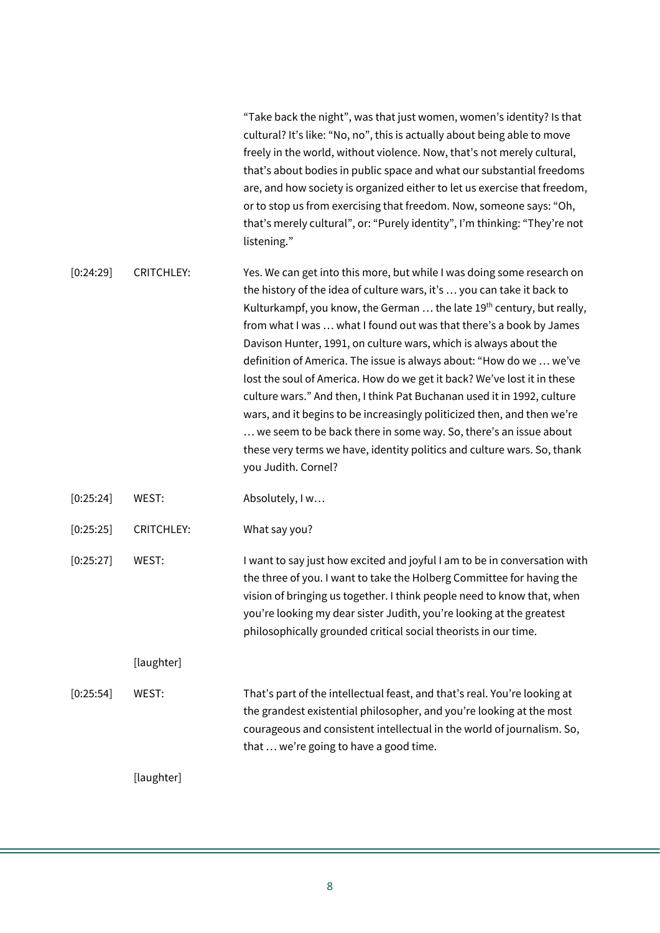"Take back the night", was that just women, women's identity? Is that cultural? It's like: "No, no", this is actually about being able to move freely in the world, without violence. Now, that's not merely cultural, that's about bodies in public space and what our substantial freedoms are, and how society is organized either to let us exercise that freedom, or to stop us from exercising that freedom. Now, someone says: "Oh, that's merely cultural", or: "Purely identity", I'm thinking: "They're not listening."

[0:24:29] CRITCHLEY: Yes. We can get into this more, but while I was doing some research on the history of the idea of culture wars, it's … you can take it back to Kulturkampf, you know, the German ... the late 19<sup>th</sup> century, but really, from what I was … what I found out was that there's a book by James Davison Hunter, 1991, on culture wars, which is always about the definition of America. The issue is always about: "How do we … we've lost the soul of America. How do we get it back? We've lost it in these culture wars." And then, I think Pat Buchanan used it in 1992, culture wars, and it begins to be increasingly politicized then, and then we're … we seem to be back there in some way. So, there's an issue about these very terms we have, identity politics and culture wars. So, thank you Judith. Cornel?

[0:25:24] WEST: Absolutely, I w…

[0:25:25] CRITCHLEY: What say you?

[0:25:27] WEST: I want to say just how excited and joyful I am to be in conversation with the three of you. I want to take the Holberg Committee for having the vision of bringing us together. I think people need to know that, when you're looking my dear sister Judith, you're looking at the greatest philosophically grounded critical social theorists in our time.

[laughter]

[0:25:54] WEST: That's part of the intellectual feast, and that's real. You're looking at the grandest existential philosopher, and you're looking at the most courageous and consistent intellectual in the world of journalism. So, that … we're going to have a good time.

[laughter]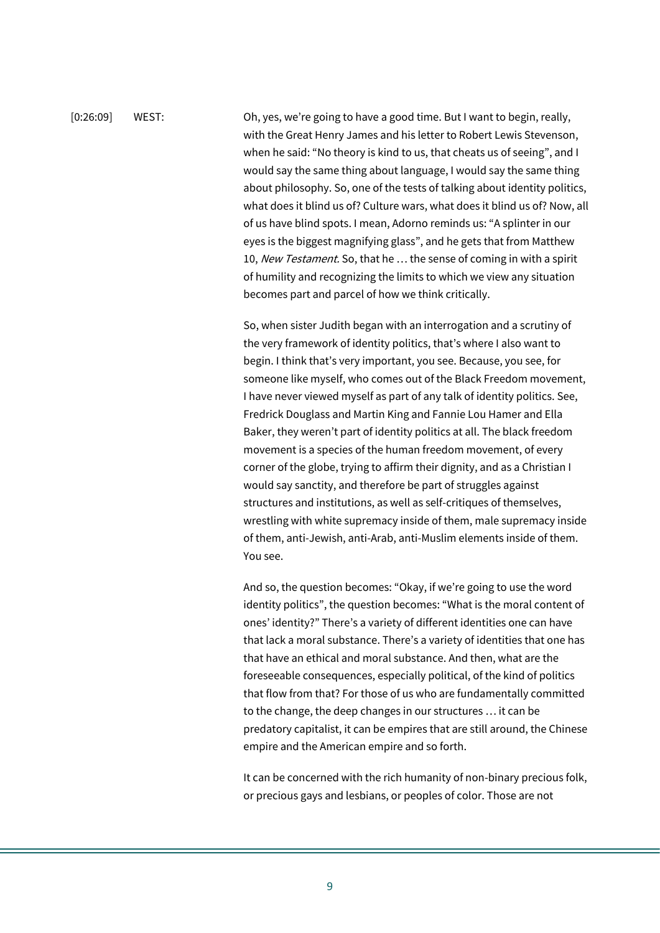[0:26:09] WEST: Oh, yes, we're going to have a good time. But I want to begin, really, with the Great Henry James and his letter to Robert Lewis Stevenson, when he said: "No theory is kind to us, that cheats us of seeing", and I would say the same thing about language, I would say the same thing about philosophy. So, one of the tests of talking about identity politics, what does it blind us of? Culture wars, what does it blind us of? Now, all of us have blind spots. I mean, Adorno reminds us: "A splinter in our eyes is the biggest magnifying glass", and he gets that from Matthew 10, New Testament. So, that he ... the sense of coming in with a spirit of humility and recognizing the limits to which we view any situation becomes part and parcel of how we think critically.

> So, when sister Judith began with an interrogation and a scrutiny of the very framework of identity politics, that's where I also want to begin. I think that's very important, you see. Because, you see, for someone like myself, who comes out of the Black Freedom movement, I have never viewed myself as part of any talk of identity politics. See, Fredrick Douglass and Martin King and Fannie Lou Hamer and Ella Baker, they weren't part of identity politics at all. The black freedom movement is a species of the human freedom movement, of every corner of the globe, trying to affirm their dignity, and as a Christian I would say sanctity, and therefore be part of struggles against structures and institutions, as well as self-critiques of themselves, wrestling with white supremacy inside of them, male supremacy inside of them, anti-Jewish, anti-Arab, anti-Muslim elements inside of them. You see.

> And so, the question becomes: "Okay, if we're going to use the word identity politics", the question becomes: "What is the moral content of ones' identity?" There's a variety of different identities one can have that lack a moral substance. There's a variety of identities that one has that have an ethical and moral substance. And then, what are the foreseeable consequences, especially political, of the kind of politics that flow from that? For those of us who are fundamentally committed to the change, the deep changes in our structures … it can be predatory capitalist, it can be empires that are still around, the Chinese empire and the American empire and so forth.

> It can be concerned with the rich humanity of non-binary precious folk, or precious gays and lesbians, or peoples of color. Those are not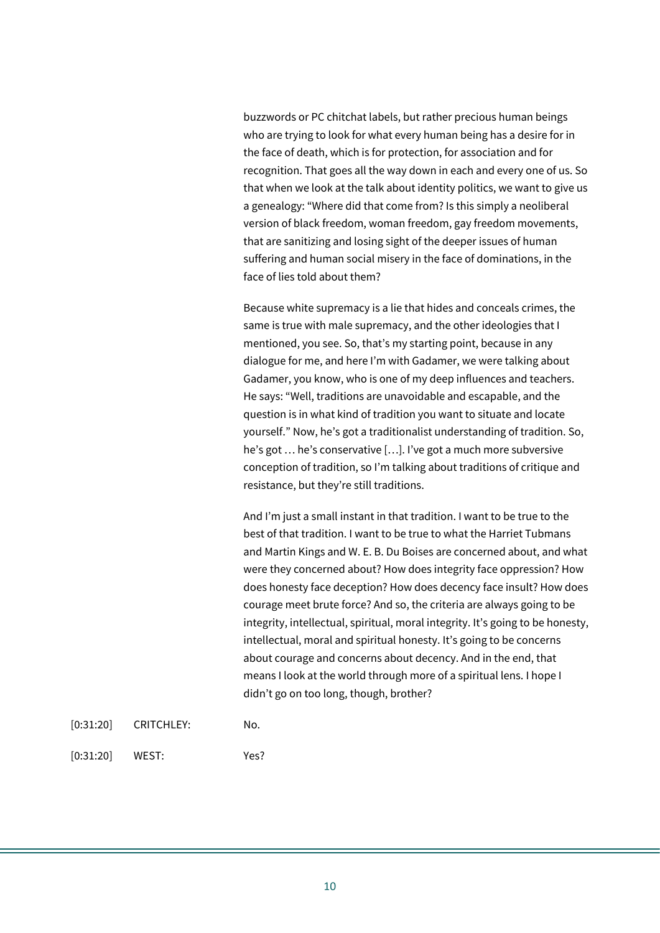buzzwords or PC chitchat labels, but rather precious human beings who are trying to look for what every human being has a desire for in the face of death, which is for protection, for association and for recognition. That goes all the way down in each and every one of us. So that when we look at the talk about identity politics, we want to give us a genealogy: "Where did that come from? Is this simply a neoliberal version of black freedom, woman freedom, gay freedom movements, that are sanitizing and losing sight of the deeper issues of human suffering and human social misery in the face of dominations, in the face of lies told about them?

Because white supremacy is a lie that hides and conceals crimes, the same is true with male supremacy, and the other ideologies that I mentioned, you see. So, that's my starting point, because in any dialogue for me, and here I'm with Gadamer, we were talking about Gadamer, you know, who is one of my deep influences and teachers. He says: "Well, traditions are unavoidable and escapable, and the question is in what kind of tradition you want to situate and locate yourself." Now, he's got a traditionalist understanding of tradition. So, he's got … he's conservative […]. I've got a much more subversive conception of tradition, so I'm talking about traditions of critique and resistance, but they're still traditions.

And I'm just a small instant in that tradition. I want to be true to the best of that tradition. I want to be true to what the Harriet Tubmans and Martin Kings and W. E. B. Du Boises are concerned about, and what were they concerned about? How does integrity face oppression? How does honesty face deception? How does decency face insult? How does courage meet brute force? And so, the criteria are always going to be integrity, intellectual, spiritual, moral integrity. It's going to be honesty, intellectual, moral and spiritual honesty. It's going to be concerns about courage and concerns about decency. And in the end, that means I look at the world through more of a spiritual lens. I hope I didn't go on too long, though, brother?

| [0:31:20] | <b>CRITCHLEY:</b> | No. |
|-----------|-------------------|-----|
|           |                   |     |

[0:31:20] WEST: Yes?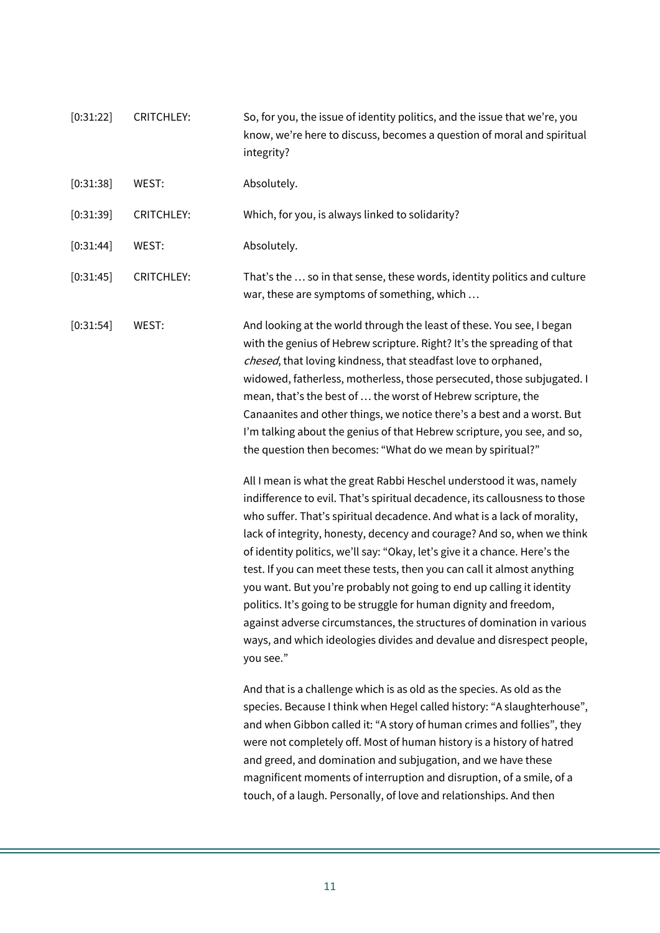| [0:31:22] | <b>CRITCHLEY:</b> | So, for you, the issue of identity politics, and the issue that we're, you<br>know, we're here to discuss, becomes a question of moral and spiritual<br>integrity?                                                                                                                                                                                                                                                                                                                                                                                                                                                                                                                                      |
|-----------|-------------------|---------------------------------------------------------------------------------------------------------------------------------------------------------------------------------------------------------------------------------------------------------------------------------------------------------------------------------------------------------------------------------------------------------------------------------------------------------------------------------------------------------------------------------------------------------------------------------------------------------------------------------------------------------------------------------------------------------|
| [0:31:38] | WEST:             | Absolutely.                                                                                                                                                                                                                                                                                                                                                                                                                                                                                                                                                                                                                                                                                             |
| [0:31:39] | <b>CRITCHLEY:</b> | Which, for you, is always linked to solidarity?                                                                                                                                                                                                                                                                                                                                                                                                                                                                                                                                                                                                                                                         |
| [0:31:44] | WEST:             | Absolutely.                                                                                                                                                                                                                                                                                                                                                                                                                                                                                                                                                                                                                                                                                             |
| [0:31:45] | <b>CRITCHLEY:</b> | That's the  so in that sense, these words, identity politics and culture<br>war, these are symptoms of something, which                                                                                                                                                                                                                                                                                                                                                                                                                                                                                                                                                                                 |
| [0:31:54] | WEST:             | And looking at the world through the least of these. You see, I began<br>with the genius of Hebrew scripture. Right? It's the spreading of that<br>chesed, that loving kindness, that steadfast love to orphaned,<br>widowed, fatherless, motherless, those persecuted, those subjugated. I<br>mean, that's the best of  the worst of Hebrew scripture, the<br>Canaanites and other things, we notice there's a best and a worst. But<br>I'm talking about the genius of that Hebrew scripture, you see, and so,<br>the question then becomes: "What do we mean by spiritual?"<br>All I mean is what the great Rabbi Heschel understood it was, namely                                                  |
|           |                   | indifference to evil. That's spiritual decadence, its callousness to those<br>who suffer. That's spiritual decadence. And what is a lack of morality,<br>lack of integrity, honesty, decency and courage? And so, when we think<br>of identity politics, we'll say: "Okay, let's give it a chance. Here's the<br>test. If you can meet these tests, then you can call it almost anything<br>you want. But you're probably not going to end up calling it identity<br>politics. It's going to be struggle for human dignity and freedom,<br>against adverse circumstances, the structures of domination in various<br>ways, and which ideologies divides and devalue and disrespect people,<br>you see." |
|           |                   | And that is a challenge which is as old as the species. As old as the<br>species. Because I think when Hegel called history: "A slaughterhouse",<br>and when Gibbon called it: "A story of human crimes and follies", they<br>were not completely off. Most of human history is a history of hatred<br>and greed, and domination and subjugation, and we have these<br>magnificent moments of interruption and disruption, of a smile, of a<br>touch, of a laugh. Personally, of love and relationships. And then                                                                                                                                                                                       |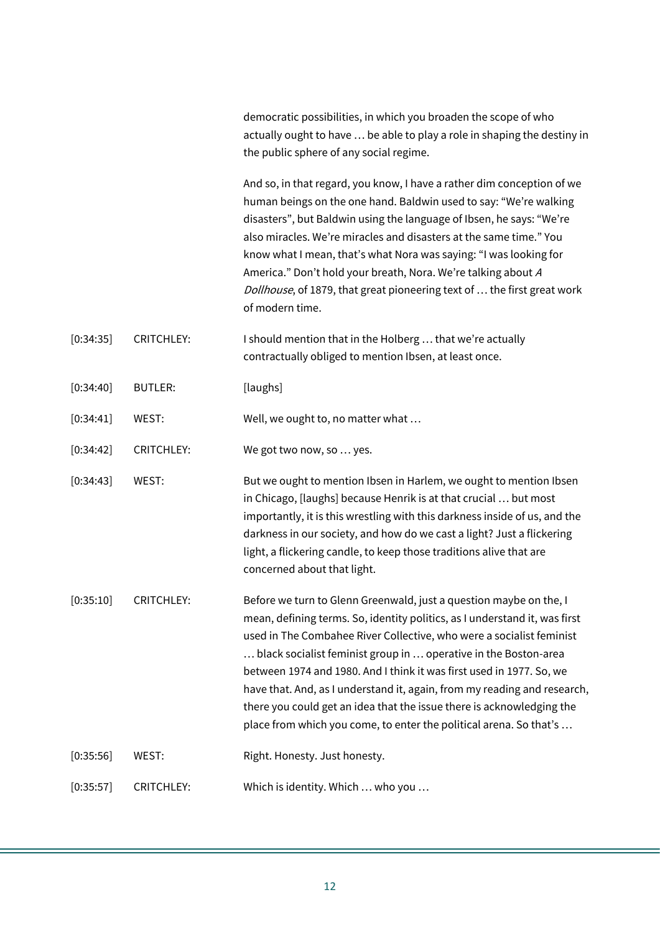democratic possibilities, in which you broaden the scope of who actually ought to have … be able to play a role in shaping the destiny in the public sphere of any social regime. And so, in that regard, you know, I have a rather dim conception of we human beings on the one hand. Baldwin used to say: "We're walking disasters", but Baldwin using the language of Ibsen, he says: "We're also miracles. We're miracles and disasters at the same time." You know what I mean, that's what Nora was saying: "I was looking for America." Don't hold your breath, Nora. We're talking about <sup>A</sup> Dollhouse, of 1879, that great pioneering text of ... the first great work of modern time. [0:34:35] CRITCHLEY: I should mention that in the Holberg ... that we're actually contractually obliged to mention Ibsen, at least once. [0:34:40] BUTLER: [laughs] [0:34:41] WEST: Well, we ought to, no matter what ... [0:34:42] CRITCHLEY: We got two now, so ... yes. [0:34:43] WEST: But we ought to mention Ibsen in Harlem, we ought to mention Ibsen in Chicago, [laughs] because Henrik is at that crucial … but most importantly, it is this wrestling with this darkness inside of us, and the darkness in our society, and how do we cast a light? Just a flickering light, a flickering candle, to keep those traditions alive that are concerned about that light. [0:35:10] CRITCHLEY: Before we turn to Glenn Greenwald, just a question maybe on the, I mean, defining terms. So, identity politics, as I understand it, was first

used in The Combahee River Collective, who were a socialist feminist … black socialist feminist group in … operative in the Boston-area between 1974 and 1980. And I think it was first used in 1977. So, we have that. And, as I understand it, again, from my reading and research, there you could get an idea that the issue there is acknowledging the place from which you come, to enter the political arena. So that's …

[0:35:56] WEST: Right. Honesty. Just honesty.

[0:35:57] CRITCHLEY: Which is identity. Which … who you …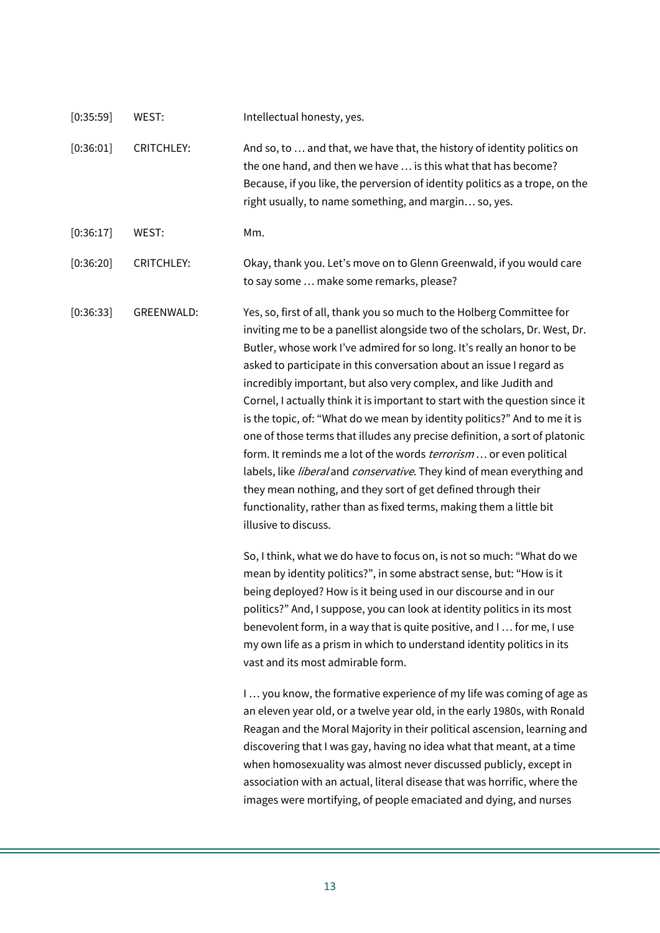| [0:35:59] | WEST:             | Intellectual honesty, yes.                                                                                                                                                                                                                                                                                                                                                                                                                                                                                                                                                                                                                                                                                                                                                                                                                                                                                                                                   |
|-----------|-------------------|--------------------------------------------------------------------------------------------------------------------------------------------------------------------------------------------------------------------------------------------------------------------------------------------------------------------------------------------------------------------------------------------------------------------------------------------------------------------------------------------------------------------------------------------------------------------------------------------------------------------------------------------------------------------------------------------------------------------------------------------------------------------------------------------------------------------------------------------------------------------------------------------------------------------------------------------------------------|
| [0:36:01] | <b>CRITCHLEY:</b> | And so, to  and that, we have that, the history of identity politics on<br>the one hand, and then we have  is this what that has become?<br>Because, if you like, the perversion of identity politics as a trope, on the<br>right usually, to name something, and margin so, yes.                                                                                                                                                                                                                                                                                                                                                                                                                                                                                                                                                                                                                                                                            |
| [0:36:17] | WEST:             | Mm.                                                                                                                                                                                                                                                                                                                                                                                                                                                                                                                                                                                                                                                                                                                                                                                                                                                                                                                                                          |
| [0:36:20] | <b>CRITCHLEY:</b> | Okay, thank you. Let's move on to Glenn Greenwald, if you would care<br>to say some  make some remarks, please?                                                                                                                                                                                                                                                                                                                                                                                                                                                                                                                                                                                                                                                                                                                                                                                                                                              |
| [0:36:33] | GREENWALD:        | Yes, so, first of all, thank you so much to the Holberg Committee for<br>inviting me to be a panellist alongside two of the scholars, Dr. West, Dr.<br>Butler, whose work I've admired for so long. It's really an honor to be<br>asked to participate in this conversation about an issue I regard as<br>incredibly important, but also very complex, and like Judith and<br>Cornel, I actually think it is important to start with the question since it<br>is the topic, of: "What do we mean by identity politics?" And to me it is<br>one of those terms that illudes any precise definition, a sort of platonic<br>form. It reminds me a lot of the words <i>terrorism</i> or even political<br>labels, like <i>liberal</i> and <i>conservative</i> . They kind of mean everything and<br>they mean nothing, and they sort of get defined through their<br>functionality, rather than as fixed terms, making them a little bit<br>illusive to discuss. |
|           |                   | So, I think, what we do have to focus on, is not so much: "What do we<br>mean by identity politics?", in some abstract sense, but: "How is it<br>being deployed? How is it being used in our discourse and in our<br>politics?" And, I suppose, you can look at identity politics in its most<br>benevolent form, in a way that is quite positive, and I  for me, I use<br>my own life as a prism in which to understand identity politics in its<br>vast and its most admirable form.<br>I you know, the formative experience of my life was coming of age as                                                                                                                                                                                                                                                                                                                                                                                               |
|           |                   | an eleven year old, or a twelve year old, in the early 1980s, with Ronald<br>Reagan and the Moral Majority in their political ascension, learning and<br>discovering that I was gay, having no idea what that meant, at a time<br>when homosexuality was almost never discussed publicly, except in<br>association with an actual, literal disease that was horrific, where the<br>images were mortifying, of people emaciated and dying, and nurses                                                                                                                                                                                                                                                                                                                                                                                                                                                                                                         |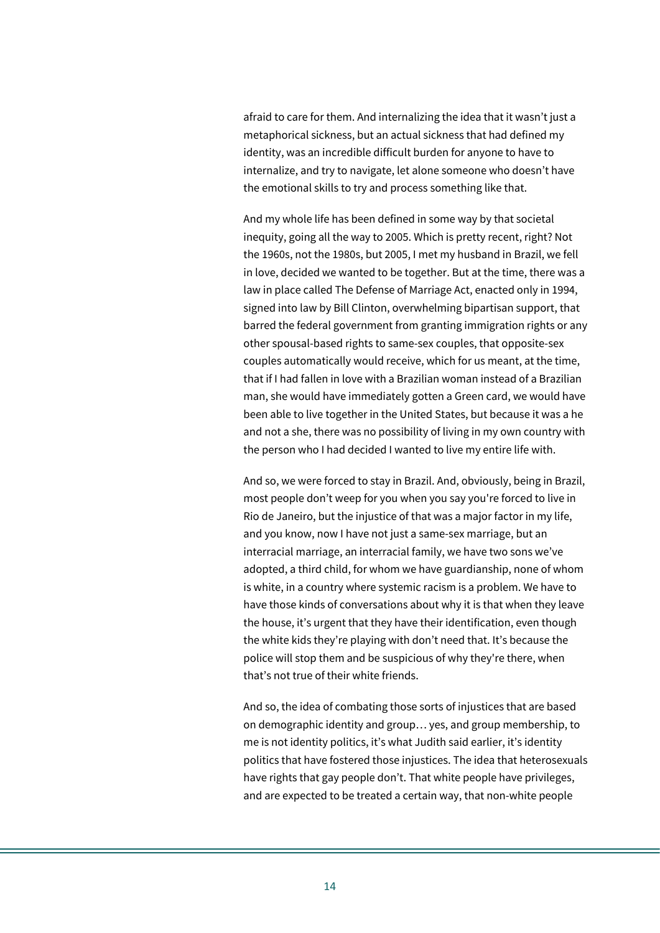afraid to care for them. And internalizing the idea that it wasn't just a metaphorical sickness, but an actual sickness that had defined my identity, was an incredible difficult burden for anyone to have to internalize, and try to navigate, let alone someone who doesn't have the emotional skills to try and process something like that.

And my whole life has been defined in some way by that societal inequity, going all the way to 2005. Which is pretty recent, right? Not the 1960s, not the 1980s, but 2005, I met my husband in Brazil, we fell in love, decided we wanted to be together. But at the time, there was a law in place called The Defense of Marriage Act, enacted only in 1994, signed into law by Bill Clinton, overwhelming bipartisan support, that barred the federal government from granting immigration rights or any other spousal-based rights to same-sex couples, that opposite-sex couples automatically would receive, which for us meant, at the time, that if I had fallen in love with a Brazilian woman instead of a Brazilian man, she would have immediately gotten a Green card, we would have been able to live together in the United States, but because it was a he and not a she, there was no possibility of living in my own country with the person who I had decided I wanted to live my entire life with.

And so, we were forced to stay in Brazil. And, obviously, being in Brazil, most people don't weep for you when you say you're forced to live in Rio de Janeiro, but the injustice of that was a major factor in my life, and you know, now I have not just a same-sex marriage, but an interracial marriage, an interracial family, we have two sons we've adopted, a third child, for whom we have guardianship, none of whom is white, in a country where systemic racism is a problem. We have to have those kinds of conversations about why it is that when they leave the house, it's urgent that they have their identification, even though the white kids they're playing with don't need that. It's because the police will stop them and be suspicious of why they're there, when that's not true of their white friends.

And so, the idea of combating those sorts of injustices that are based on demographic identity and group… yes, and group membership, to me is not identity politics, it's what Judith said earlier, it's identity politics that have fostered those injustices. The idea that heterosexuals have rights that gay people don't. That white people have privileges, and are expected to be treated a certain way, that non-white people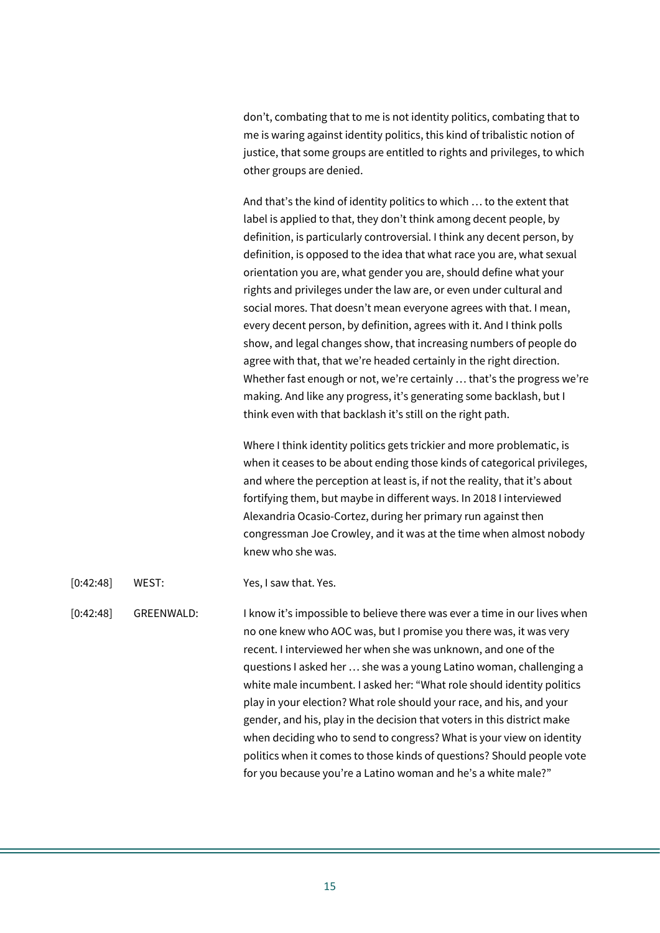don't, combating that to me is not identity politics, combating that to me is waring against identity politics, this kind of tribalistic notion of justice, that some groups are entitled to rights and privileges, to which other groups are denied.

And that's the kind of identity politics to which … to the extent that label is applied to that, they don't think among decent people, by definition, is particularly controversial. I think any decent person, by definition, is opposed to the idea that what race you are, what sexual orientation you are, what gender you are, should define what your rights and privileges under the law are, or even under cultural and social mores. That doesn't mean everyone agrees with that. I mean, every decent person, by definition, agrees with it. And I think polls show, and legal changes show, that increasing numbers of people do agree with that, that we're headed certainly in the right direction. Whether fast enough or not, we're certainly … that's the progress we're making. And like any progress, it's generating some backlash, but I think even with that backlash it's still on the right path.

Where I think identity politics gets trickier and more problematic, is when it ceases to be about ending those kinds of categorical privileges, and where the perception at least is, if not the reality, that it's about fortifying them, but maybe in different ways. In 2018 I interviewed Alexandria Ocasio-Cortez, during her primary run against then congressman Joe Crowley, and it was at the time when almost nobody knew who she was.

[0:42:48] WEST: Yes, I saw that. Yes.

## [0:42:48] GREENWALD: I know it's impossible to believe there was ever a time in our lives when no one knew who AOC was, but I promise you there was, it was very recent. I interviewed her when she was unknown, and one of the questions I asked her … she was a young Latino woman, challenging a white male incumbent. I asked her: "What role should identity politics play in your election? What role should your race, and his, and your gender, and his, play in the decision that voters in this district make when deciding who to send to congress? What is your view on identity politics when it comes to those kinds of questions? Should people vote for you because you're a Latino woman and he's a white male?"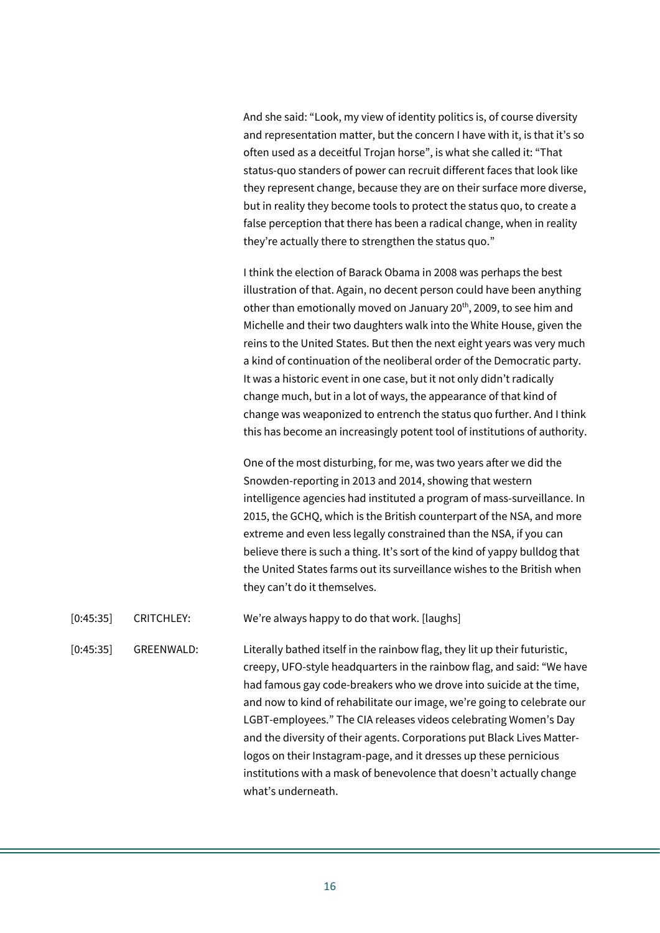And she said: "Look, my view of identity politics is, of course diversity and representation matter, but the concern I have with it, is that it's so often used as a deceitful Trojan horse", is what she called it: "That status-quo standers of power can recruit different faces that look like they represent change, because they are on their surface more diverse, but in reality they become tools to protect the status quo, to create a false perception that there has been a radical change, when in reality they're actually there to strengthen the status quo."

I think the election of Barack Obama in 2008 was perhaps the best illustration of that. Again, no decent person could have been anything other than emotionally moved on January 20<sup>th</sup>, 2009, to see him and Michelle and their two daughters walk into the White House, given the reins to the United States. But then the next eight years was very much a kind of continuation of the neoliberal order of the Democratic party. It was a historic event in one case, but it not only didn't radically change much, but in a lot of ways, the appearance of that kind of change was weaponized to entrench the status quo further. And I think this has become an increasingly potent tool of institutions of authority.

One of the most disturbing, for me, was two years after we did the Snowden-reporting in 2013 and 2014, showing that western intelligence agencies had instituted a program of mass-surveillance. In 2015, the GCHQ, which is the British counterpart of the NSA, and more extreme and even less legally constrained than the NSA, if you can believe there is such a thing. It's sort of the kind of yappy bulldog that the United States farms out its surveillance wishes to the British when they can't do it themselves.

[0:45:35] CRITCHLEY: We're always happy to do that work. [laughs]

[0:45:35] GREENWALD: Literally bathed itself in the rainbow flag, they lit up their futuristic, creepy, UFO-style headquarters in the rainbow flag, and said: "We have had famous gay code-breakers who we drove into suicide at the time, and now to kind of rehabilitate our image, we're going to celebrate our LGBT-employees." The CIA releases videos celebrating Women's Day and the diversity of their agents. Corporations put Black Lives Matterlogos on their Instagram-page, and it dresses up these pernicious institutions with a mask of benevolence that doesn't actually change what's underneath.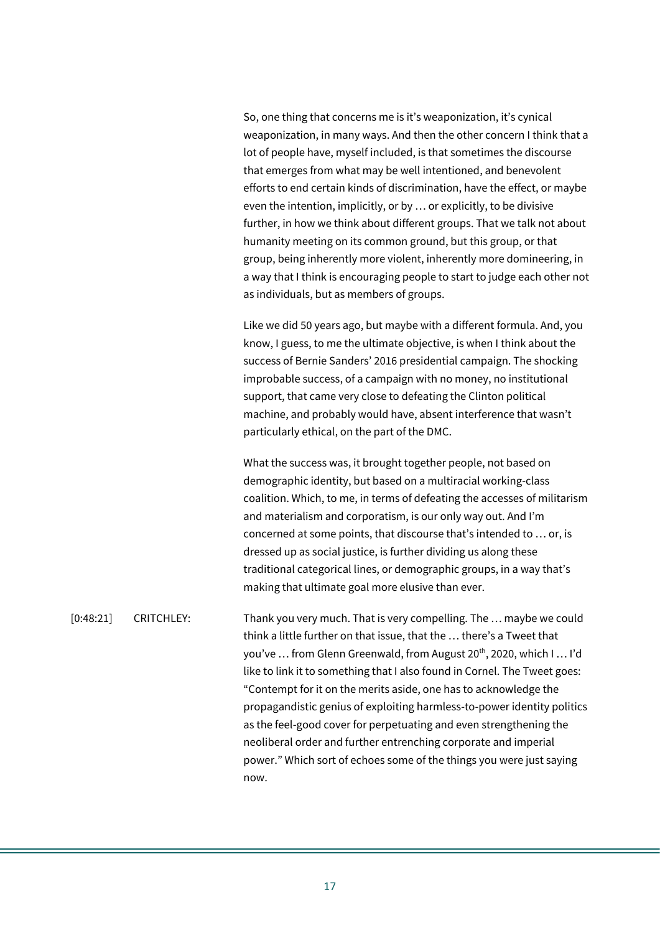So, one thing that concerns me is it's weaponization, it's cynical weaponization, in many ways. And then the other concern I think that a lot of people have, myself included, is that sometimes the discourse that emerges from what may be well intentioned, and benevolent efforts to end certain kinds of discrimination, have the effect, or maybe even the intention, implicitly, or by … or explicitly, to be divisive further, in how we think about different groups. That we talk not about humanity meeting on its common ground, but this group, or that group, being inherently more violent, inherently more domineering, in a way that I think is encouraging people to start to judge each other not as individuals, but as members of groups.

Like we did 50 years ago, but maybe with a different formula. And, you know, I guess, to me the ultimate objective, is when I think about the success of Bernie Sanders' 2016 presidential campaign. The shocking improbable success, of a campaign with no money, no institutional support, that came very close to defeating the Clinton political machine, and probably would have, absent interference that wasn't particularly ethical, on the part of the DMC.

What the success was, it brought together people, not based on demographic identity, but based on a multiracial working-class coalition. Which, to me, in terms of defeating the accesses of militarism and materialism and corporatism, is our only way out. And I'm concerned at some points, that discourse that's intended to … or, is dressed up as social justice, is further dividing us along these traditional categorical lines, or demographic groups, in a way that's making that ultimate goal more elusive than ever.

[0:48:21] CRITCHLEY: Thank you very much. That is very compelling. The … maybe we could think a little further on that issue, that the … there's a Tweet that you've ... from Glenn Greenwald, from August 20<sup>th</sup>, 2020, which I ... I'd like to link it to something that I also found in Cornel. The Tweet goes: "Contempt for it on the merits aside, one has to acknowledge the propagandistic genius of exploiting harmless-to-power identity politics as the feel-good cover for perpetuating and even strengthening the neoliberal order and further entrenching corporate and imperial power." Which sort of echoes some of the things you were just saying now.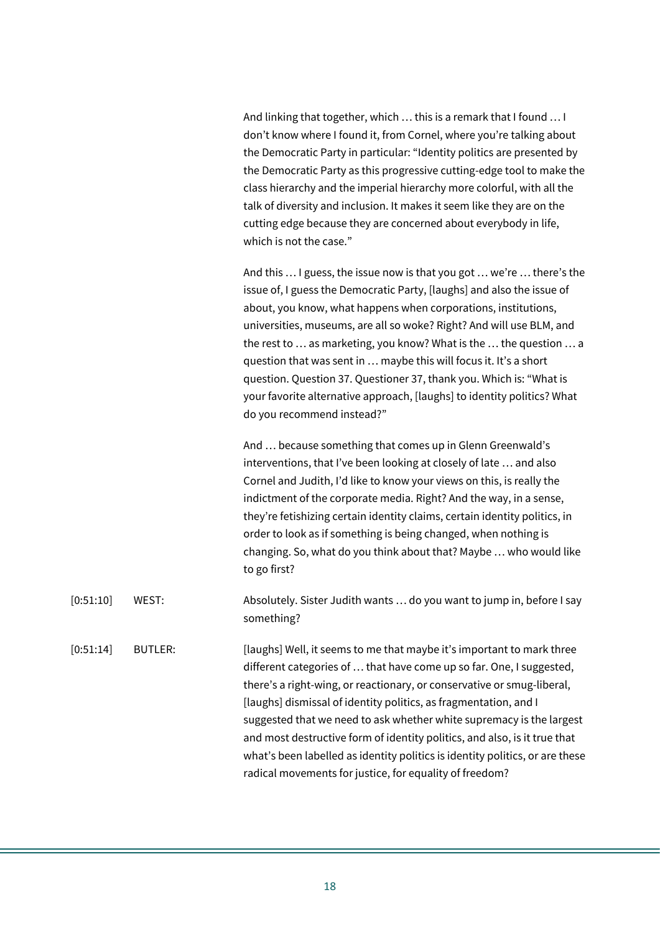And linking that together, which … this is a remark that I found … I don't know where I found it, from Cornel, where you're talking about the Democratic Party in particular: "Identity politics are presented by the Democratic Party as this progressive cutting-edge tool to make the class hierarchy and the imperial hierarchy more colorful, with all the talk of diversity and inclusion. It makes it seem like they are on the cutting edge because they are concerned about everybody in life, which is not the case."

And this … I guess, the issue now is that you got … we're … there's the issue of, I guess the Democratic Party, [laughs] and also the issue of about, you know, what happens when corporations, institutions, universities, museums, are all so woke? Right? And will use BLM, and the rest to … as marketing, you know? What is the … the question … a question that was sent in … maybe this will focus it. It's a short question. Question 37. Questioner 37, thank you. Which is: "What is your favorite alternative approach, [laughs] to identity politics? What do you recommend instead?"

And … because something that comes up in Glenn Greenwald's interventions, that I've been looking at closely of late … and also Cornel and Judith, I'd like to know your views on this, is really the indictment of the corporate media. Right? And the way, in a sense, they're fetishizing certain identity claims, certain identity politics, in order to look as if something is being changed, when nothing is changing. So, what do you think about that? Maybe … who would like to go first?

- [0:51:10] WEST: Absolutely. Sister Judith wants … do you want to jump in, before I say something?
- [0:51:14] BUTLER: [laughs] Well, it seems to me that maybe it's important to mark three different categories of … that have come up so far. One, I suggested, there's a right-wing, or reactionary, or conservative or smug-liberal, [laughs] dismissal of identity politics, as fragmentation, and I suggested that we need to ask whether white supremacy is the largest and most destructive form of identity politics, and also, is it true that what's been labelled as identity politics is identity politics, or are these radical movements for justice, for equality of freedom?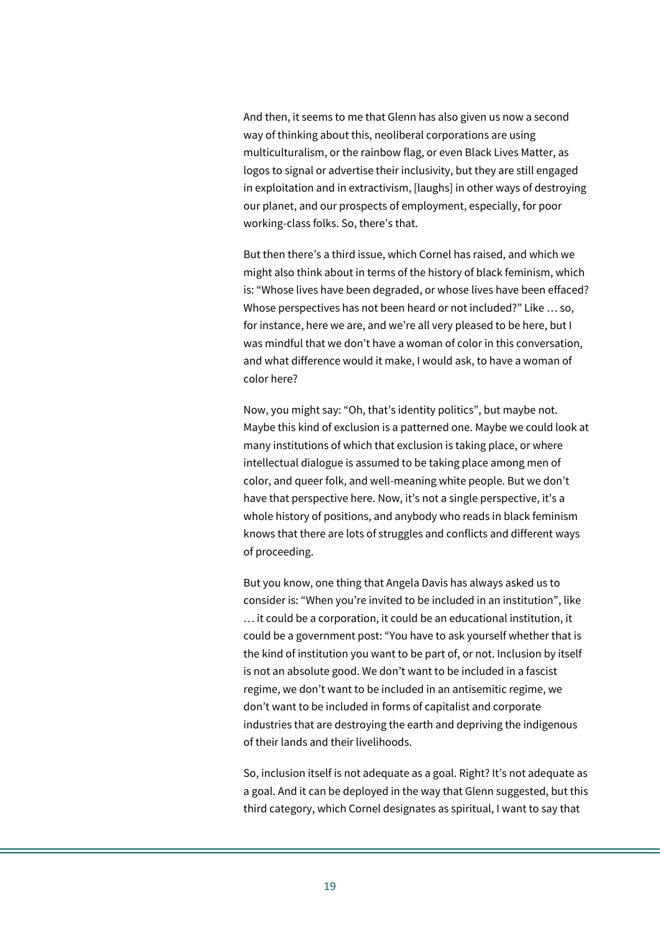And then, it seems to me that Glenn has also given us now a second way of thinking about this, neoliberal corporations are using multiculturalism, or the rainbow flag, or even Black Lives Matter, as logos to signal or advertise their inclusivity, but they are still engaged in exploitation and in extractivism, [laughs] in other ways of destroying our planet, and our prospects of employment, especially, for poor working-class folks. So, there's that.

But then there's a third issue, which Cornel has raised, and which we might also think about in terms of the history of black feminism, which is: "Whose lives have been degraded, or whose lives have been effaced? Whose perspectives has not been heard or not included?" Like … so, for instance, here we are, and we're all very pleased to be here, but I was mindful that we don't have a woman of color in this conversation, and what difference would it make, I would ask, to have a woman of color here?

Now, you might say: "Oh, that's identity politics", but maybe not. Maybe this kind of exclusion is a patterned one. Maybe we could look at many institutions of which that exclusion is taking place, or where intellectual dialogue is assumed to be taking place among men of color, and queer folk, and well-meaning white people. But we don't have that perspective here. Now, it's not a single perspective, it's a whole history of positions, and anybody who reads in black feminism knows that there are lots of struggles and conflicts and different ways of proceeding.

But you know, one thing that Angela Davis has always asked us to consider is: "When you're invited to be included in an institution", like … it could be a corporation, it could be an educational institution, it could be a government post: "You have to ask yourself whether that is the kind of institution you want to be part of, or not. Inclusion by itself is not an absolute good. We don't want to be included in a fascist regime, we don't want to be included in an antisemitic regime, we don't want to be included in forms of capitalist and corporate industries that are destroying the earth and depriving the indigenous of their lands and their livelihoods.

So, inclusion itself is not adequate as a goal. Right? It's not adequate as a goal. And it can be deployed in the way that Glenn suggested, but this third category, which Cornel designates as spiritual, I want to say that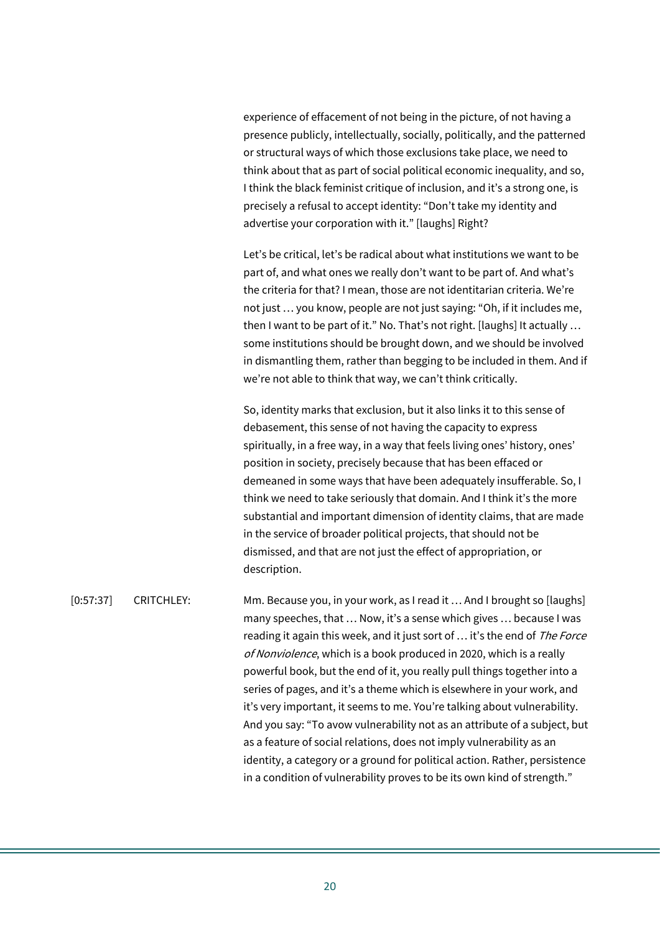experience of effacement of not being in the picture, of not having a presence publicly, intellectually, socially, politically, and the patterned or structural ways of which those exclusions take place, we need to think about that as part of social political economic inequality, and so, I think the black feminist critique of inclusion, and it's a strong one, is precisely a refusal to accept identity: "Don't take my identity and advertise your corporation with it." [laughs] Right?

Let's be critical, let's be radical about what institutions we want to be part of, and what ones we really don't want to be part of. And what's the criteria for that? I mean, those are not identitarian criteria. We're not just … you know, people are not just saying: "Oh, if it includes me, then I want to be part of it." No. That's not right. [laughs] It actually … some institutions should be brought down, and we should be involved in dismantling them, rather than begging to be included in them. And if we're not able to think that way, we can't think critically.

So, identity marks that exclusion, but it also links it to this sense of debasement, this sense of not having the capacity to express spiritually, in a free way, in a way that feels living ones' history, ones' position in society, precisely because that has been effaced or demeaned in some ways that have been adequately insufferable. So, I think we need to take seriously that domain. And I think it's the more substantial and important dimension of identity claims, that are made in the service of broader political projects, that should not be dismissed, and that are not just the effect of appropriation, or description.

[0:57:37] CRITCHLEY: Mm. Because you, in your work, as I read it … And I brought so [laughs] many speeches, that … Now, it's a sense which gives … because I was reading it again this week, and it just sort of ... it's the end of The Force of Nonviolence, which is a book produced in 2020, which is a really powerful book, but the end of it, you really pull things together into a series of pages, and it's a theme which is elsewhere in your work, and it's very important, it seems to me. You're talking about vulnerability. And you say: "To avow vulnerability not as an attribute of a subject, but as a feature of social relations, does not imply vulnerability as an identity, a category or a ground for political action. Rather, persistence in a condition of vulnerability proves to be its own kind of strength."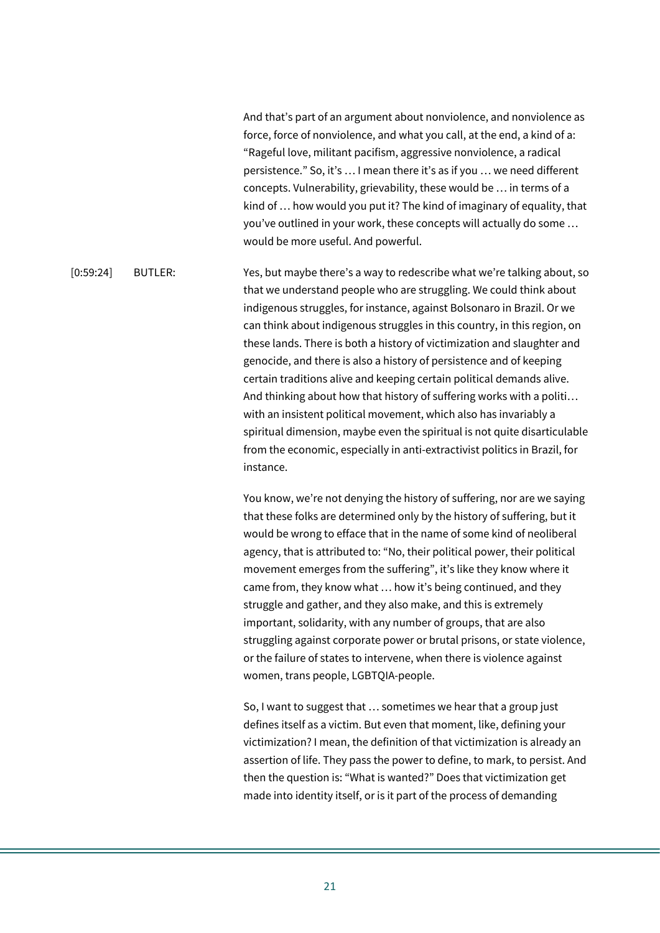And that's part of an argument about nonviolence, and nonviolence as force, force of nonviolence, and what you call, at the end, a kind of a: "Rageful love, militant pacifism, aggressive nonviolence, a radical persistence." So, it's … I mean there it's as if you … we need different concepts. Vulnerability, grievability, these would be … in terms of a kind of … how would you put it? The kind of imaginary of equality, that you've outlined in your work, these concepts will actually do some … would be more useful. And powerful.

[0:59:24] BUTLER: Yes, but maybe there's a way to redescribe what we're talking about, so that we understand people who are struggling. We could think about indigenous struggles, for instance, against Bolsonaro in Brazil. Or we can think about indigenous struggles in this country, in this region, on these lands. There is both a history of victimization and slaughter and genocide, and there is also a history of persistence and of keeping certain traditions alive and keeping certain political demands alive. And thinking about how that history of suffering works with a politi… with an insistent political movement, which also has invariably a spiritual dimension, maybe even the spiritual is not quite disarticulable from the economic, especially in anti-extractivist politics in Brazil, for instance.

> You know, we're not denying the history of suffering, nor are we saying that these folks are determined only by the history of suffering, but it would be wrong to efface that in the name of some kind of neoliberal agency, that is attributed to: "No, their political power, their political movement emerges from the suffering", it's like they know where it came from, they know what … how it's being continued, and they struggle and gather, and they also make, and this is extremely important, solidarity, with any number of groups, that are also struggling against corporate power or brutal prisons, or state violence, or the failure of states to intervene, when there is violence against women, trans people, LGBTQIA-people.

> So, I want to suggest that … sometimes we hear that a group just defines itself as a victim. But even that moment, like, defining your victimization? I mean, the definition of that victimization is already an assertion of life. They pass the power to define, to mark, to persist. And then the question is: "What is wanted?" Does that victimization get made into identity itself, or is it part of the process of demanding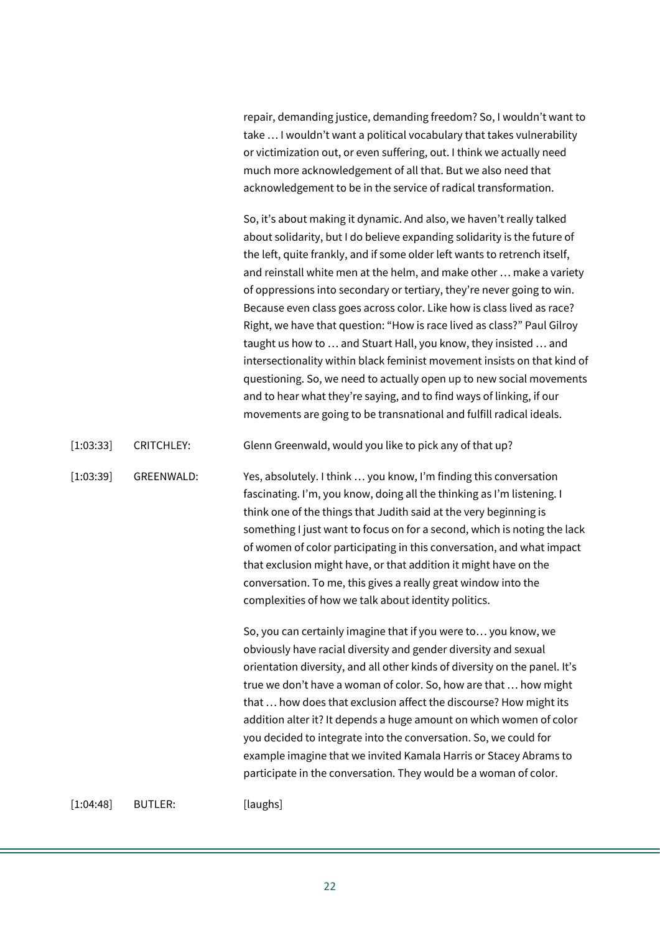repair, demanding justice, demanding freedom? So, I wouldn't want to take … I wouldn't want a political vocabulary that takes vulnerability or victimization out, or even suffering, out. I think we actually need much more acknowledgement of all that. But we also need that acknowledgement to be in the service of radical transformation.

So, it's about making it dynamic. And also, we haven't really talked about solidarity, but I do believe expanding solidarity is the future of the left, quite frankly, and if some older left wants to retrench itself, and reinstall white men at the helm, and make other … make a variety of oppressions into secondary or tertiary, they're never going to win. Because even class goes across color. Like how is class lived as race? Right, we have that question: "How is race lived as class?" Paul Gilroy taught us how to … and Stuart Hall, you know, they insisted … and intersectionality within black feminist movement insists on that kind of questioning. So, we need to actually open up to new social movements and to hear what they're saying, and to find ways of linking, if our movements are going to be transnational and fulfill radical ideals.

[1:03:33] CRITCHLEY: Glenn Greenwald, would you like to pick any of that up?

[1:03:39] GREENWALD: Yes, absolutely. I think … you know, I'm finding this conversation fascinating. I'm, you know, doing all the thinking as I'm listening. I think one of the things that Judith said at the very beginning is something I just want to focus on for a second, which is noting the lack of women of color participating in this conversation, and what impact that exclusion might have, or that addition it might have on the conversation. To me, this gives a really great window into the complexities of how we talk about identity politics.

> So, you can certainly imagine that if you were to… you know, we obviously have racial diversity and gender diversity and sexual orientation diversity, and all other kinds of diversity on the panel. It's true we don't have a woman of color. So, how are that … how might that … how does that exclusion affect the discourse? How might its addition alter it? It depends a huge amount on which women of color you decided to integrate into the conversation. So, we could for example imagine that we invited Kamala Harris or Stacey Abrams to participate in the conversation. They would be a woman of color.

[1:04:48] BUTLER: [laughs]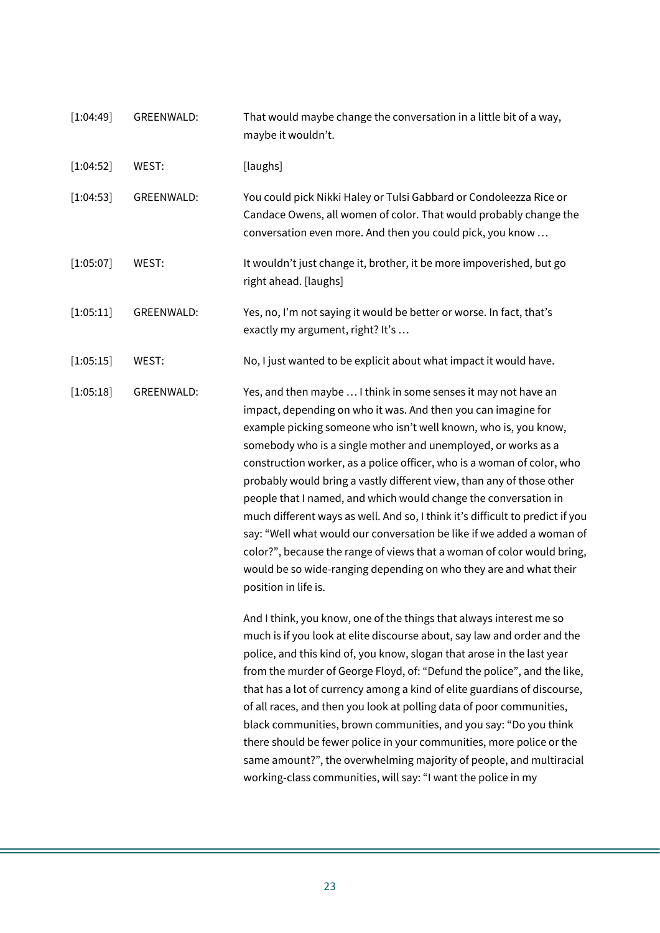| [1:04:49] | GREENWALD:        | That would maybe change the conversation in a little bit of a way,<br>maybe it wouldn't.                                                                                                                                                                                                                                                                                                                                                                                                                                                                                                                                                                                                                                                                                                                                   |
|-----------|-------------------|----------------------------------------------------------------------------------------------------------------------------------------------------------------------------------------------------------------------------------------------------------------------------------------------------------------------------------------------------------------------------------------------------------------------------------------------------------------------------------------------------------------------------------------------------------------------------------------------------------------------------------------------------------------------------------------------------------------------------------------------------------------------------------------------------------------------------|
| [1:04:52] | WEST:             | [laughs]                                                                                                                                                                                                                                                                                                                                                                                                                                                                                                                                                                                                                                                                                                                                                                                                                   |
| [1:04:53] | <b>GREENWALD:</b> | You could pick Nikki Haley or Tulsi Gabbard or Condoleezza Rice or<br>Candace Owens, all women of color. That would probably change the<br>conversation even more. And then you could pick, you know                                                                                                                                                                                                                                                                                                                                                                                                                                                                                                                                                                                                                       |
| [1:05:07] | WEST:             | It wouldn't just change it, brother, it be more impoverished, but go<br>right ahead. [laughs]                                                                                                                                                                                                                                                                                                                                                                                                                                                                                                                                                                                                                                                                                                                              |
| [1:05:11] | <b>GREENWALD:</b> | Yes, no, I'm not saying it would be better or worse. In fact, that's<br>exactly my argument, right? It's                                                                                                                                                                                                                                                                                                                                                                                                                                                                                                                                                                                                                                                                                                                   |
| [1:05:15] | WEST:             | No, I just wanted to be explicit about what impact it would have.                                                                                                                                                                                                                                                                                                                                                                                                                                                                                                                                                                                                                                                                                                                                                          |
| [1:05:18] | <b>GREENWALD:</b> | Yes, and then maybe  I think in some senses it may not have an<br>impact, depending on who it was. And then you can imagine for<br>example picking someone who isn't well known, who is, you know,<br>somebody who is a single mother and unemployed, or works as a<br>construction worker, as a police officer, who is a woman of color, who<br>probably would bring a vastly different view, than any of those other<br>people that I named, and which would change the conversation in<br>much different ways as well. And so, I think it's difficult to predict if you<br>say: "Well what would our conversation be like if we added a woman of<br>color?", because the range of views that a woman of color would bring,<br>would be so wide-ranging depending on who they are and what their<br>position in life is. |
|           |                   | And I think, you know, one of the things that always interest me so<br>much is if you look at elite discourse about, say law and order and the<br>police, and this kind of, you know, slogan that arose in the last year<br>from the murder of George Floyd, of: "Defund the police", and the like,<br>that has a lot of currency among a kind of elite guardians of discourse,<br>of all races, and then you look at polling data of poor communities,<br>black communities, brown communities, and you say: "Do you think<br>there should be fewer police in your communities, more police or the<br>same amount?", the overwhelming majority of people, and multiracial<br>working-class communities, will say: "I want the police in my                                                                                |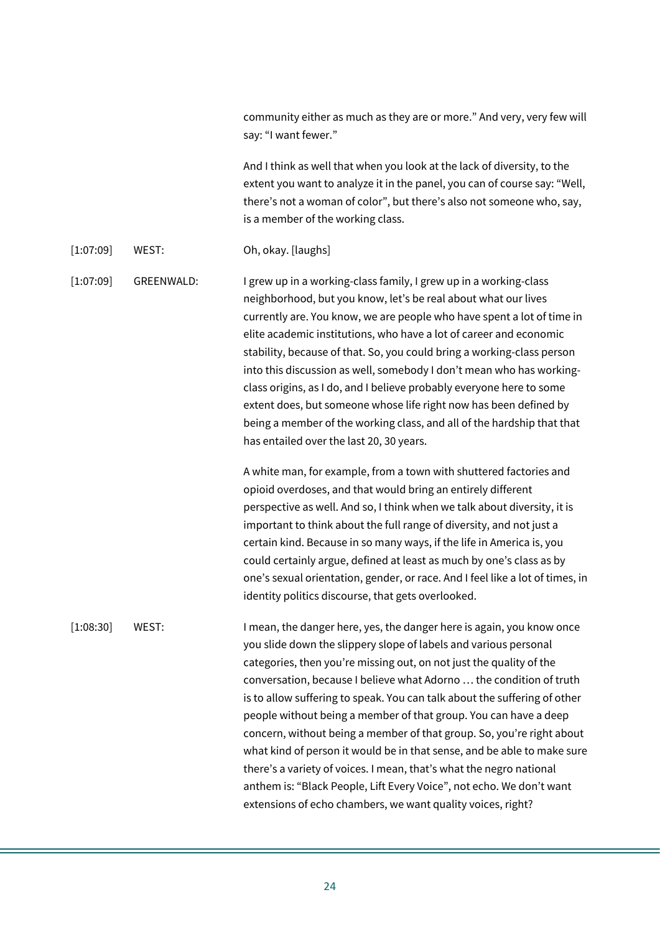community either as much as they are or more." And very, very few will say: "I want fewer."

And I think as well that when you look at the lack of diversity, to the extent you want to analyze it in the panel, you can of course say: "Well, there's not a woman of color", but there's also not someone who, say, is a member of the working class.

[1:07:09] WEST: Oh, okay. [laughs]

[1:07:09] GREENWALD: I grew up in a working-class family, I grew up in a working-class neighborhood, but you know, let's be real about what our lives currently are. You know, we are people who have spent a lot of time in elite academic institutions, who have a lot of career and economic stability, because of that. So, you could bring a working-class person into this discussion as well, somebody I don't mean who has workingclass origins, as I do, and I believe probably everyone here to some extent does, but someone whose life right now has been defined by being a member of the working class, and all of the hardship that that has entailed over the last 20, 30 years.

> A white man, for example, from a town with shuttered factories and opioid overdoses, and that would bring an entirely different perspective as well. And so, I think when we talk about diversity, it is important to think about the full range of diversity, and not just a certain kind. Because in so many ways, if the life in America is, you could certainly argue, defined at least as much by one's class as by one's sexual orientation, gender, or race. And I feel like a lot of times, in identity politics discourse, that gets overlooked.

[1:08:30] WEST: I mean, the danger here, yes, the danger here is again, you know once you slide down the slippery slope of labels and various personal categories, then you're missing out, on not just the quality of the conversation, because I believe what Adorno … the condition of truth is to allow suffering to speak. You can talk about the suffering of other people without being a member of that group. You can have a deep concern, without being a member of that group. So, you're right about what kind of person it would be in that sense, and be able to make sure there's a variety of voices. I mean, that's what the negro national anthem is: "Black People, Lift Every Voice", not echo. We don't want extensions of echo chambers, we want quality voices, right?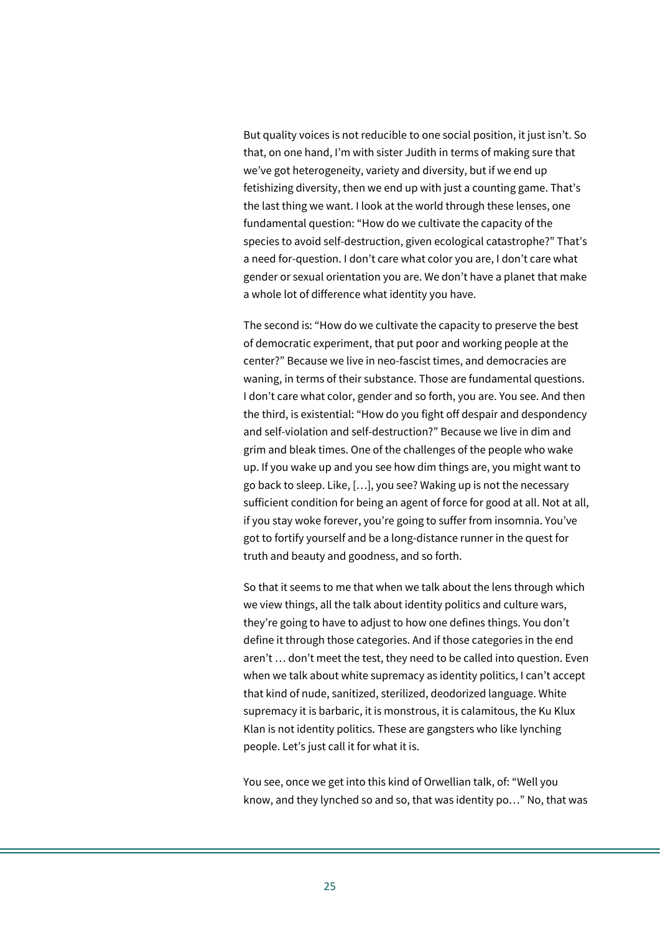But quality voices is not reducible to one social position, it just isn't. So that, on one hand, I'm with sister Judith in terms of making sure that we've got heterogeneity, variety and diversity, but if we end up fetishizing diversity, then we end up with just a counting game. That's the last thing we want. I look at the world through these lenses, one fundamental question: "How do we cultivate the capacity of the species to avoid self-destruction, given ecological catastrophe?" That's a need for-question. I don't care what color you are, I don't care what gender or sexual orientation you are. We don't have a planet that make a whole lot of difference what identity you have.

The second is: "How do we cultivate the capacity to preserve the best of democratic experiment, that put poor and working people at the center?" Because we live in neo-fascist times, and democracies are waning, in terms of their substance. Those are fundamental questions. I don't care what color, gender and so forth, you are. You see. And then the third, is existential: "How do you fight off despair and despondency and self-violation and self-destruction?" Because we live in dim and grim and bleak times. One of the challenges of the people who wake up. If you wake up and you see how dim things are, you might want to go back to sleep. Like, […], you see? Waking up is not the necessary sufficient condition for being an agent of force for good at all. Not at all, if you stay woke forever, you're going to suffer from insomnia. You've got to fortify yourself and be a long-distance runner in the quest for truth and beauty and goodness, and so forth.

So that it seems to me that when we talk about the lens through which we view things, all the talk about identity politics and culture wars, they're going to have to adjust to how one defines things. You don't define it through those categories. And if those categories in the end aren't … don't meet the test, they need to be called into question. Even when we talk about white supremacy as identity politics, I can't accept that kind of nude, sanitized, sterilized, deodorized language. White supremacy it is barbaric, it is monstrous, it is calamitous, the Ku Klux Klan is not identity politics. These are gangsters who like lynching people. Let's just call it for what it is.

You see, once we get into this kind of Orwellian talk, of: "Well you know, and they lynched so and so, that was identity po…" No, that was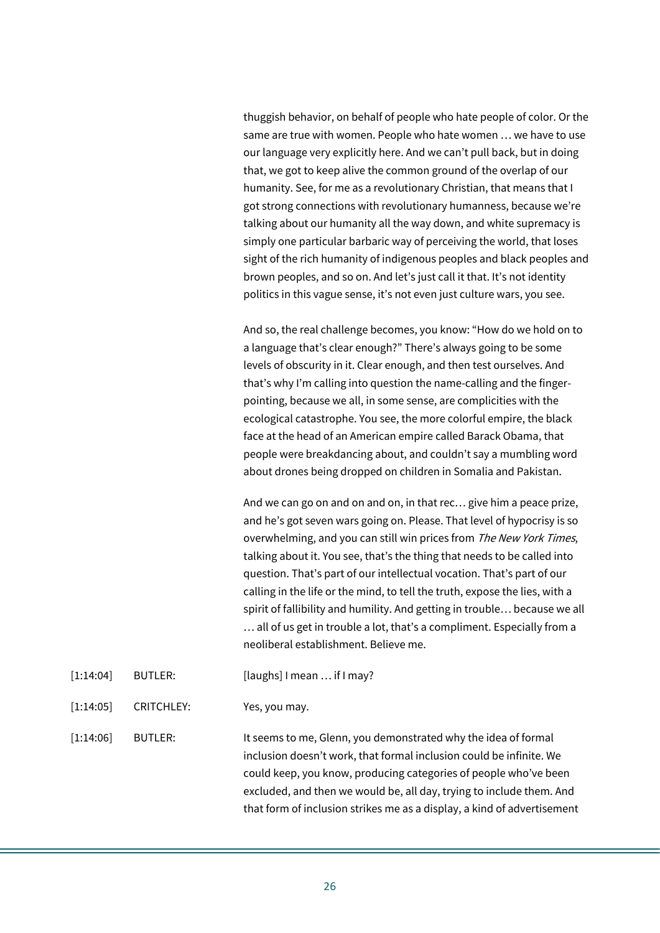thuggish behavior, on behalf of people who hate people of color. Or the same are true with women. People who hate women … we have to use our language very explicitly here. And we can't pull back, but in doing that, we got to keep alive the common ground of the overlap of our humanity. See, for me as a revolutionary Christian, that means that I got strong connections with revolutionary humanness, because we're talking about our humanity all the way down, and white supremacy is simply one particular barbaric way of perceiving the world, that loses sight of the rich humanity of indigenous peoples and black peoples and brown peoples, and so on. And let's just call it that. It's not identity politics in this vague sense, it's not even just culture wars, you see.

And so, the real challenge becomes, you know: "How do we hold on to a language that's clear enough?" There's always going to be some levels of obscurity in it. Clear enough, and then test ourselves. And that's why I'm calling into question the name-calling and the fingerpointing, because we all, in some sense, are complicities with the ecological catastrophe. You see, the more colorful empire, the black face at the head of an American empire called Barack Obama, that people were breakdancing about, and couldn't say a mumbling word about drones being dropped on children in Somalia and Pakistan.

And we can go on and on and on, in that rec… give him a peace prize, and he's got seven wars going on. Please. That level of hypocrisy is so overwhelming, and you can still win prices from The New York Times, talking about it. You see, that's the thing that needs to be called into question. That's part of our intellectual vocation. That's part of our calling in the life or the mind, to tell the truth, expose the lies, with a spirit of fallibility and humility. And getting in trouble… because we all … all of us get in trouble a lot, that's a compliment. Especially from a neoliberal establishment. Believe me.

- [1:14:04] BUTLER: [laughs] I mean ... if I may?
- [1:14:05] CRITCHLEY: Yes, you may.

[1:14:06] BUTLER: It seems to me, Glenn, you demonstrated why the idea of formal inclusion doesn't work, that formal inclusion could be infinite. We could keep, you know, producing categories of people who've been excluded, and then we would be, all day, trying to include them. And that form of inclusion strikes me as a display, a kind of advertisement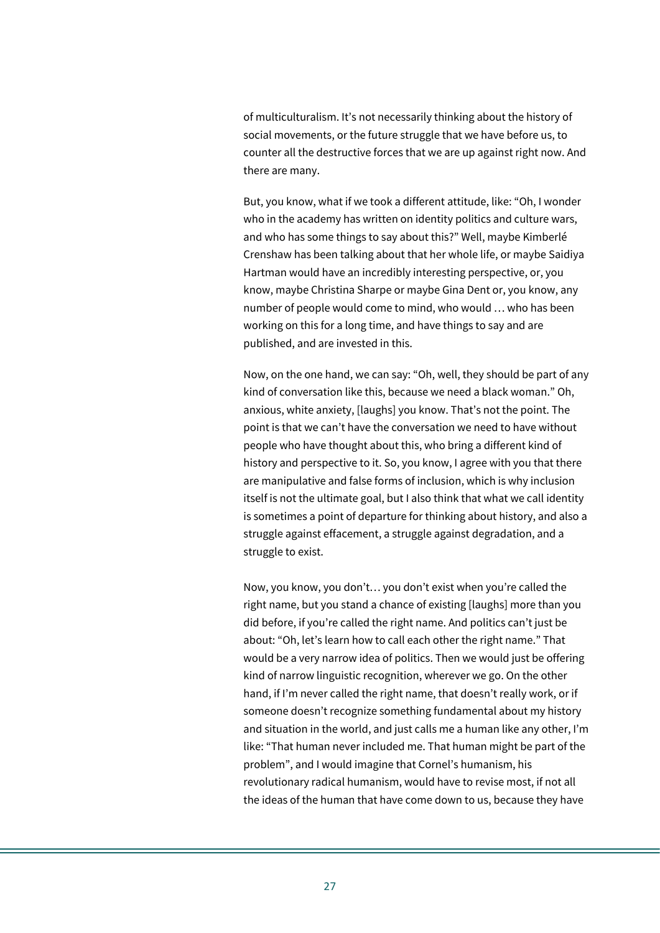of multiculturalism. It's not necessarily thinking about the history of social movements, or the future struggle that we have before us, to counter all the destructive forces that we are up against right now. And there are many.

But, you know, what if we took a different attitude, like: "Oh, I wonder who in the academy has written on identity politics and culture wars, and who has some things to say about this?" Well, maybe Kimberlé Crenshaw has been talking about that her whole life, or maybe Saidiya Hartman would have an incredibly interesting perspective, or, you know, maybe Christina Sharpe or maybe Gina Dent or, you know, any number of people would come to mind, who would … who has been working on this for a long time, and have things to say and are published, and are invested in this.

Now, on the one hand, we can say: "Oh, well, they should be part of any kind of conversation like this, because we need a black woman." Oh, anxious, white anxiety, [laughs] you know. That's not the point. The point is that we can't have the conversation we need to have without people who have thought about this, who bring a different kind of history and perspective to it. So, you know, I agree with you that there are manipulative and false forms of inclusion, which is why inclusion itself is not the ultimate goal, but I also think that what we call identity is sometimes a point of departure for thinking about history, and also a struggle against effacement, a struggle against degradation, and a struggle to exist.

Now, you know, you don't… you don't exist when you're called the right name, but you stand a chance of existing [laughs] more than you did before, if you're called the right name. And politics can't just be about: "Oh, let's learn how to call each other the right name." That would be a very narrow idea of politics. Then we would just be offering kind of narrow linguistic recognition, wherever we go. On the other hand, if I'm never called the right name, that doesn't really work, or if someone doesn't recognize something fundamental about my history and situation in the world, and just calls me a human like any other, I'm like: "That human never included me. That human might be part of the problem", and I would imagine that Cornel's humanism, his revolutionary radical humanism, would have to revise most, if not all the ideas of the human that have come down to us, because they have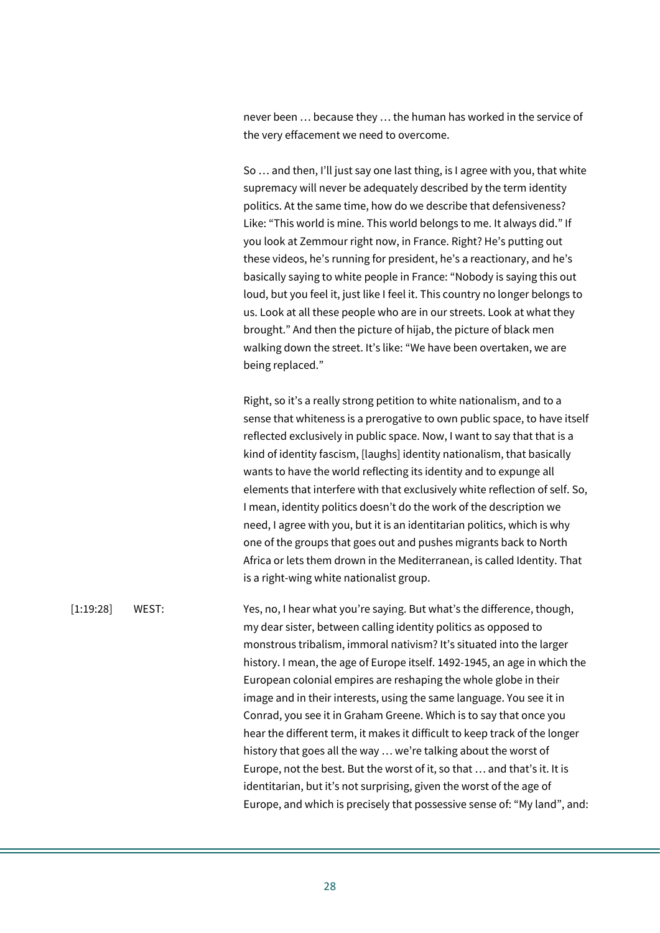never been … because they … the human has worked in the service of the very effacement we need to overcome.

So … and then, I'll just say one last thing, is I agree with you, that white supremacy will never be adequately described by the term identity politics. At the same time, how do we describe that defensiveness? Like: "This world is mine. This world belongs to me. It always did." If you look at Zemmour right now, in France. Right? He's putting out these videos, he's running for president, he's a reactionary, and he's basically saying to white people in France: "Nobody is saying this out loud, but you feel it, just like I feel it. This country no longer belongs to us. Look at all these people who are in our streets. Look at what they brought." And then the picture of hijab, the picture of black men walking down the street. It's like: "We have been overtaken, we are being replaced."

Right, so it's a really strong petition to white nationalism, and to a sense that whiteness is a prerogative to own public space, to have itself reflected exclusively in public space. Now, I want to say that that is a kind of identity fascism, [laughs] identity nationalism, that basically wants to have the world reflecting its identity and to expunge all elements that interfere with that exclusively white reflection of self. So, I mean, identity politics doesn't do the work of the description we need, I agree with you, but it is an identitarian politics, which is why one of the groups that goes out and pushes migrants back to North Africa or lets them drown in the Mediterranean, is called Identity. That is a right-wing white nationalist group.

[1:19:28] WEST: Yes, no, I hear what you're saying. But what's the difference, though, my dear sister, between calling identity politics as opposed to monstrous tribalism, immoral nativism? It's situated into the larger history. I mean, the age of Europe itself. 1492-1945, an age in which the European colonial empires are reshaping the whole globe in their image and in their interests, using the same language. You see it in Conrad, you see it in Graham Greene. Which is to say that once you hear the different term, it makes it difficult to keep track of the longer history that goes all the way … we're talking about the worst of Europe, not the best. But the worst of it, so that … and that's it. It is identitarian, but it's not surprising, given the worst of the age of Europe, and which is precisely that possessive sense of: "My land", and: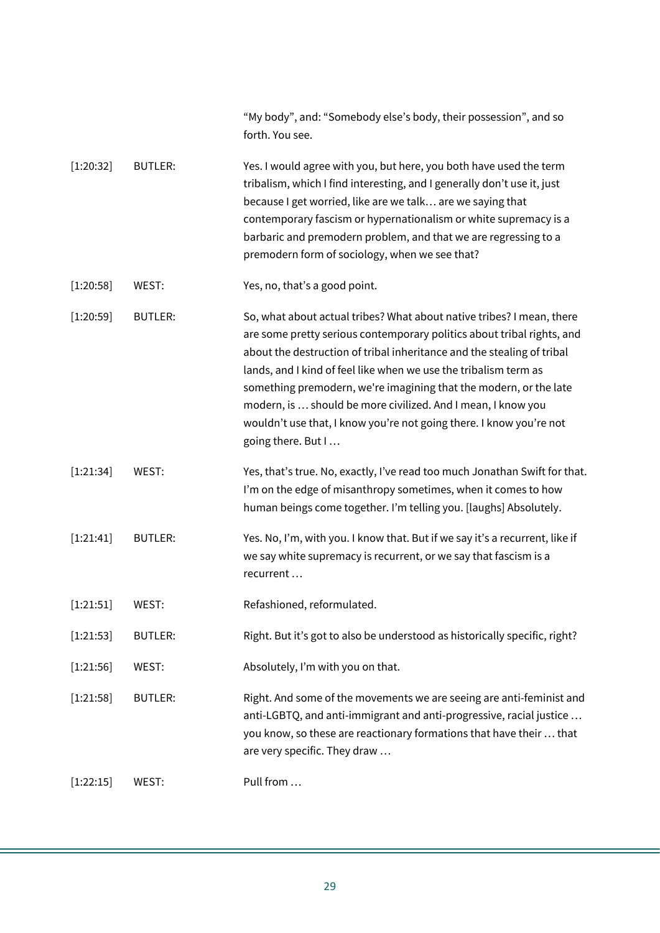|             |                | "My body", and: "Somebody else's body, their possession", and so<br>forth. You see.                                                                                                                                                                                                                                                                                                                                                                                                                                             |
|-------------|----------------|---------------------------------------------------------------------------------------------------------------------------------------------------------------------------------------------------------------------------------------------------------------------------------------------------------------------------------------------------------------------------------------------------------------------------------------------------------------------------------------------------------------------------------|
| [1:20:32]   | <b>BUTLER:</b> | Yes. I would agree with you, but here, you both have used the term<br>tribalism, which I find interesting, and I generally don't use it, just<br>because I get worried, like are we talk are we saying that<br>contemporary fascism or hypernationalism or white supremacy is a<br>barbaric and premodern problem, and that we are regressing to a<br>premodern form of sociology, when we see that?                                                                                                                            |
| [1:20:58]   | WEST:          | Yes, no, that's a good point.                                                                                                                                                                                                                                                                                                                                                                                                                                                                                                   |
| [1:20:59]   | <b>BUTLER:</b> | So, what about actual tribes? What about native tribes? I mean, there<br>are some pretty serious contemporary politics about tribal rights, and<br>about the destruction of tribal inheritance and the stealing of tribal<br>lands, and I kind of feel like when we use the tribalism term as<br>something premodern, we're imagining that the modern, or the late<br>modern, is  should be more civilized. And I mean, I know you<br>wouldn't use that, I know you're not going there. I know you're not<br>going there. But I |
| [1:21:34]   | WEST:          | Yes, that's true. No, exactly, I've read too much Jonathan Swift for that.<br>I'm on the edge of misanthropy sometimes, when it comes to how<br>human beings come together. I'm telling you. [laughs] Absolutely.                                                                                                                                                                                                                                                                                                               |
| [1:21:41]   | <b>BUTLER:</b> | Yes. No, I'm, with you. I know that. But if we say it's a recurrent, like if<br>we say white supremacy is recurrent, or we say that fascism is a<br>recurrent                                                                                                                                                                                                                                                                                                                                                                   |
| [1:21:51]   | WEST:          | Refashioned, reformulated.                                                                                                                                                                                                                                                                                                                                                                                                                                                                                                      |
| [1:21:53]   | <b>BUTLER:</b> | Right. But it's got to also be understood as historically specific, right?                                                                                                                                                                                                                                                                                                                                                                                                                                                      |
| [1:21:56]   | WEST:          | Absolutely, I'm with you on that.                                                                                                                                                                                                                                                                                                                                                                                                                                                                                               |
| [1:21:58]   | <b>BUTLER:</b> | Right. And some of the movements we are seeing are anti-feminist and<br>anti-LGBTQ, and anti-immigrant and anti-progressive, racial justice<br>you know, so these are reactionary formations that have their  that<br>are very specific. They draw                                                                                                                                                                                                                                                                              |
| $[1:22:15]$ | WEST:          | Pull from                                                                                                                                                                                                                                                                                                                                                                                                                                                                                                                       |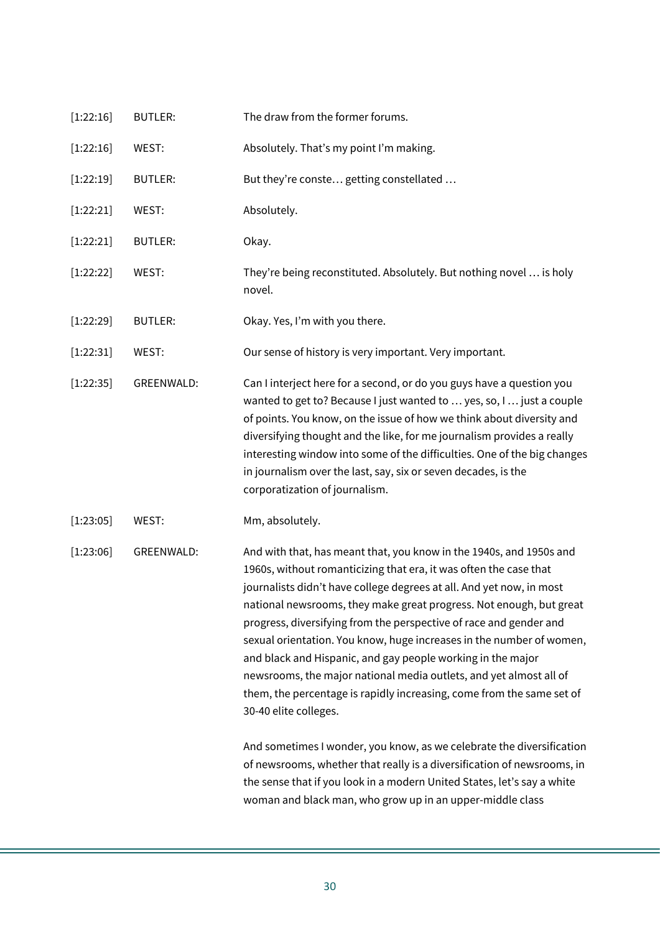| [1:22:16] | <b>BUTLER:</b>    | The draw from the former forums.                                                                                                                                                                                                                                                                                                                                                                                                                                                                                                                                                                                                                                             |
|-----------|-------------------|------------------------------------------------------------------------------------------------------------------------------------------------------------------------------------------------------------------------------------------------------------------------------------------------------------------------------------------------------------------------------------------------------------------------------------------------------------------------------------------------------------------------------------------------------------------------------------------------------------------------------------------------------------------------------|
| [1:22:16] | WEST:             | Absolutely. That's my point I'm making.                                                                                                                                                                                                                                                                                                                                                                                                                                                                                                                                                                                                                                      |
| [1:22:19] | <b>BUTLER:</b>    | But they're conste getting constellated                                                                                                                                                                                                                                                                                                                                                                                                                                                                                                                                                                                                                                      |
| [1:22:21] | WEST:             | Absolutely.                                                                                                                                                                                                                                                                                                                                                                                                                                                                                                                                                                                                                                                                  |
| [1:22:21] | <b>BUTLER:</b>    | Okay.                                                                                                                                                                                                                                                                                                                                                                                                                                                                                                                                                                                                                                                                        |
| [1:22:22] | WEST:             | They're being reconstituted. Absolutely. But nothing novel  is holy<br>novel.                                                                                                                                                                                                                                                                                                                                                                                                                                                                                                                                                                                                |
| [1:22:29] | <b>BUTLER:</b>    | Okay. Yes, I'm with you there.                                                                                                                                                                                                                                                                                                                                                                                                                                                                                                                                                                                                                                               |
| [1:22:31] | WEST:             | Our sense of history is very important. Very important.                                                                                                                                                                                                                                                                                                                                                                                                                                                                                                                                                                                                                      |
| [1:22:35] | <b>GREENWALD:</b> | Can I interject here for a second, or do you guys have a question you<br>wanted to get to? Because I just wanted to  yes, so, I  just a couple<br>of points. You know, on the issue of how we think about diversity and<br>diversifying thought and the like, for me journalism provides a really<br>interesting window into some of the difficulties. One of the big changes<br>in journalism over the last, say, six or seven decades, is the<br>corporatization of journalism.                                                                                                                                                                                            |
| [1:23:05] | WEST:             | Mm, absolutely.                                                                                                                                                                                                                                                                                                                                                                                                                                                                                                                                                                                                                                                              |
| [1:23:06] | <b>GREENWALD:</b> | And with that, has meant that, you know in the 1940s, and 1950s and<br>1960s, without romanticizing that era, it was often the case that<br>journalists didn't have college degrees at all. And yet now, in most<br>national newsrooms, they make great progress. Not enough, but great<br>progress, diversifying from the perspective of race and gender and<br>sexual orientation. You know, huge increases in the number of women,<br>and black and Hispanic, and gay people working in the major<br>newsrooms, the major national media outlets, and yet almost all of<br>them, the percentage is rapidly increasing, come from the same set of<br>30-40 elite colleges. |
|           |                   | And sometimes I wonder, you know, as we celebrate the diversification<br>of newsrooms, whether that really is a diversification of newsrooms, in<br>the sense that if you look in a modern United States, let's say a white<br>woman and black man, who grow up in an upper-middle class                                                                                                                                                                                                                                                                                                                                                                                     |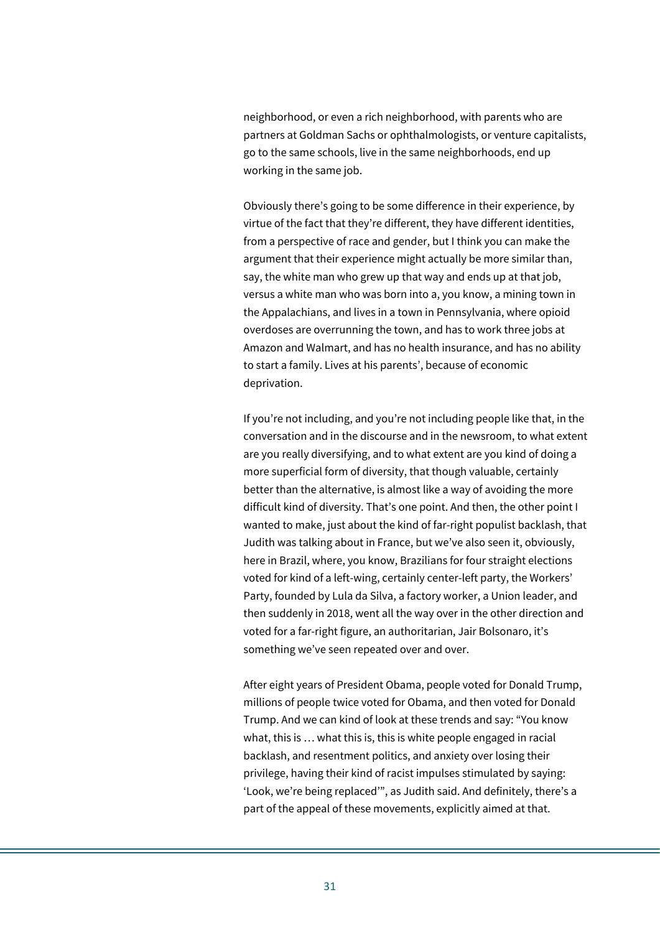neighborhood, or even a rich neighborhood, with parents who are partners at Goldman Sachs or ophthalmologists, or venture capitalists, go to the same schools, live in the same neighborhoods, end up working in the same job.

Obviously there's going to be some difference in their experience, by virtue of the fact that they're different, they have different identities, from a perspective of race and gender, but I think you can make the argument that their experience might actually be more similar than, say, the white man who grew up that way and ends up at that job, versus a white man who was born into a, you know, a mining town in the Appalachians, and lives in a town in Pennsylvania, where opioid overdoses are overrunning the town, and has to work three jobs at Amazon and Walmart, and has no health insurance, and has no ability to start a family. Lives at his parents', because of economic deprivation.

If you're not including, and you're not including people like that, in the conversation and in the discourse and in the newsroom, to what extent are you really diversifying, and to what extent are you kind of doing a more superficial form of diversity, that though valuable, certainly better than the alternative, is almost like a way of avoiding the more difficult kind of diversity. That's one point. And then, the other point I wanted to make, just about the kind of far-right populist backlash, that Judith was talking about in France, but we've also seen it, obviously, here in Brazil, where, you know, Brazilians for four straight elections voted for kind of a left-wing, certainly center-left party, the Workers' Party, founded by Lula da Silva, a factory worker, a Union leader, and then suddenly in 2018, went all the way over in the other direction and voted for a far-right figure, an authoritarian, Jair Bolsonaro, it's something we've seen repeated over and over.

After eight years of President Obama, people voted for Donald Trump, millions of people twice voted for Obama, and then voted for Donald Trump. And we can kind of look at these trends and say: "You know what, this is … what this is, this is white people engaged in racial backlash, and resentment politics, and anxiety over losing their privilege, having their kind of racist impulses stimulated by saying: 'Look, we're being replaced'", as Judith said. And definitely, there's a part of the appeal of these movements, explicitly aimed at that.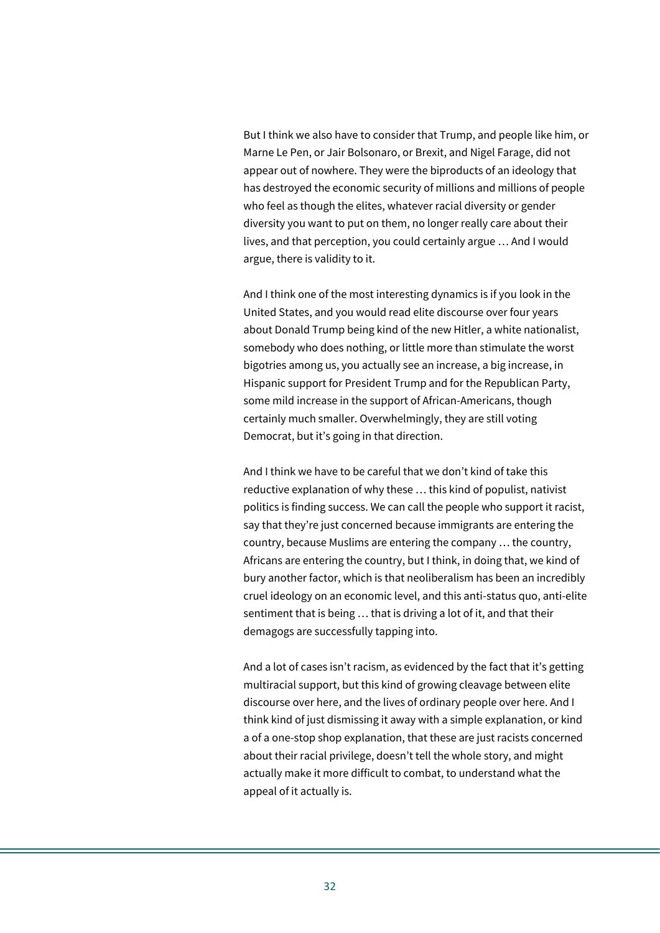But I think we also have to consider that Trump, and people like him, or Marne Le Pen, or Jair Bolsonaro, or Brexit, and Nigel Farage, did not appear out of nowhere. They were the biproducts of an ideology that has destroyed the economic security of millions and millions of people who feel as though the elites, whatever racial diversity or gender diversity you want to put on them, no longer really care about their lives, and that perception, you could certainly argue … And I would argue, there is validity to it.

And I think one of the most interesting dynamics is if you look in the United States, and you would read elite discourse over four years about Donald Trump being kind of the new Hitler, a white nationalist, somebody who does nothing, or little more than stimulate the worst bigotries among us, you actually see an increase, a big increase, in Hispanic support for President Trump and for the Republican Party, some mild increase in the support of African-Americans, though certainly much smaller. Overwhelmingly, they are still voting Democrat, but it's going in that direction.

And I think we have to be careful that we don't kind of take this reductive explanation of why these … this kind of populist, nativist politics is finding success. We can call the people who support it racist, say that they're just concerned because immigrants are entering the country, because Muslims are entering the company … the country, Africans are entering the country, but I think, in doing that, we kind of bury another factor, which is that neoliberalism has been an incredibly cruel ideology on an economic level, and this anti-status quo, anti-elite sentiment that is being … that is driving a lot of it, and that their demagogs are successfully tapping into.

And a lot of cases isn't racism, as evidenced by the fact that it's getting multiracial support, but this kind of growing cleavage between elite discourse over here, and the lives of ordinary people over here. And I think kind of just dismissing it away with a simple explanation, or kind a of a one-stop shop explanation, that these are just racists concerned about their racial privilege, doesn't tell the whole story, and might actually make it more difficult to combat, to understand what the appeal of it actually is.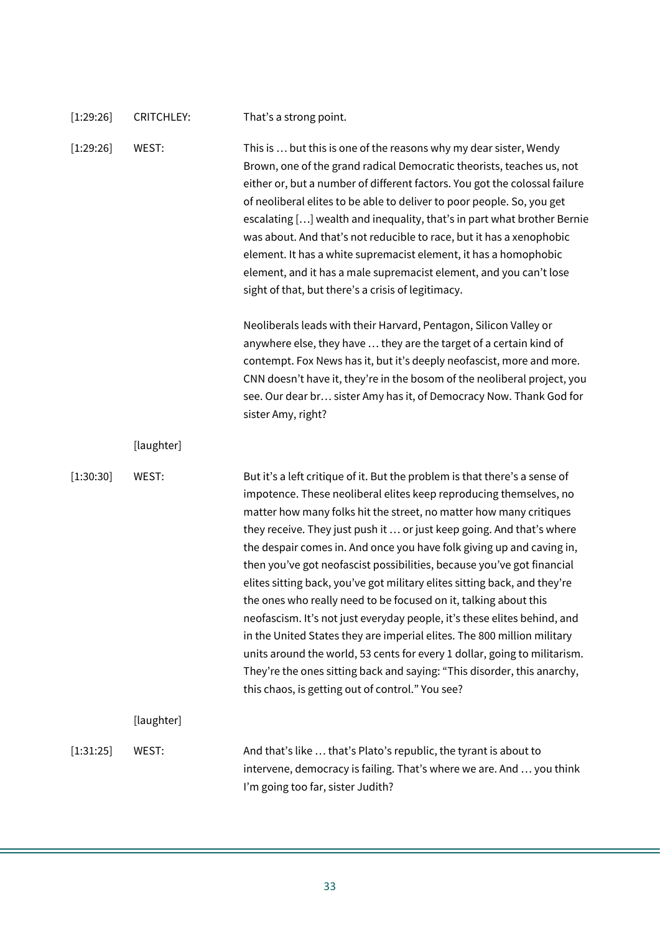| [1:29:26] | <b>CRITCHLEY:</b> | That's a strong point.                                                                                                                                                                                                                                                                                                                                                                                                                                                                                                                                                                                                                                                                                                                                                                                                                                                                                                                                                 |
|-----------|-------------------|------------------------------------------------------------------------------------------------------------------------------------------------------------------------------------------------------------------------------------------------------------------------------------------------------------------------------------------------------------------------------------------------------------------------------------------------------------------------------------------------------------------------------------------------------------------------------------------------------------------------------------------------------------------------------------------------------------------------------------------------------------------------------------------------------------------------------------------------------------------------------------------------------------------------------------------------------------------------|
| [1:29:26] | WEST:             | This is  but this is one of the reasons why my dear sister, Wendy<br>Brown, one of the grand radical Democratic theorists, teaches us, not<br>either or, but a number of different factors. You got the colossal failure<br>of neoliberal elites to be able to deliver to poor people. So, you get<br>escalating [] wealth and inequality, that's in part what brother Bernie<br>was about. And that's not reducible to race, but it has a xenophobic<br>element. It has a white supremacist element, it has a homophobic<br>element, and it has a male supremacist element, and you can't lose<br>sight of that, but there's a crisis of legitimacy.                                                                                                                                                                                                                                                                                                                  |
|           |                   | Neoliberals leads with their Harvard, Pentagon, Silicon Valley or<br>anywhere else, they have  they are the target of a certain kind of<br>contempt. Fox News has it, but it's deeply neofascist, more and more.<br>CNN doesn't have it, they're in the bosom of the neoliberal project, you<br>see. Our dear br sister Amy has it, of Democracy Now. Thank God for<br>sister Amy, right?                                                                                                                                                                                                                                                                                                                                                                                                                                                                                                                                                                              |
|           | [laughter]        |                                                                                                                                                                                                                                                                                                                                                                                                                                                                                                                                                                                                                                                                                                                                                                                                                                                                                                                                                                        |
| [1:30:30] | WEST:             | But it's a left critique of it. But the problem is that there's a sense of<br>impotence. These neoliberal elites keep reproducing themselves, no<br>matter how many folks hit the street, no matter how many critiques<br>they receive. They just push it  or just keep going. And that's where<br>the despair comes in. And once you have folk giving up and caving in,<br>then you've got neofascist possibilities, because you've got financial<br>elites sitting back, you've got military elites sitting back, and they're<br>the ones who really need to be focused on it, talking about this<br>neofascism. It's not just everyday people, it's these elites behind, and<br>in the United States they are imperial elites. The 800 million military<br>units around the world, 53 cents for every 1 dollar, going to militarism.<br>They're the ones sitting back and saying: "This disorder, this anarchy,<br>this chaos, is getting out of control." You see? |
|           | [laughter]        |                                                                                                                                                                                                                                                                                                                                                                                                                                                                                                                                                                                                                                                                                                                                                                                                                                                                                                                                                                        |
| [1:31:25] | WEST:             | And that's like  that's Plato's republic, the tyrant is about to<br>intervene, democracy is failing. That's where we are. And  you think<br>I'm going too far, sister Judith?                                                                                                                                                                                                                                                                                                                                                                                                                                                                                                                                                                                                                                                                                                                                                                                          |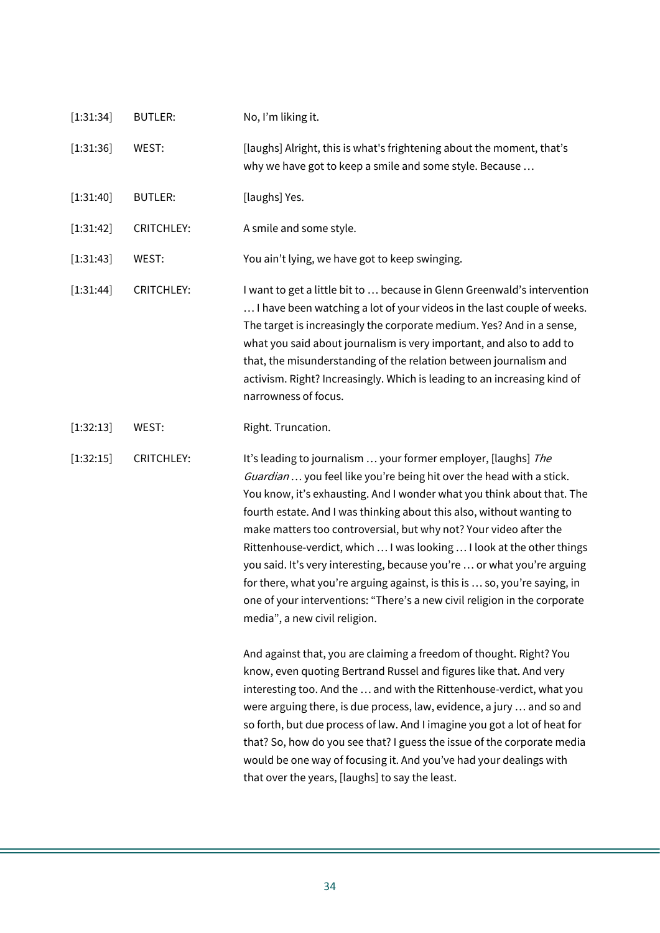| [1:31:34] | <b>BUTLER:</b>    | No, I'm liking it.                                                                                                                                                                                                                                                                                                                                                                                                                                                                                                                                                                                                                                                                                            |
|-----------|-------------------|---------------------------------------------------------------------------------------------------------------------------------------------------------------------------------------------------------------------------------------------------------------------------------------------------------------------------------------------------------------------------------------------------------------------------------------------------------------------------------------------------------------------------------------------------------------------------------------------------------------------------------------------------------------------------------------------------------------|
| [1:31:36] | WEST:             | [laughs] Alright, this is what's frightening about the moment, that's<br>why we have got to keep a smile and some style. Because                                                                                                                                                                                                                                                                                                                                                                                                                                                                                                                                                                              |
| [1:31:40] | <b>BUTLER:</b>    | [laughs] Yes.                                                                                                                                                                                                                                                                                                                                                                                                                                                                                                                                                                                                                                                                                                 |
| [1:31:42] | <b>CRITCHLEY:</b> | A smile and some style.                                                                                                                                                                                                                                                                                                                                                                                                                                                                                                                                                                                                                                                                                       |
| [1:31:43] | WEST:             | You ain't lying, we have got to keep swinging.                                                                                                                                                                                                                                                                                                                                                                                                                                                                                                                                                                                                                                                                |
| [1:31:44] | <b>CRITCHLEY:</b> | I want to get a little bit to  because in Glenn Greenwald's intervention<br>I have been watching a lot of your videos in the last couple of weeks.<br>The target is increasingly the corporate medium. Yes? And in a sense,<br>what you said about journalism is very important, and also to add to<br>that, the misunderstanding of the relation between journalism and<br>activism. Right? Increasingly. Which is leading to an increasing kind of<br>narrowness of focus.                                                                                                                                                                                                                                  |
| [1:32:13] | WEST:             | Right. Truncation.                                                                                                                                                                                                                                                                                                                                                                                                                                                                                                                                                                                                                                                                                            |
| [1:32:15] | <b>CRITCHLEY:</b> | It's leading to journalism  your former employer, [laughs] The<br>Guardian  you feel like you're being hit over the head with a stick.<br>You know, it's exhausting. And I wonder what you think about that. The<br>fourth estate. And I was thinking about this also, without wanting to<br>make matters too controversial, but why not? Your video after the<br>Rittenhouse-verdict, which  I was looking  I look at the other things<br>you said. It's very interesting, because you're  or what you're arguing<br>for there, what you're arguing against, is this is  so, you're saying, in<br>one of your interventions: "There's a new civil religion in the corporate<br>media", a new civil religion. |
|           |                   | And against that, you are claiming a freedom of thought. Right? You<br>know, even quoting Bertrand Russel and figures like that. And very<br>interesting too. And the  and with the Rittenhouse-verdict, what you<br>were arguing there, is due process, law, evidence, a jury  and so and<br>so forth, but due process of law. And I imagine you got a lot of heat for<br>that? So, how do you see that? I guess the issue of the corporate media<br>would be one way of focusing it. And you've had your dealings with<br>that over the years, [laughs] to say the least.                                                                                                                                   |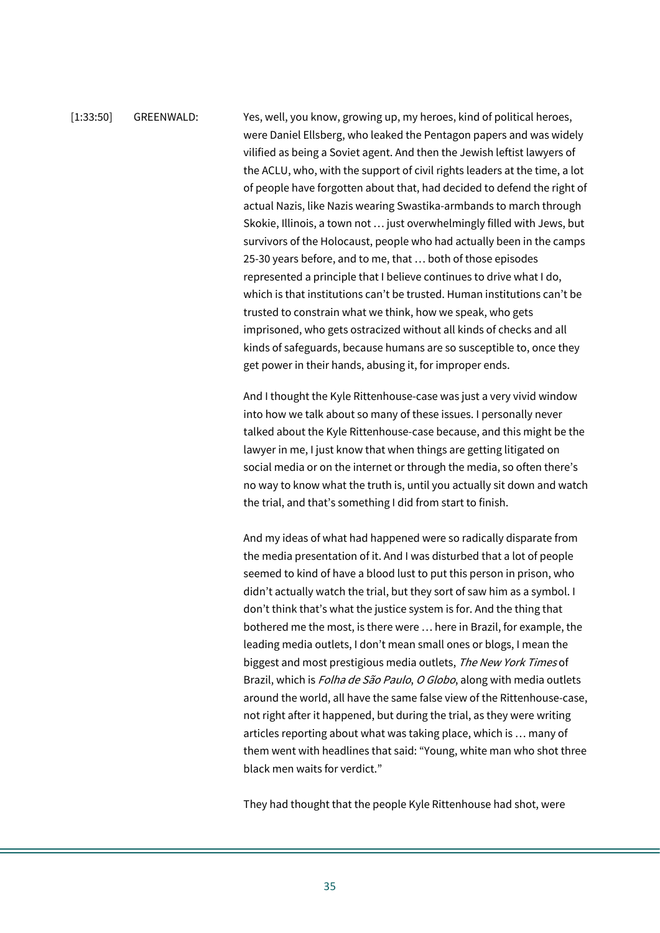## [1:33:50] GREENWALD: Yes, well, you know, growing up, my heroes, kind of political heroes, were Daniel Ellsberg, who leaked the Pentagon papers and was widely vilified as being a Soviet agent. And then the Jewish leftist lawyers of the ACLU, who, with the support of civil rights leaders at the time, a lot of people have forgotten about that, had decided to defend the right of actual Nazis, like Nazis wearing Swastika-armbands to march through Skokie, Illinois, a town not … just overwhelmingly filled with Jews, but survivors of the Holocaust, people who had actually been in the camps 25-30 years before, and to me, that … both of those episodes represented a principle that I believe continues to drive what I do, which is that institutions can't be trusted. Human institutions can't be trusted to constrain what we think, how we speak, who gets imprisoned, who gets ostracized without all kinds of checks and all

And I thought the Kyle Rittenhouse-case was just a very vivid window into how we talk about so many of these issues. I personally never talked about the Kyle Rittenhouse-case because, and this might be the lawyer in me, I just know that when things are getting litigated on social media or on the internet or through the media, so often there's no way to know what the truth is, until you actually sit down and watch the trial, and that's something I did from start to finish.

kinds of safeguards, because humans are so susceptible to, once they

get power in their hands, abusing it, for improper ends.

And my ideas of what had happened were so radically disparate from the media presentation of it. And I was disturbed that a lot of people seemed to kind of have a blood lust to put this person in prison, who didn't actually watch the trial, but they sort of saw him as a symbol. I don't think that's what the justice system is for. And the thing that bothered me the most, is there were … here in Brazil, for example, the leading media outlets, I don't mean small ones or blogs, I mean the biggest and most prestigious media outlets, The New York Times of Brazil, which is *Folha de São Paulo, O Globo*, along with media outlets around the world, all have the same false view of the Rittenhouse-case, not right after it happened, but during the trial, as they were writing articles reporting about what was taking place, which is … many of them went with headlines that said: "Young, white man who shot three black men waits for verdict."

They had thought that the people Kyle Rittenhouse had shot, were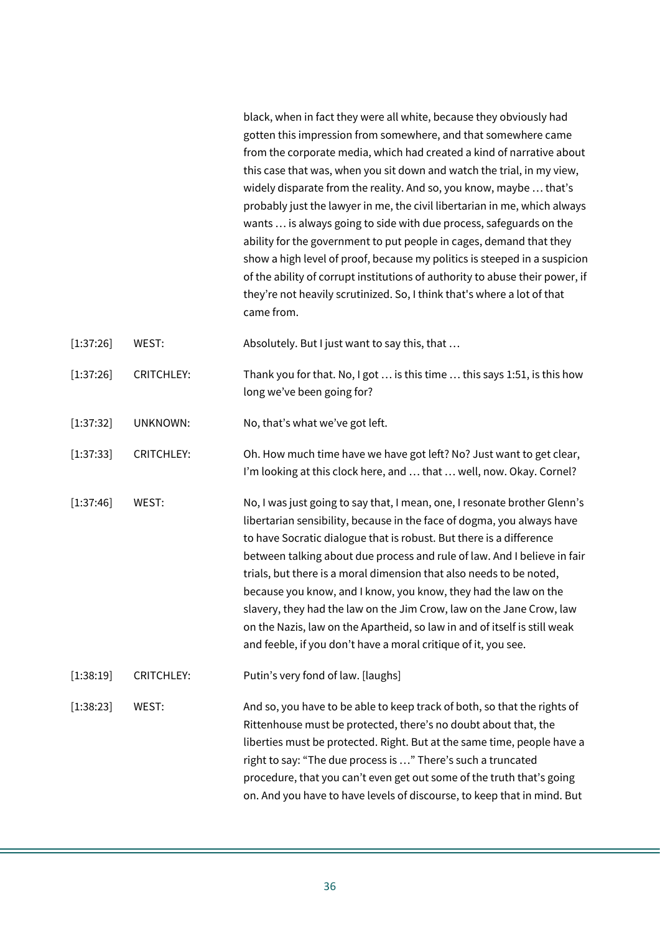black, when in fact they were all white, because they obviously had gotten this impression from somewhere, and that somewhere came from the corporate media, which had created a kind of narrative about this case that was, when you sit down and watch the trial, in my view, widely disparate from the reality. And so, you know, maybe … that's probably just the lawyer in me, the civil libertarian in me, which always wants … is always going to side with due process, safeguards on the ability for the government to put people in cages, demand that they show a high level of proof, because my politics is steeped in a suspicion of the ability of corrupt institutions of authority to abuse their power, if they're not heavily scrutinized. So, I think that's where a lot of that came from.

[1:37:26] WEST: Absolutely. But I just want to say this, that …

- [1:37:26] CRITCHLEY: Thank you for that. No, I got … is this time … this says 1:51, is this how long we've been going for?
- [1:37:32] UNKNOWN: No, that's what we've got left.
- [1:37:33] CRITCHLEY: Oh. How much time have we have got left? No? Just want to get clear, I'm looking at this clock here, and … that … well, now. Okay. Cornel?
- [1:37:46] WEST: No, I was just going to say that, I mean, one, I resonate brother Glenn's libertarian sensibility, because in the face of dogma, you always have to have Socratic dialogue that is robust. But there is a difference between talking about due process and rule of law. And I believe in fair trials, but there is a moral dimension that also needs to be noted, because you know, and I know, you know, they had the law on the slavery, they had the law on the Jim Crow, law on the Jane Crow, law on the Nazis, law on the Apartheid, so law in and of itself is still weak and feeble, if you don't have a moral critique of it, you see.
- [1:38:19] CRITCHLEY: Putin's very fond of law. [laughs]
- [1:38:23] WEST: And so, you have to be able to keep track of both, so that the rights of Rittenhouse must be protected, there's no doubt about that, the liberties must be protected. Right. But at the same time, people have a right to say: "The due process is …" There's such a truncated procedure, that you can't even get out some of the truth that's going on. And you have to have levels of discourse, to keep that in mind. But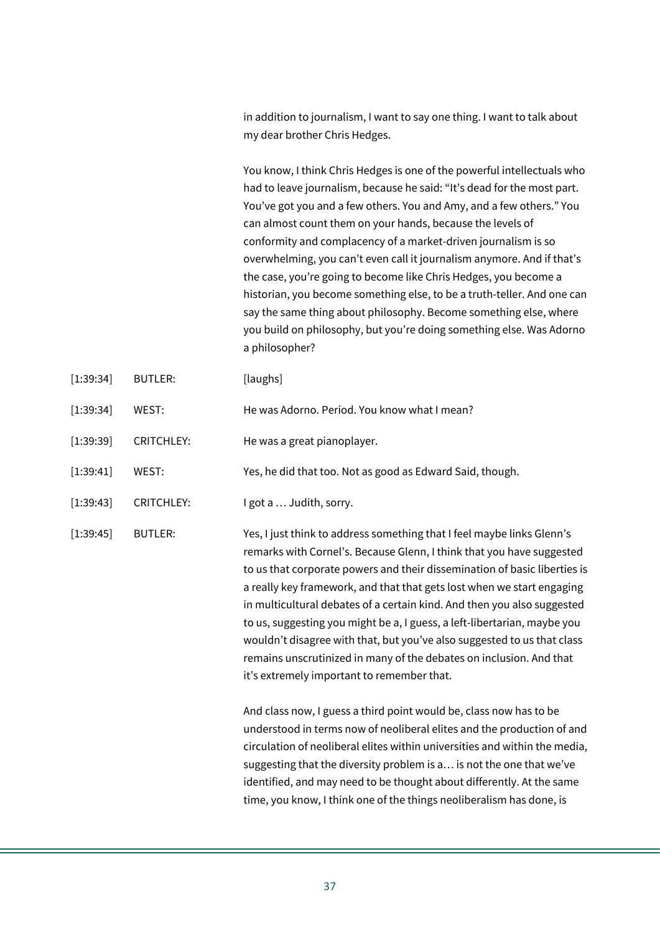in addition to journalism, I want to say one thing. I want to talk about my dear brother Chris Hedges.

You know, I think Chris Hedges is one of the powerful intellectuals who had to leave journalism, because he said: "It's dead for the most part. You've got you and a few others. You and Amy, and a few others." You can almost count them on your hands, because the levels of conformity and complacency of a market-driven journalism is so overwhelming, you can't even call it journalism anymore. And if that's the case, you're going to become like Chris Hedges, you become a historian, you become something else, to be a truth-teller. And one can say the same thing about philosophy. Become something else, where you build on philosophy, but you're doing something else. Was Adorno a philosopher?

- [1:39:34] BUTLER: [laughs]
- [1:39:34] WEST: He was Adorno. Period. You know what I mean?
- [1:39:39] CRITCHLEY: He was a great pianoplayer.
- [1:39:41] WEST: Yes, he did that too. Not as good as Edward Said, though.
- [1:39:43] CRITCHLEY: I got a ... Judith, sorry.

[1:39:45] BUTLER: Yes, I just think to address something that I feel maybe links Glenn's remarks with Cornel's. Because Glenn, I think that you have suggested to us that corporate powers and their dissemination of basic liberties is a really key framework, and that that gets lost when we start engaging in multicultural debates of a certain kind. And then you also suggested to us, suggesting you might be a, I guess, a left-libertarian, maybe you wouldn't disagree with that, but you've also suggested to us that class remains unscrutinized in many of the debates on inclusion. And that it's extremely important to remember that.

> And class now, I guess a third point would be, class now has to be understood in terms now of neoliberal elites and the production of and circulation of neoliberal elites within universities and within the media, suggesting that the diversity problem is a… is not the one that we've identified, and may need to be thought about differently. At the same time, you know, I think one of the things neoliberalism has done, is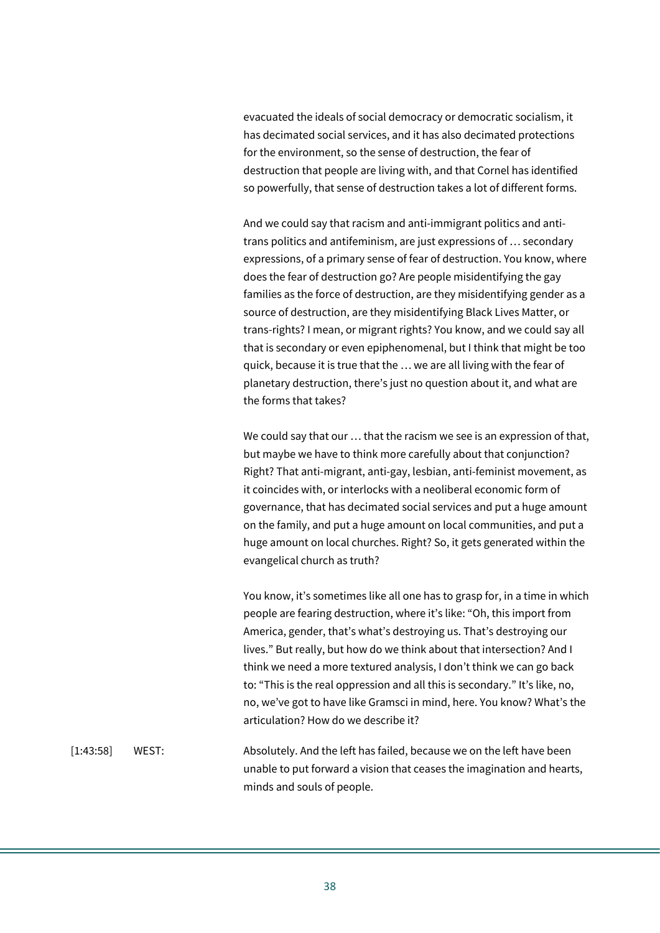evacuated the ideals of social democracy or democratic socialism, it has decimated social services, and it has also decimated protections for the environment, so the sense of destruction, the fear of destruction that people are living with, and that Cornel has identified so powerfully, that sense of destruction takes a lot of different forms.

And we could say that racism and anti-immigrant politics and antitrans politics and antifeminism, are just expressions of … secondary expressions, of a primary sense of fear of destruction. You know, where does the fear of destruction go? Are people misidentifying the gay families as the force of destruction, are they misidentifying gender as a source of destruction, are they misidentifying Black Lives Matter, or trans-rights? I mean, or migrant rights? You know, and we could say all that is secondary or even epiphenomenal, but I think that might be too quick, because it is true that the … we are all living with the fear of planetary destruction, there's just no question about it, and what are the forms that takes?

We could say that our … that the racism we see is an expression of that, but maybe we have to think more carefully about that conjunction? Right? That anti-migrant, anti-gay, lesbian, anti-feminist movement, as it coincides with, or interlocks with a neoliberal economic form of governance, that has decimated social services and put a huge amount on the family, and put a huge amount on local communities, and put a huge amount on local churches. Right? So, it gets generated within the evangelical church as truth?

You know, it's sometimes like all one has to grasp for, in a time in which people are fearing destruction, where it's like: "Oh, this import from America, gender, that's what's destroying us. That's destroying our lives." But really, but how do we think about that intersection? And I think we need a more textured analysis, I don't think we can go back to: "This is the real oppression and all this is secondary." It's like, no, no, we've got to have like Gramsci in mind, here. You know? What's the articulation? How do we describe it?

[1:43:58] WEST: Absolutely. And the left has failed, because we on the left have been unable to put forward a vision that ceases the imagination and hearts, minds and souls of people.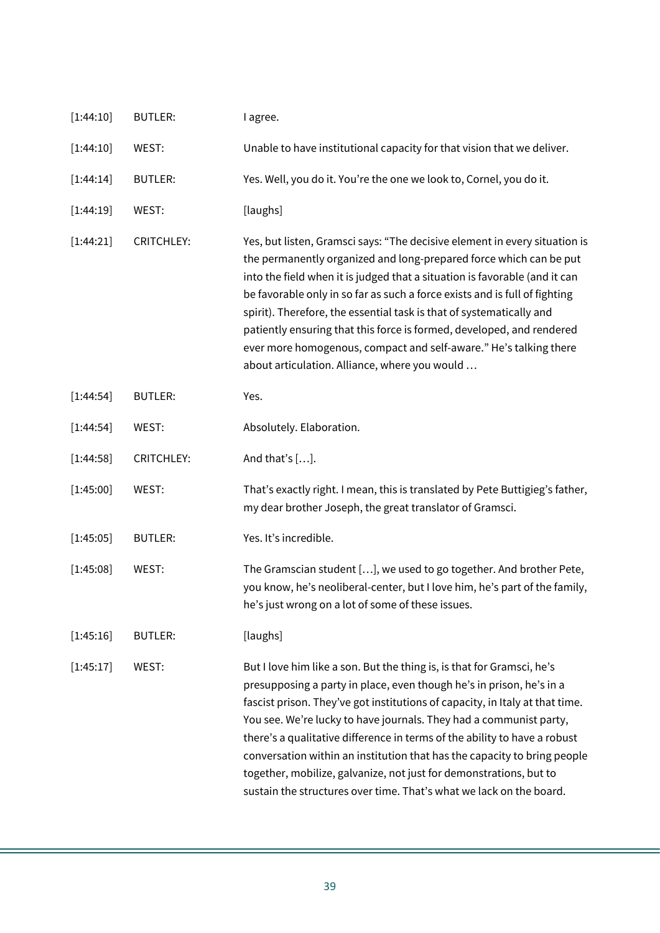| [1:44:10]<br>[1:44:14]<br>[1:44:19]<br>[1:44:21] | WEST:<br><b>BUTLER:</b> | Unable to have institutional capacity for that vision that we deliver.                                                                                                                                                                                                                                                                                                                                                                                                                                                                                                                                     |
|--------------------------------------------------|-------------------------|------------------------------------------------------------------------------------------------------------------------------------------------------------------------------------------------------------------------------------------------------------------------------------------------------------------------------------------------------------------------------------------------------------------------------------------------------------------------------------------------------------------------------------------------------------------------------------------------------------|
|                                                  |                         |                                                                                                                                                                                                                                                                                                                                                                                                                                                                                                                                                                                                            |
|                                                  |                         | Yes. Well, you do it. You're the one we look to, Cornel, you do it.                                                                                                                                                                                                                                                                                                                                                                                                                                                                                                                                        |
|                                                  | WEST:                   | [laughs]                                                                                                                                                                                                                                                                                                                                                                                                                                                                                                                                                                                                   |
|                                                  | <b>CRITCHLEY:</b>       | Yes, but listen, Gramsci says: "The decisive element in every situation is<br>the permanently organized and long-prepared force which can be put<br>into the field when it is judged that a situation is favorable (and it can<br>be favorable only in so far as such a force exists and is full of fighting<br>spirit). Therefore, the essential task is that of systematically and<br>patiently ensuring that this force is formed, developed, and rendered<br>ever more homogenous, compact and self-aware." He's talking there<br>about articulation. Alliance, where you would                        |
| [1:44:54]                                        | <b>BUTLER:</b>          | Yes.                                                                                                                                                                                                                                                                                                                                                                                                                                                                                                                                                                                                       |
| [1:44:54]                                        | WEST:                   | Absolutely. Elaboration.                                                                                                                                                                                                                                                                                                                                                                                                                                                                                                                                                                                   |
| [1:44:58]                                        | <b>CRITCHLEY:</b>       | And that's $[]$ .                                                                                                                                                                                                                                                                                                                                                                                                                                                                                                                                                                                          |
| [1:45:00]                                        | WEST:                   | That's exactly right. I mean, this is translated by Pete Buttigieg's father,<br>my dear brother Joseph, the great translator of Gramsci.                                                                                                                                                                                                                                                                                                                                                                                                                                                                   |
| [1:45:05]                                        | <b>BUTLER:</b>          | Yes. It's incredible.                                                                                                                                                                                                                                                                                                                                                                                                                                                                                                                                                                                      |
| [1:45:08]                                        | WEST:                   | The Gramscian student [], we used to go together. And brother Pete,<br>you know, he's neoliberal-center, but I love him, he's part of the family,<br>he's just wrong on a lot of some of these issues.                                                                                                                                                                                                                                                                                                                                                                                                     |
| [1:45:16]                                        | <b>BUTLER:</b>          | [laughs]                                                                                                                                                                                                                                                                                                                                                                                                                                                                                                                                                                                                   |
| [1:45:17]                                        | WEST:                   | But I love him like a son. But the thing is, is that for Gramsci, he's<br>presupposing a party in place, even though he's in prison, he's in a<br>fascist prison. They've got institutions of capacity, in Italy at that time.<br>You see. We're lucky to have journals. They had a communist party,<br>there's a qualitative difference in terms of the ability to have a robust<br>conversation within an institution that has the capacity to bring people<br>together, mobilize, galvanize, not just for demonstrations, but to<br>sustain the structures over time. That's what we lack on the board. |
|                                                  |                         |                                                                                                                                                                                                                                                                                                                                                                                                                                                                                                                                                                                                            |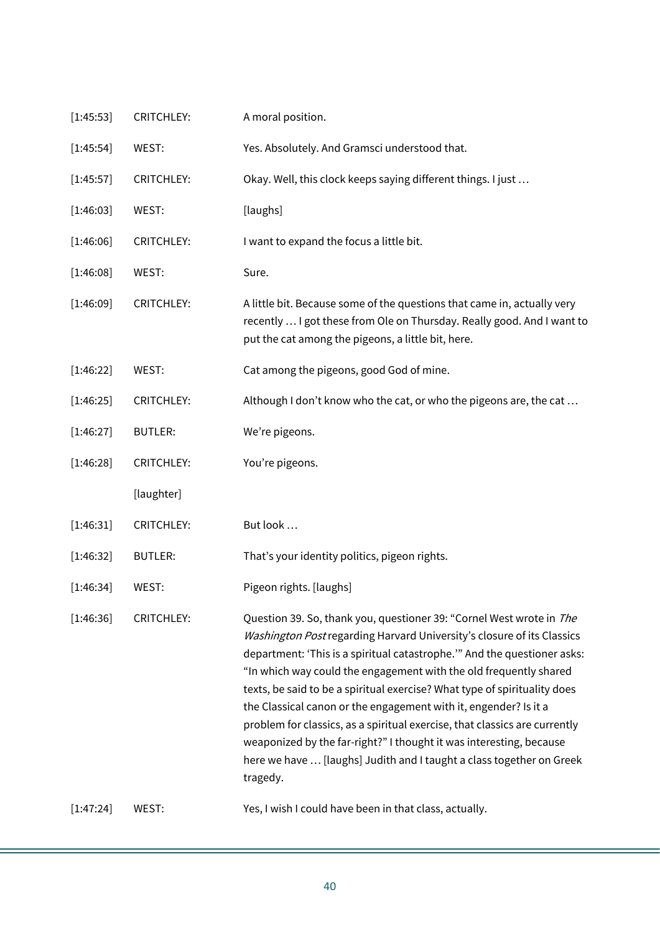| [1:45:53] | <b>CRITCHLEY:</b> | A moral position.                                                                                                                                                                                                                                                                                                                                                                                                                                                                                                                                                                                                                                                                         |
|-----------|-------------------|-------------------------------------------------------------------------------------------------------------------------------------------------------------------------------------------------------------------------------------------------------------------------------------------------------------------------------------------------------------------------------------------------------------------------------------------------------------------------------------------------------------------------------------------------------------------------------------------------------------------------------------------------------------------------------------------|
| [1:45:54] | WEST:             | Yes. Absolutely. And Gramsci understood that.                                                                                                                                                                                                                                                                                                                                                                                                                                                                                                                                                                                                                                             |
| [1:45:57] | <b>CRITCHLEY:</b> | Okay. Well, this clock keeps saying different things. I just                                                                                                                                                                                                                                                                                                                                                                                                                                                                                                                                                                                                                              |
| [1:46:03] | WEST:             | [laughs]                                                                                                                                                                                                                                                                                                                                                                                                                                                                                                                                                                                                                                                                                  |
| [1:46:06] | <b>CRITCHLEY:</b> | I want to expand the focus a little bit.                                                                                                                                                                                                                                                                                                                                                                                                                                                                                                                                                                                                                                                  |
| [1:46:08] | WEST:             | Sure.                                                                                                                                                                                                                                                                                                                                                                                                                                                                                                                                                                                                                                                                                     |
| [1:46:09] | <b>CRITCHLEY:</b> | A little bit. Because some of the questions that came in, actually very<br>recently  I got these from Ole on Thursday. Really good. And I want to<br>put the cat among the pigeons, a little bit, here.                                                                                                                                                                                                                                                                                                                                                                                                                                                                                   |
| [1:46:22] | WEST:             | Cat among the pigeons, good God of mine.                                                                                                                                                                                                                                                                                                                                                                                                                                                                                                                                                                                                                                                  |
| [1:46:25] | <b>CRITCHLEY:</b> | Although I don't know who the cat, or who the pigeons are, the cat                                                                                                                                                                                                                                                                                                                                                                                                                                                                                                                                                                                                                        |
| [1:46:27] | <b>BUTLER:</b>    | We're pigeons.                                                                                                                                                                                                                                                                                                                                                                                                                                                                                                                                                                                                                                                                            |
| [1:46:28] | <b>CRITCHLEY:</b> | You're pigeons.                                                                                                                                                                                                                                                                                                                                                                                                                                                                                                                                                                                                                                                                           |
|           | [laughter]        |                                                                                                                                                                                                                                                                                                                                                                                                                                                                                                                                                                                                                                                                                           |
| [1:46:31] | <b>CRITCHLEY:</b> | But look                                                                                                                                                                                                                                                                                                                                                                                                                                                                                                                                                                                                                                                                                  |
| [1:46:32] | <b>BUTLER:</b>    | That's your identity politics, pigeon rights.                                                                                                                                                                                                                                                                                                                                                                                                                                                                                                                                                                                                                                             |
| [1:46:34] | WEST:             | Pigeon rights. [laughs]                                                                                                                                                                                                                                                                                                                                                                                                                                                                                                                                                                                                                                                                   |
| [1:46:36] | <b>CRITCHLEY:</b> | Question 39. So, thank you, questioner 39: "Cornel West wrote in The<br>Washington Post regarding Harvard University's closure of its Classics<br>department: 'This is a spiritual catastrophe.'" And the questioner asks:<br>"In which way could the engagement with the old frequently shared<br>texts, be said to be a spiritual exercise? What type of spirituality does<br>the Classical canon or the engagement with it, engender? Is it a<br>problem for classics, as a spiritual exercise, that classics are currently<br>weaponized by the far-right?" I thought it was interesting, because<br>here we have  [laughs] Judith and I taught a class together on Greek<br>tragedy. |
| [1:47:24] | WEST:             | Yes, I wish I could have been in that class, actually.                                                                                                                                                                                                                                                                                                                                                                                                                                                                                                                                                                                                                                    |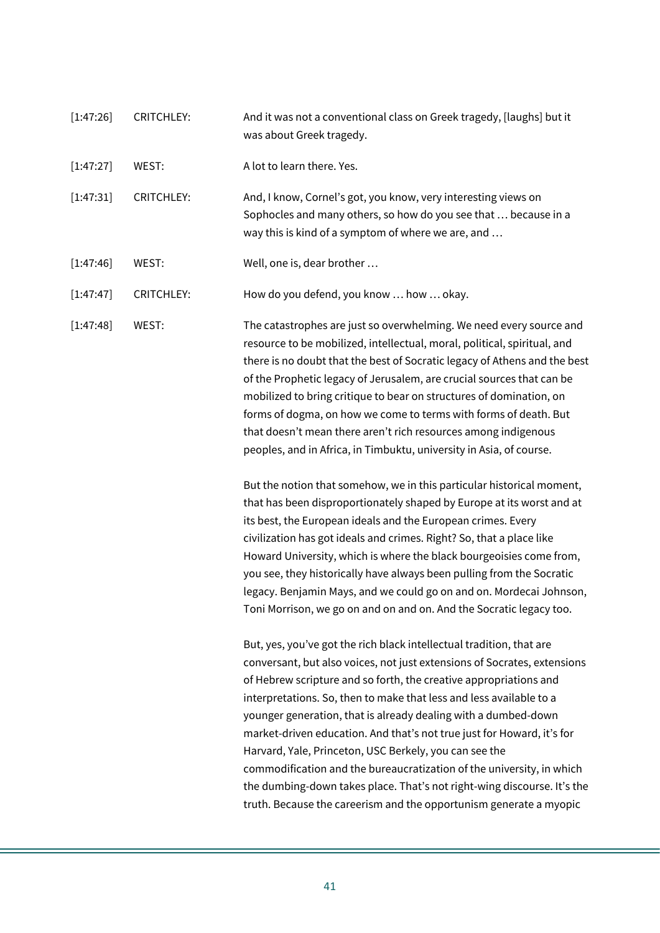| [1:47:26] | <b>CRITCHLEY:</b> | And it was not a conventional class on Greek tragedy, [laughs] but it<br>was about Greek tragedy.                                                                                                                                                                                                                                                                                                                                                                                                                                                                                                                                                                                                                            |
|-----------|-------------------|------------------------------------------------------------------------------------------------------------------------------------------------------------------------------------------------------------------------------------------------------------------------------------------------------------------------------------------------------------------------------------------------------------------------------------------------------------------------------------------------------------------------------------------------------------------------------------------------------------------------------------------------------------------------------------------------------------------------------|
| [1:47:27] | WEST:             | A lot to learn there. Yes.                                                                                                                                                                                                                                                                                                                                                                                                                                                                                                                                                                                                                                                                                                   |
| [1:47:31] | <b>CRITCHLEY:</b> | And, I know, Cornel's got, you know, very interesting views on<br>Sophocles and many others, so how do you see that  because in a<br>way this is kind of a symptom of where we are, and                                                                                                                                                                                                                                                                                                                                                                                                                                                                                                                                      |
| [1:47:46] | WEST:             | Well, one is, dear brother                                                                                                                                                                                                                                                                                                                                                                                                                                                                                                                                                                                                                                                                                                   |
| [1:47:47] | <b>CRITCHLEY:</b> | How do you defend, you know  how  okay.                                                                                                                                                                                                                                                                                                                                                                                                                                                                                                                                                                                                                                                                                      |
| [1:47:48] | WEST:             | The catastrophes are just so overwhelming. We need every source and<br>resource to be mobilized, intellectual, moral, political, spiritual, and<br>there is no doubt that the best of Socratic legacy of Athens and the best<br>of the Prophetic legacy of Jerusalem, are crucial sources that can be<br>mobilized to bring critique to bear on structures of domination, on<br>forms of dogma, on how we come to terms with forms of death. But<br>that doesn't mean there aren't rich resources among indigenous<br>peoples, and in Africa, in Timbuktu, university in Asia, of course.                                                                                                                                    |
|           |                   | But the notion that somehow, we in this particular historical moment,<br>that has been disproportionately shaped by Europe at its worst and at<br>its best, the European ideals and the European crimes. Every<br>civilization has got ideals and crimes. Right? So, that a place like<br>Howard University, which is where the black bourgeoisies come from,<br>you see, they historically have always been pulling from the Socratic<br>legacy. Benjamin Mays, and we could go on and on. Mordecai Johnson,<br>Toni Morrison, we go on and on and on. And the Socratic legacy too.                                                                                                                                         |
|           |                   | But, yes, you've got the rich black intellectual tradition, that are<br>conversant, but also voices, not just extensions of Socrates, extensions<br>of Hebrew scripture and so forth, the creative appropriations and<br>interpretations. So, then to make that less and less available to a<br>younger generation, that is already dealing with a dumbed-down<br>market-driven education. And that's not true just for Howard, it's for<br>Harvard, Yale, Princeton, USC Berkely, you can see the<br>commodification and the bureaucratization of the university, in which<br>the dumbing-down takes place. That's not right-wing discourse. It's the<br>truth. Because the careerism and the opportunism generate a myopic |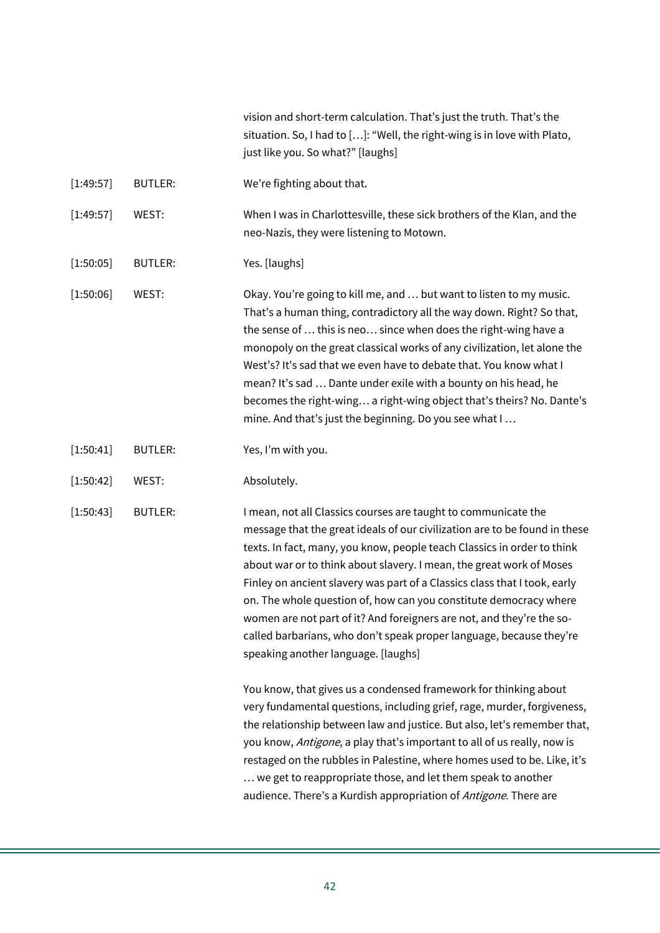| vision and short-term calculation. That's just the truth. That's the     |
|--------------------------------------------------------------------------|
| situation. So, I had to []: "Well, the right-wing is in love with Plato, |
| just like you. So what?" [laughs]                                        |

- [1:49:57] BUTLER: We're fighting about that.
- [1:49:57] WEST: When I was in Charlottesville, these sick brothers of the Klan, and the neo-Nazis, they were listening to Motown.
- [1:50:05] BUTLER: Yes. [laughs]

[1:50:06] WEST: Okay. You're going to kill me, and … but want to listen to my music. That's a human thing, contradictory all the way down. Right? So that, the sense of … this is neo… since when does the right-wing have a monopoly on the great classical works of any civilization, let alone the West's? It's sad that we even have to debate that. You know what I mean? It's sad … Dante under exile with a bounty on his head, he becomes the right-wing… a right-wing object that's theirs? No. Dante's mine. And that's just the beginning. Do you see what I …

- [1:50:41] BUTLER: Yes, I'm with you.
- [1:50:42] WEST: Absolutely.

[1:50:43] BUTLER: I mean, not all Classics courses are taught to communicate the message that the great ideals of our civilization are to be found in these texts. In fact, many, you know, people teach Classics in order to think about war or to think about slavery. I mean, the great work of Moses Finley on ancient slavery was part of a Classics class that I took, early on. The whole question of, how can you constitute democracy where women are not part of it? And foreigners are not, and they're the socalled barbarians, who don't speak proper language, because they're speaking another language. [laughs]

> You know, that gives us a condensed framework for thinking about very fundamental questions, including grief, rage, murder, forgiveness, the relationship between law and justice. But also, let's remember that, you know, *Antigone*, a play that's important to all of us really, now is restaged on the rubbles in Palestine, where homes used to be. Like, it's … we get to reappropriate those, and let them speak to another audience. There's a Kurdish appropriation of Antigone. There are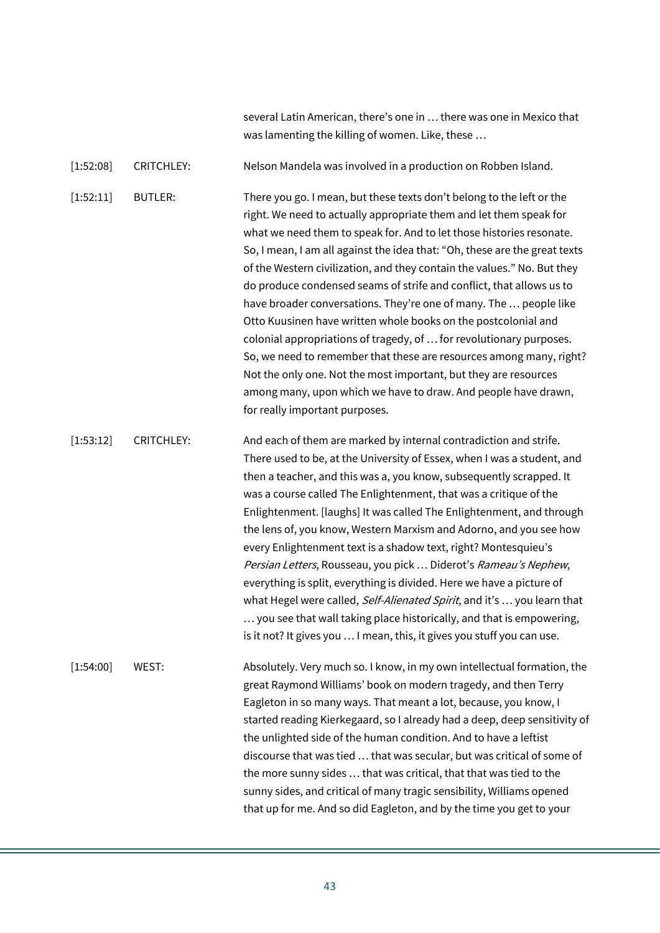several Latin American, there's one in … there was one in Mexico that was lamenting the killing of women. Like, these …

[1:52:08] CRITCHLEY: Nelson Mandela was involved in a production on Robben Island.

[1:52:11] BUTLER: There you go. I mean, but these texts don't belong to the left or the right. We need to actually appropriate them and let them speak for what we need them to speak for. And to let those histories resonate. So, I mean, I am all against the idea that: "Oh, these are the great texts of the Western civilization, and they contain the values." No. But they do produce condensed seams of strife and conflict, that allows us to have broader conversations. They're one of many. The … people like Otto Kuusinen have written whole books on the postcolonial and colonial appropriations of tragedy, of … for revolutionary purposes. So, we need to remember that these are resources among many, right? Not the only one. Not the most important, but they are resources among many, upon which we have to draw. And people have drawn, for really important purposes.

[1:53:12] CRITCHLEY: And each of them are marked by internal contradiction and strife. There used to be, at the University of Essex, when I was a student, and then a teacher, and this was a, you know, subsequently scrapped. It was a course called The Enlightenment, that was a critique of the Enlightenment. [laughs] It was called The Enlightenment, and through the lens of, you know, Western Marxism and Adorno, and you see how every Enlightenment text is a shadow text, right? Montesquieu's Persian Letters, Rousseau, you pick ... Diderot's Rameau's Nephew, everything is split, everything is divided. Here we have a picture of what Hegel were called, Self-Alienated Spirit, and it's ... you learn that … you see that wall taking place historically, and that is empowering, is it not? It gives you … I mean, this, it gives you stuff you can use.

[1:54:00] WEST: Absolutely. Very much so. I know, in my own intellectual formation, the great Raymond Williams' book on modern tragedy, and then Terry Eagleton in so many ways. That meant a lot, because, you know, I started reading Kierkegaard, so I already had a deep, deep sensitivity of the unlighted side of the human condition. And to have a leftist discourse that was tied … that was secular, but was critical of some of the more sunny sides … that was critical, that that was tied to the sunny sides, and critical of many tragic sensibility, Williams opened that up for me. And so did Eagleton, and by the time you get to your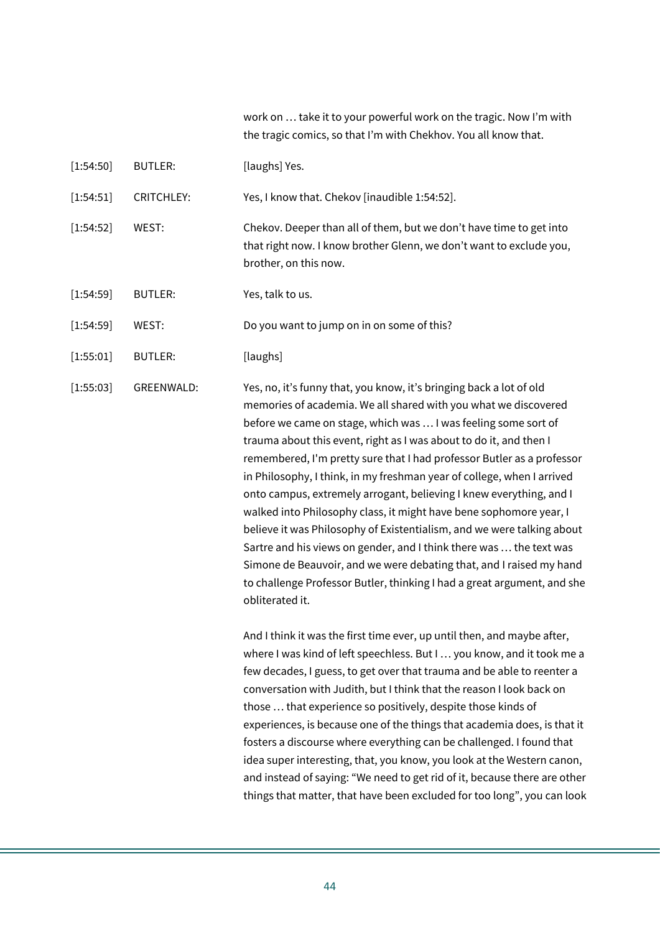work on … take it to your powerful work on the tragic. Now I'm with the tragic comics, so that I'm with Chekhov. You all know that.

[1:54:50] BUTLER: [laughs] Yes.

[1:54:51] CRITCHLEY: Yes, I know that. Chekov [inaudible 1:54:52].

- [1:54:52] WEST: Chekov. Deeper than all of them, but we don't have time to get into that right now. I know brother Glenn, we don't want to exclude you, brother, on this now.
- [1:54:59] BUTLER: Yes, talk to us.

[1:54:59] WEST: Do you want to jump on in on some of this?

[1:55:01] BUTLER: [laughs]

[1:55:03] GREENWALD: Yes, no, it's funny that, you know, it's bringing back a lot of old memories of academia. We all shared with you what we discovered before we came on stage, which was … I was feeling some sort of trauma about this event, right as I was about to do it, and then I remembered, I'm pretty sure that I had professor Butler as a professor in Philosophy, I think, in my freshman year of college, when I arrived onto campus, extremely arrogant, believing I knew everything, and I walked into Philosophy class, it might have bene sophomore year, I believe it was Philosophy of Existentialism, and we were talking about Sartre and his views on gender, and I think there was … the text was Simone de Beauvoir, and we were debating that, and I raised my hand to challenge Professor Butler, thinking I had a great argument, and she obliterated it.

> And I think it was the first time ever, up until then, and maybe after, where I was kind of left speechless. But I … you know, and it took me a few decades, I guess, to get over that trauma and be able to reenter a conversation with Judith, but I think that the reason I look back on those … that experience so positively, despite those kinds of experiences, is because one of the things that academia does, is that it fosters a discourse where everything can be challenged. I found that idea super interesting, that, you know, you look at the Western canon, and instead of saying: "We need to get rid of it, because there are other things that matter, that have been excluded for too long", you can look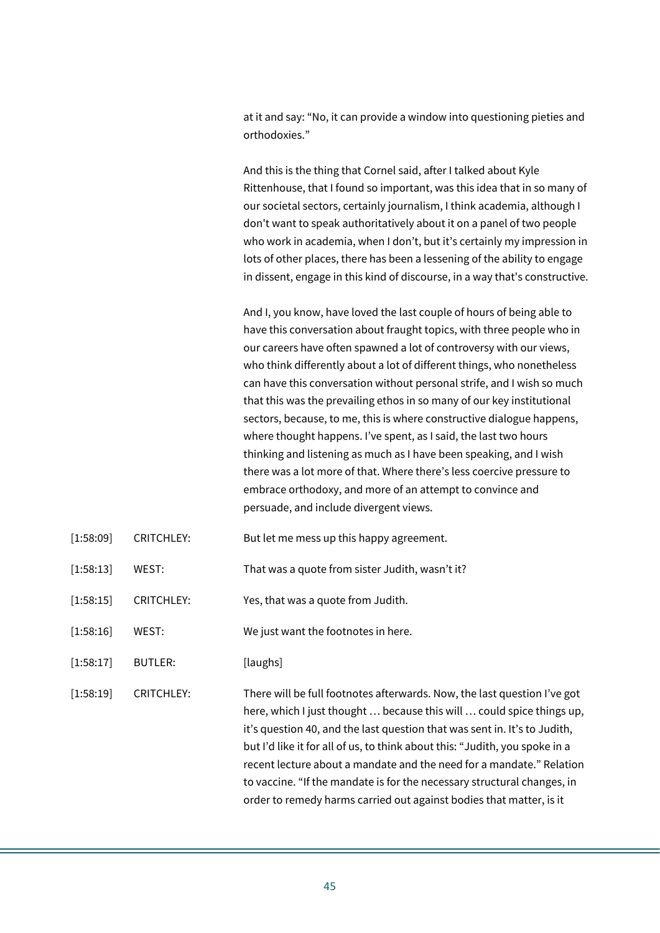at it and say: "No, it can provide a window into questioning pieties and orthodoxies."

And this is the thing that Cornel said, after I talked about Kyle Rittenhouse, that I found so important, was this idea that in so many of our societal sectors, certainly journalism, I think academia, although I don't want to speak authoritatively about it on a panel of two people who work in academia, when I don't, but it's certainly my impression in lots of other places, there has been a lessening of the ability to engage in dissent, engage in this kind of discourse, in a way that's constructive.

And I, you know, have loved the last couple of hours of being able to have this conversation about fraught topics, with three people who in our careers have often spawned a lot of controversy with our views, who think differently about a lot of different things, who nonetheless can have this conversation without personal strife, and I wish so much that this was the prevailing ethos in so many of our key institutional sectors, because, to me, this is where constructive dialogue happens, where thought happens. I've spent, as I said, the last two hours thinking and listening as much as I have been speaking, and I wish there was a lot more of that. Where there's less coercive pressure to embrace orthodoxy, and more of an attempt to convince and persuade, and include divergent views.

- [1:58:09] CRITCHLEY: But let me mess up this happy agreement.
- [1:58:13] WEST: That was a quote from sister Judith, wasn't it?
- [1:58:15] CRITCHLEY: Yes, that was a quote from Judith.
- [1:58:16] WEST: We just want the footnotes in here.
- [1:58:17] BUTLER: [laughs]
- [1:58:19] CRITCHLEY: There will be full footnotes afterwards. Now, the last question I've got here, which I just thought … because this will … could spice things up, it's question 40, and the last question that was sent in. It's to Judith, but I'd like it for all of us, to think about this: "Judith, you spoke in a recent lecture about a mandate and the need for a mandate." Relation to vaccine. "If the mandate is for the necessary structural changes, in order to remedy harms carried out against bodies that matter, is it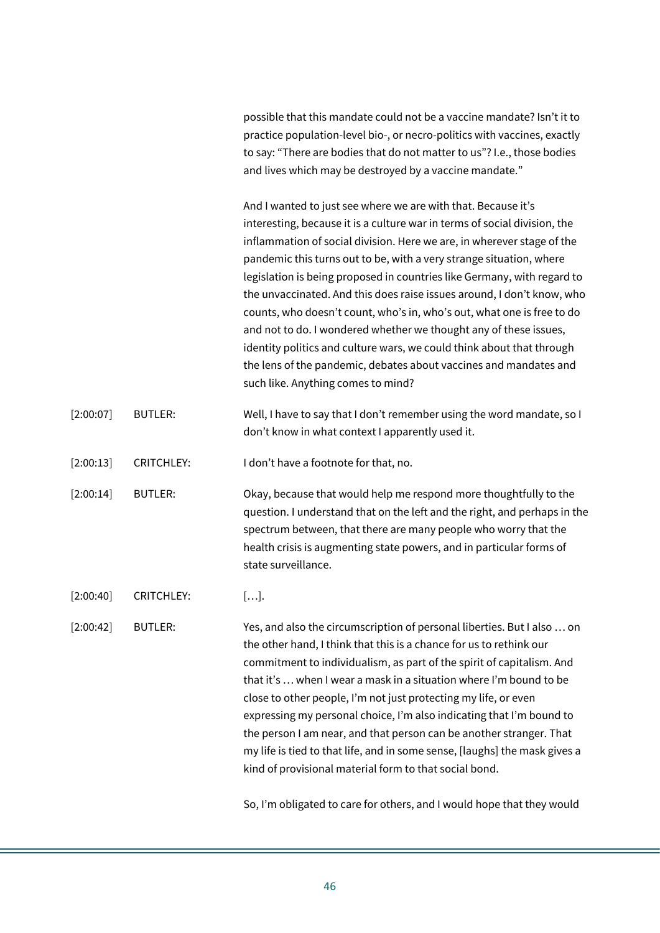possible that this mandate could not be a vaccine mandate? Isn't it to practice population-level bio-, or necro-politics with vaccines, exactly to say: "There are bodies that do not matter to us"? I.e., those bodies and lives which may be destroyed by a vaccine mandate."

And I wanted to just see where we are with that. Because it's interesting, because it is a culture war in terms of social division, the inflammation of social division. Here we are, in wherever stage of the pandemic this turns out to be, with a very strange situation, where legislation is being proposed in countries like Germany, with regard to the unvaccinated. And this does raise issues around, I don't know, who counts, who doesn't count, who's in, who's out, what one is free to do and not to do. I wondered whether we thought any of these issues, identity politics and culture wars, we could think about that through the lens of the pandemic, debates about vaccines and mandates and such like. Anything comes to mind?

| [2:00:07] | BUTLER: | Well, I have to say that I don't remember using the word mandate, so I |
|-----------|---------|------------------------------------------------------------------------|
|           |         | don't know in what context I apparently used it.                       |

[2:00:13] CRITCHLEY: I don't have a footnote for that, no.

[2:00:14] BUTLER: Okay, because that would help me respond more thoughtfully to the question. I understand that on the left and the right, and perhaps in the spectrum between, that there are many people who worry that the health crisis is augmenting state powers, and in particular forms of state surveillance.

[2:00:40] CRITCHLEY: [...].

[2:00:42] BUTLER: Yes, and also the circumscription of personal liberties. But I also … on the other hand, I think that this is a chance for us to rethink our commitment to individualism, as part of the spirit of capitalism. And that it's … when I wear a mask in a situation where I'm bound to be close to other people, I'm not just protecting my life, or even expressing my personal choice, I'm also indicating that I'm bound to the person I am near, and that person can be another stranger. That my life is tied to that life, and in some sense, [laughs] the mask gives a kind of provisional material form to that social bond.

So, I'm obligated to care for others, and I would hope that they would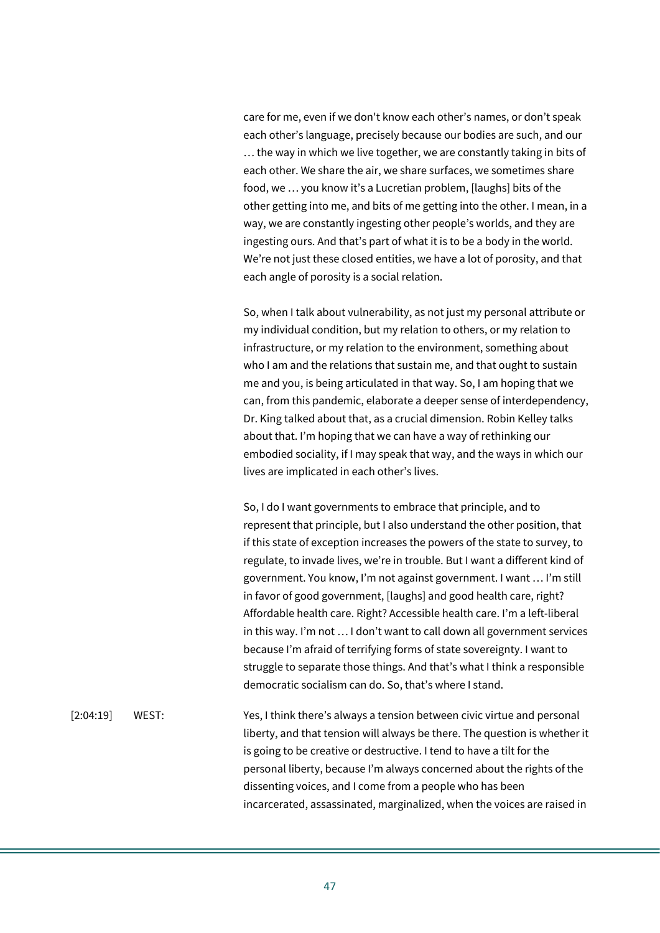care for me, even if we don't know each other's names, or don't speak each other's language, precisely because our bodies are such, and our … the way in which we live together, we are constantly taking in bits of each other. We share the air, we share surfaces, we sometimes share food, we … you know it's a Lucretian problem, [laughs] bits of the other getting into me, and bits of me getting into the other. I mean, in a way, we are constantly ingesting other people's worlds, and they are ingesting ours. And that's part of what it is to be a body in the world. We're not just these closed entities, we have a lot of porosity, and that each angle of porosity is a social relation.

So, when I talk about vulnerability, as not just my personal attribute or my individual condition, but my relation to others, or my relation to infrastructure, or my relation to the environment, something about who I am and the relations that sustain me, and that ought to sustain me and you, is being articulated in that way. So, I am hoping that we can, from this pandemic, elaborate a deeper sense of interdependency, Dr. King talked about that, as a crucial dimension. Robin Kelley talks about that. I'm hoping that we can have a way of rethinking our embodied sociality, if I may speak that way, and the ways in which our lives are implicated in each other's lives.

So, I do I want governments to embrace that principle, and to represent that principle, but I also understand the other position, that if this state of exception increases the powers of the state to survey, to regulate, to invade lives, we're in trouble. But I want a different kind of government. You know, I'm not against government. I want … I'm still in favor of good government, [laughs] and good health care, right? Affordable health care. Right? Accessible health care. I'm a left-liberal in this way. I'm not … I don't want to call down all government services because I'm afraid of terrifying forms of state sovereignty. I want to struggle to separate those things. And that's what I think a responsible democratic socialism can do. So, that's where I stand.

[2:04:19] WEST: Yes, I think there's always a tension between civic virtue and personal liberty, and that tension will always be there. The question is whether it is going to be creative or destructive. I tend to have a tilt for the personal liberty, because I'm always concerned about the rights of the dissenting voices, and I come from a people who has been incarcerated, assassinated, marginalized, when the voices are raised in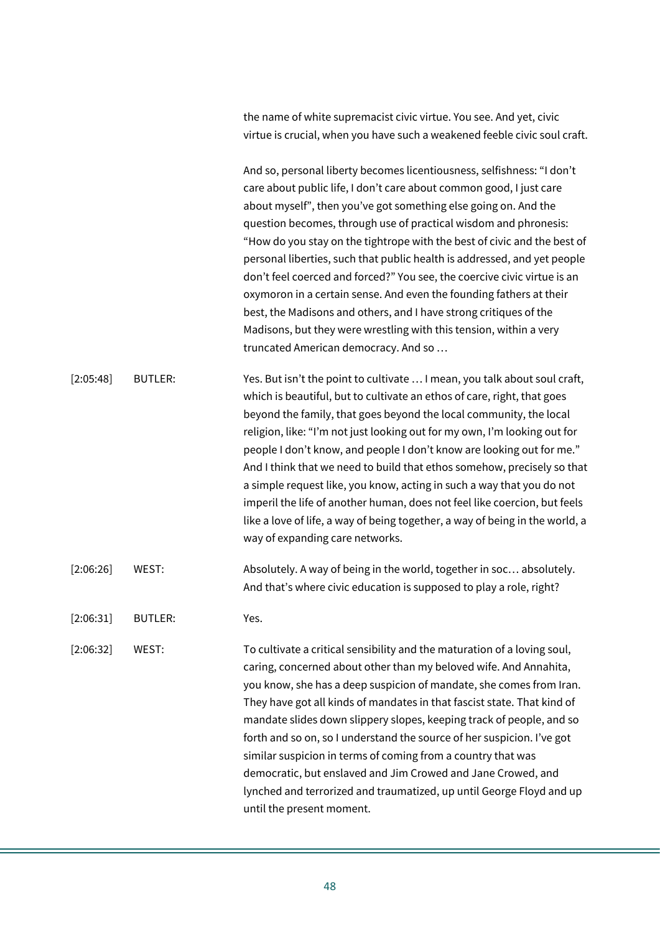the name of white supremacist civic virtue. You see. And yet, civic virtue is crucial, when you have such a weakened feeble civic soul craft.

And so, personal liberty becomes licentiousness, selfishness: "I don't care about public life, I don't care about common good, I just care about myself", then you've got something else going on. And the question becomes, through use of practical wisdom and phronesis: "How do you stay on the tightrope with the best of civic and the best of personal liberties, such that public health is addressed, and yet people don't feel coerced and forced?" You see, the coercive civic virtue is an oxymoron in a certain sense. And even the founding fathers at their best, the Madisons and others, and I have strong critiques of the Madisons, but they were wrestling with this tension, within a very truncated American democracy. And so …

[2:05:48] BUTLER: Yes. But isn't the point to cultivate ... I mean, you talk about soul craft, which is beautiful, but to cultivate an ethos of care, right, that goes beyond the family, that goes beyond the local community, the local religion, like: "I'm not just looking out for my own, I'm looking out for people I don't know, and people I don't know are looking out for me." And I think that we need to build that ethos somehow, precisely so that a simple request like, you know, acting in such a way that you do not imperil the life of another human, does not feel like coercion, but feels like a love of life, a way of being together, a way of being in the world, a way of expanding care networks.

- [2:06:26] WEST: Absolutely. A way of being in the world, together in soc... absolutely. And that's where civic education is supposed to play a role, right?
- [2:06:31] BUTLER: Yes.

[2:06:32] WEST: To cultivate a critical sensibility and the maturation of a loving soul, caring, concerned about other than my beloved wife. And Annahita, you know, she has a deep suspicion of mandate, she comes from Iran. They have got all kinds of mandates in that fascist state. That kind of mandate slides down slippery slopes, keeping track of people, and so forth and so on, so I understand the source of her suspicion. I've got similar suspicion in terms of coming from a country that was democratic, but enslaved and Jim Crowed and Jane Crowed, and lynched and terrorized and traumatized, up until George Floyd and up until the present moment.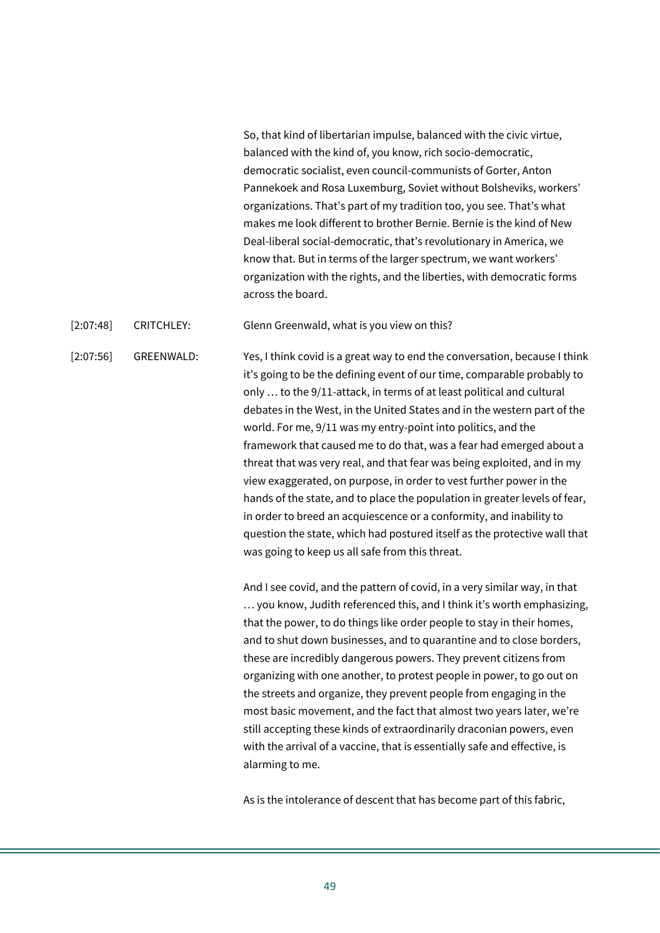So, that kind of libertarian impulse, balanced with the civic virtue, balanced with the kind of, you know, rich socio-democratic, democratic socialist, even council-communists of Gorter, Anton Pannekoek and Rosa Luxemburg, Soviet without Bolsheviks, workers' organizations. That's part of my tradition too, you see. That's what makes me look different to brother Bernie. Bernie is the kind of New Deal-liberal social-democratic, that's revolutionary in America, we know that. But in terms of the larger spectrum, we want workers' organization with the rights, and the liberties, with democratic forms across the board.

[2:07:48] CRITCHLEY: Glenn Greenwald, what is you view on this?

[2:07:56] GREENWALD: Yes, I think covid is a great way to end the conversation, because I think it's going to be the defining event of our time, comparable probably to only … to the 9/11-attack, in terms of at least political and cultural debates in the West, in the United States and in the western part of the world. For me, 9/11 was my entry-point into politics, and the framework that caused me to do that, was a fear had emerged about a threat that was very real, and that fear was being exploited, and in my view exaggerated, on purpose, in order to vest further power in the hands of the state, and to place the population in greater levels of fear, in order to breed an acquiescence or a conformity, and inability to question the state, which had postured itself as the protective wall that was going to keep us all safe from this threat.

> And I see covid, and the pattern of covid, in a very similar way, in that … you know, Judith referenced this, and I think it's worth emphasizing, that the power, to do things like order people to stay in their homes, and to shut down businesses, and to quarantine and to close borders, these are incredibly dangerous powers. They prevent citizens from organizing with one another, to protest people in power, to go out on the streets and organize, they prevent people from engaging in the most basic movement, and the fact that almost two years later, we're still accepting these kinds of extraordinarily draconian powers, even with the arrival of a vaccine, that is essentially safe and effective, is alarming to me.

As is the intolerance of descent that has become part of this fabric,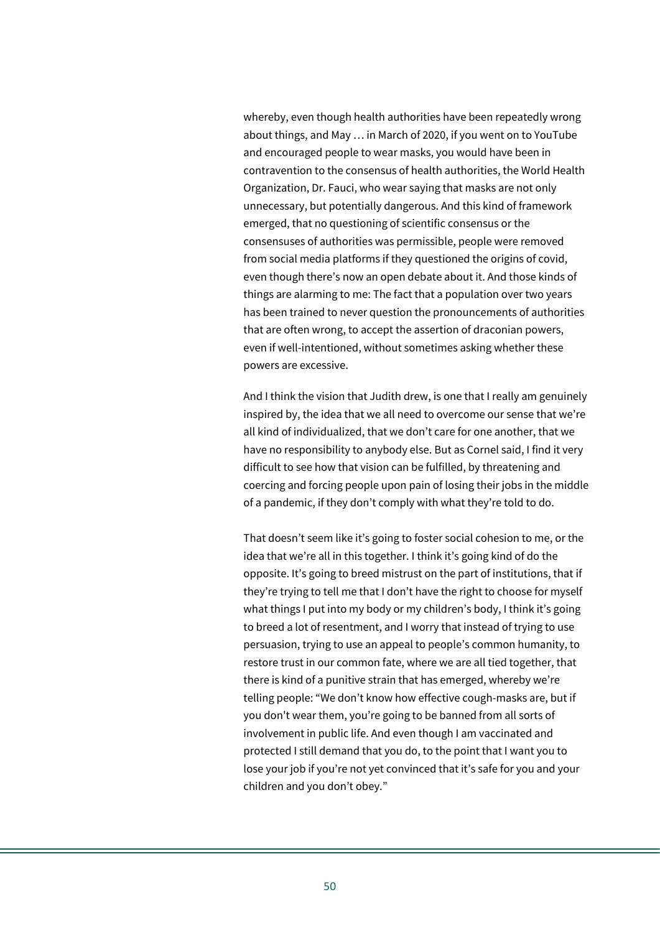whereby, even though health authorities have been repeatedly wrong about things, and May … in March of 2020, if you went on to YouTube and encouraged people to wear masks, you would have been in contravention to the consensus of health authorities, the World Health Organization, Dr. Fauci, who wear saying that masks are not only unnecessary, but potentially dangerous. And this kind of framework emerged, that no questioning of scientific consensus or the consensuses of authorities was permissible, people were removed from social media platforms if they questioned the origins of covid, even though there's now an open debate about it. And those kinds of things are alarming to me: The fact that a population over two years has been trained to never question the pronouncements of authorities that are often wrong, to accept the assertion of draconian powers, even if well-intentioned, without sometimes asking whether these powers are excessive.

And I think the vision that Judith drew, is one that I really am genuinely inspired by, the idea that we all need to overcome our sense that we're all kind of individualized, that we don't care for one another, that we have no responsibility to anybody else. But as Cornel said, I find it very difficult to see how that vision can be fulfilled, by threatening and coercing and forcing people upon pain of losing their jobs in the middle of a pandemic, if they don't comply with what they're told to do.

That doesn't seem like it's going to foster social cohesion to me, or the idea that we're all in this together. I think it's going kind of do the opposite. It's going to breed mistrust on the part of institutions, that if they're trying to tell me that I don't have the right to choose for myself what things I put into my body or my children's body, I think it's going to breed a lot of resentment, and I worry that instead of trying to use persuasion, trying to use an appeal to people's common humanity, to restore trust in our common fate, where we are all tied together, that there is kind of a punitive strain that has emerged, whereby we're telling people: "We don't know how effective cough-masks are, but if you don't wear them, you're going to be banned from all sorts of involvement in public life. And even though I am vaccinated and protected I still demand that you do, to the point that I want you to lose your job if you're not yet convinced that it's safe for you and your children and you don't obey."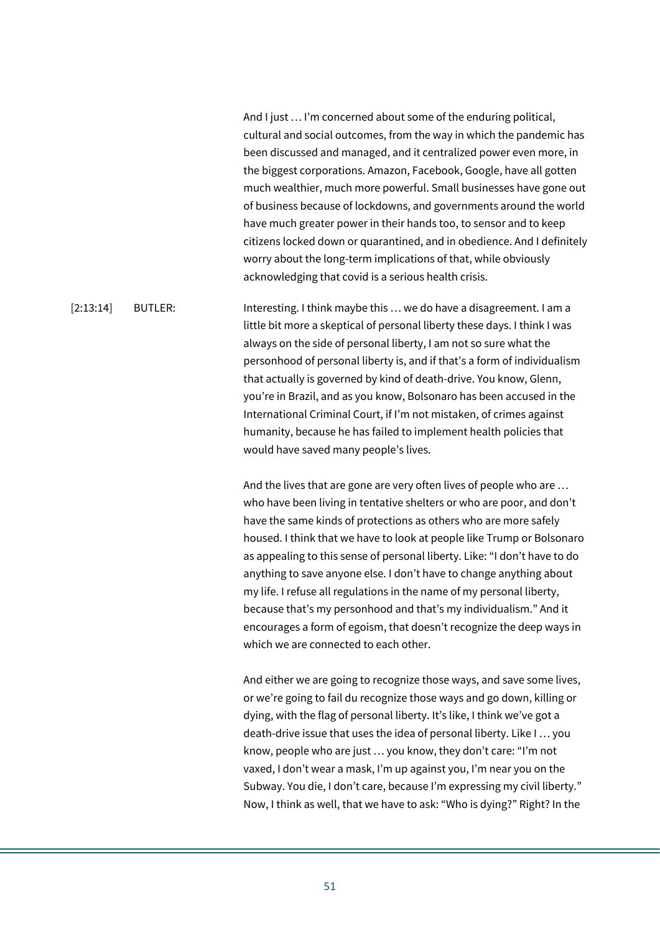And I just … I'm concerned about some of the enduring political, cultural and social outcomes, from the way in which the pandemic has been discussed and managed, and it centralized power even more, in the biggest corporations. Amazon, Facebook, Google, have all gotten much wealthier, much more powerful. Small businesses have gone out of business because of lockdowns, and governments around the world have much greater power in their hands too, to sensor and to keep citizens locked down or quarantined, and in obedience. And I definitely worry about the long-term implications of that, while obviously acknowledging that covid is a serious health crisis.

[2:13:14] BUTLER: Interesting. I think maybe this ... we do have a disagreement. I am a little bit more a skeptical of personal liberty these days. I think I was always on the side of personal liberty, I am not so sure what the personhood of personal liberty is, and if that's a form of individualism that actually is governed by kind of death-drive. You know, Glenn, you're in Brazil, and as you know, Bolsonaro has been accused in the International Criminal Court, if I'm not mistaken, of crimes against humanity, because he has failed to implement health policies that would have saved many people's lives.

> And the lives that are gone are very often lives of people who are … who have been living in tentative shelters or who are poor, and don't have the same kinds of protections as others who are more safely housed. I think that we have to look at people like Trump or Bolsonaro as appealing to this sense of personal liberty. Like: "I don't have to do anything to save anyone else. I don't have to change anything about my life. I refuse all regulations in the name of my personal liberty, because that's my personhood and that's my individualism." And it encourages a form of egoism, that doesn't recognize the deep ways in which we are connected to each other.

> And either we are going to recognize those ways, and save some lives, or we're going to fail du recognize those ways and go down, killing or dying, with the flag of personal liberty. It's like, I think we've got a death-drive issue that uses the idea of personal liberty. Like I … you know, people who are just … you know, they don't care: "I'm not vaxed, I don't wear a mask, I'm up against you, I'm near you on the Subway. You die, I don't care, because I'm expressing my civil liberty." Now, I think as well, that we have to ask: "Who is dying?" Right? In the

51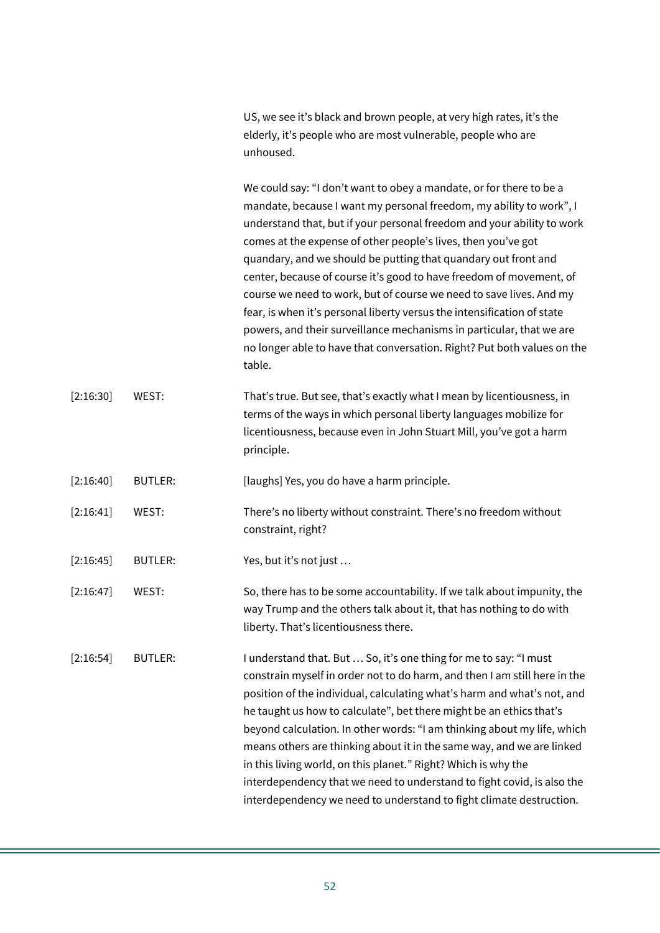US, we see it's black and brown people, at very high rates, it's the elderly, it's people who are most vulnerable, people who are unhoused.

We could say: "I don't want to obey a mandate, or for there to be a mandate, because I want my personal freedom, my ability to work", I understand that, but if your personal freedom and your ability to work comes at the expense of other people's lives, then you've got quandary, and we should be putting that quandary out front and center, because of course it's good to have freedom of movement, of course we need to work, but of course we need to save lives. And my fear, is when it's personal liberty versus the intensification of state powers, and their surveillance mechanisms in particular, that we are no longer able to have that conversation. Right? Put both values on the table.

[2:16:30] WEST: That's true. But see, that's exactly what I mean by licentiousness, in terms of the ways in which personal liberty languages mobilize for licentiousness, because even in John Stuart Mill, you've got a harm principle.

[2:16:40] BUTLER: [laughs] Yes, you do have a harm principle.

- [2:16:41] WEST: There's no liberty without constraint. There's no freedom without constraint, right?
- [2:16:45] BUTLER: Yes, but it's not just ...
- [2:16:47] WEST: So, there has to be some accountability. If we talk about impunity, the way Trump and the others talk about it, that has nothing to do with liberty. That's licentiousness there.

[2:16:54] BUTLER: I understand that. But … So, it's one thing for me to say: "I must constrain myself in order not to do harm, and then I am still here in the position of the individual, calculating what's harm and what's not, and he taught us how to calculate", bet there might be an ethics that's beyond calculation. In other words: "I am thinking about my life, which means others are thinking about it in the same way, and we are linked in this living world, on this planet." Right? Which is why the interdependency that we need to understand to fight covid, is also the interdependency we need to understand to fight climate destruction.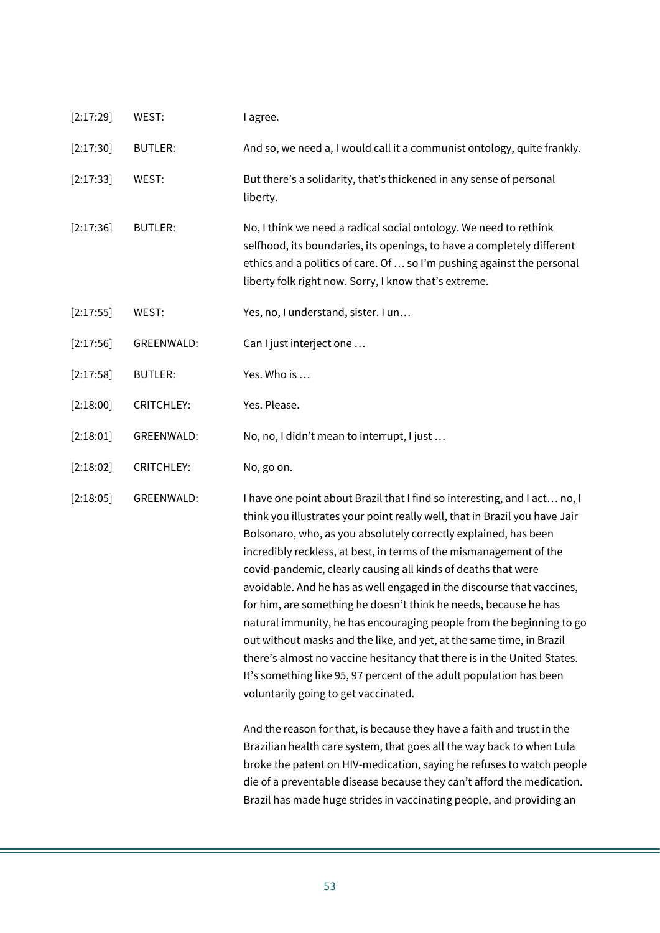| [2:17:29] | WEST:             | I agree.                                                                                                                                                                                                                                                                                                                                                                                                                                                                                                                                                                                                                                                                                                                                                                                                                                                 |
|-----------|-------------------|----------------------------------------------------------------------------------------------------------------------------------------------------------------------------------------------------------------------------------------------------------------------------------------------------------------------------------------------------------------------------------------------------------------------------------------------------------------------------------------------------------------------------------------------------------------------------------------------------------------------------------------------------------------------------------------------------------------------------------------------------------------------------------------------------------------------------------------------------------|
| [2:17:30] | <b>BUTLER:</b>    | And so, we need a, I would call it a communist ontology, quite frankly.                                                                                                                                                                                                                                                                                                                                                                                                                                                                                                                                                                                                                                                                                                                                                                                  |
| [2:17:33] | WEST:             | But there's a solidarity, that's thickened in any sense of personal<br>liberty.                                                                                                                                                                                                                                                                                                                                                                                                                                                                                                                                                                                                                                                                                                                                                                          |
| [2:17:36] | <b>BUTLER:</b>    | No, I think we need a radical social ontology. We need to rethink<br>selfhood, its boundaries, its openings, to have a completely different<br>ethics and a politics of care. Of  so I'm pushing against the personal<br>liberty folk right now. Sorry, I know that's extreme.                                                                                                                                                                                                                                                                                                                                                                                                                                                                                                                                                                           |
| [2:17:55] | WEST:             | Yes, no, I understand, sister. I un                                                                                                                                                                                                                                                                                                                                                                                                                                                                                                                                                                                                                                                                                                                                                                                                                      |
| [2:17:56] | GREENWALD:        | Can I just interject one                                                                                                                                                                                                                                                                                                                                                                                                                                                                                                                                                                                                                                                                                                                                                                                                                                 |
| [2:17:58] | <b>BUTLER:</b>    | Yes. Who is                                                                                                                                                                                                                                                                                                                                                                                                                                                                                                                                                                                                                                                                                                                                                                                                                                              |
| [2:18:00] | <b>CRITCHLEY:</b> | Yes. Please.                                                                                                                                                                                                                                                                                                                                                                                                                                                                                                                                                                                                                                                                                                                                                                                                                                             |
| [2:18:01] | GREENWALD:        | No, no, I didn't mean to interrupt, I just                                                                                                                                                                                                                                                                                                                                                                                                                                                                                                                                                                                                                                                                                                                                                                                                               |
| [2:18:02] | <b>CRITCHLEY:</b> | No, go on.                                                                                                                                                                                                                                                                                                                                                                                                                                                                                                                                                                                                                                                                                                                                                                                                                                               |
| [2:18:05] | GREENWALD:        | I have one point about Brazil that I find so interesting, and I act no, I<br>think you illustrates your point really well, that in Brazil you have Jair<br>Bolsonaro, who, as you absolutely correctly explained, has been<br>incredibly reckless, at best, in terms of the mismanagement of the<br>covid-pandemic, clearly causing all kinds of deaths that were<br>avoidable. And he has as well engaged in the discourse that vaccines,<br>for him, are something he doesn't think he needs, because he has<br>natural immunity, he has encouraging people from the beginning to go<br>out without masks and the like, and yet, at the same time, in Brazil<br>there's almost no vaccine hesitancy that there is in the United States.<br>It's something like 95, 97 percent of the adult population has been<br>voluntarily going to get vaccinated. |
|           |                   | And the reason for that, is because they have a faith and trust in the<br>Brazilian health care system, that goes all the way back to when Lula<br>broke the patent on HIV-medication, saying he refuses to watch people<br>die of a preventable disease because they can't afford the medication.<br>Brazil has made huge strides in vaccinating people, and providing an                                                                                                                                                                                                                                                                                                                                                                                                                                                                               |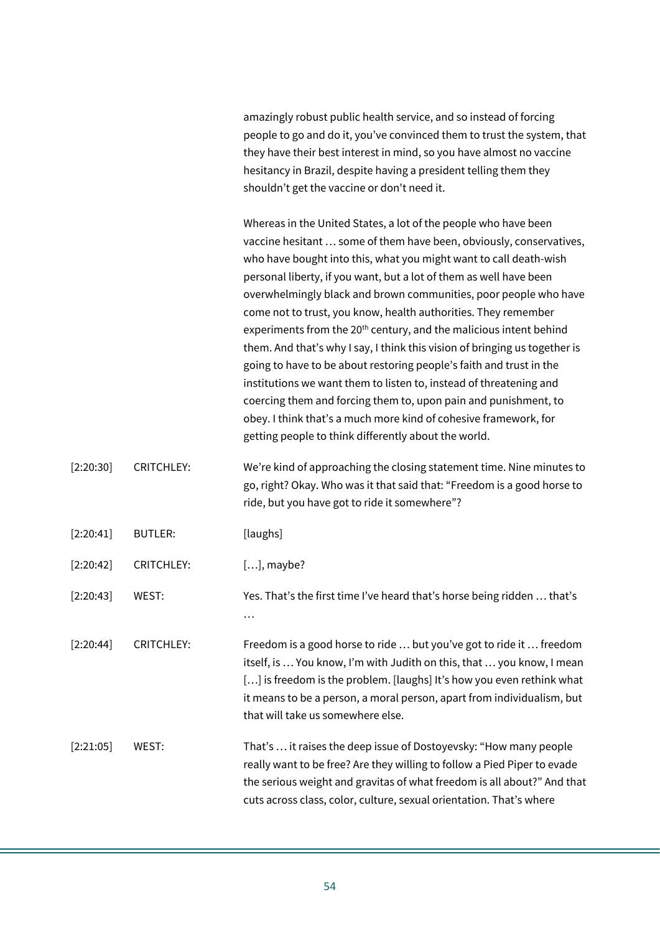amazingly robust public health service, and so instead of forcing people to go and do it, you've convinced them to trust the system, that they have their best interest in mind, so you have almost no vaccine hesitancy in Brazil, despite having a president telling them they shouldn't get the vaccine or don't need it.

Whereas in the United States, a lot of the people who have been vaccine hesitant … some of them have been, obviously, conservatives, who have bought into this, what you might want to call death-wish personal liberty, if you want, but a lot of them as well have been overwhelmingly black and brown communities, poor people who have come not to trust, you know, health authorities. They remember experiments from the 20<sup>th</sup> century, and the malicious intent behind them. And that's why I say, I think this vision of bringing us together is going to have to be about restoring people's faith and trust in the institutions we want them to listen to, instead of threatening and coercing them and forcing them to, upon pain and punishment, to obey. I think that's a much more kind of cohesive framework, for getting people to think differently about the world.

- [2:20:30] CRITCHLEY: We're kind of approaching the closing statement time. Nine minutes to go, right? Okay. Who was it that said that: "Freedom is a good horse to ride, but you have got to ride it somewhere"?
- [2:20:41] BUTLER: [laughs]

[2:20:42] CRITCHLEY: [...], maybe?

[2:20:43] WEST: Yes. That's the first time I've heard that's horse being ridden … that's …

[2:20:44] CRITCHLEY: Freedom is a good horse to ride … but you've got to ride it … freedom itself, is … You know, I'm with Judith on this, that … you know, I mean [...] is freedom is the problem. [laughs] It's how you even rethink what it means to be a person, a moral person, apart from individualism, but that will take us somewhere else.

[2:21:05] WEST: That's … it raises the deep issue of Dostoyevsky: "How many people really want to be free? Are they willing to follow a Pied Piper to evade the serious weight and gravitas of what freedom is all about?" And that cuts across class, color, culture, sexual orientation. That's where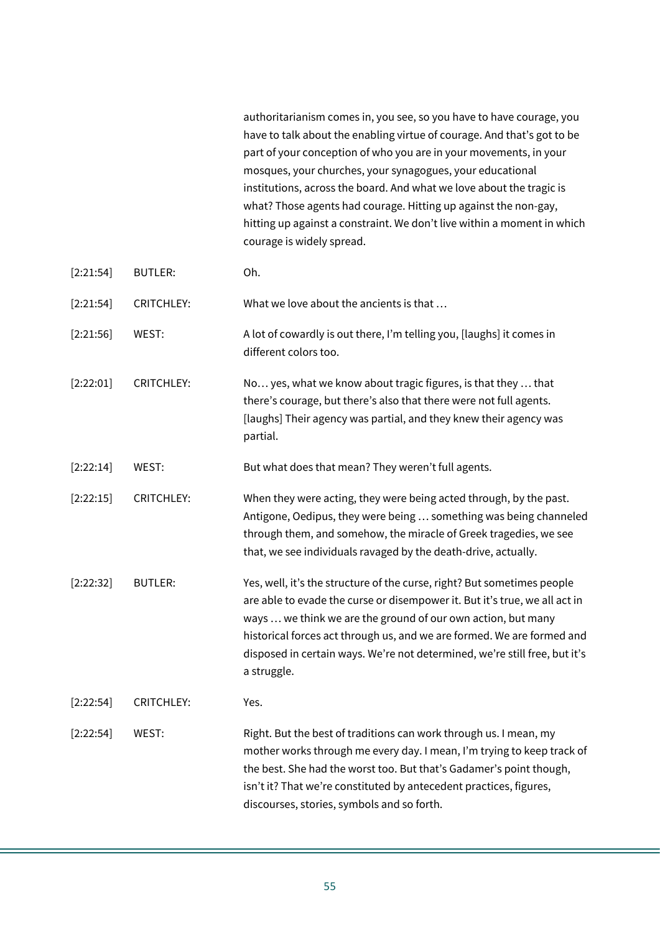authoritarianism comes in, you see, so you have to have courage, you have to talk about the enabling virtue of courage. And that's got to be part of your conception of who you are in your movements, in your mosques, your churches, your synagogues, your educational institutions, across the board. And what we love about the tragic is what? Those agents had courage. Hitting up against the non-gay, hitting up against a constraint. We don't live within a moment in which courage is widely spread.

| [2:21:54] | <b>BUTLER:</b>    | Oh.                                                                                                                                                                                                                                                                                                                                                                                          |
|-----------|-------------------|----------------------------------------------------------------------------------------------------------------------------------------------------------------------------------------------------------------------------------------------------------------------------------------------------------------------------------------------------------------------------------------------|
| [2:21:54] | <b>CRITCHLEY:</b> | What we love about the ancients is that                                                                                                                                                                                                                                                                                                                                                      |
| [2:21:56] | WEST:             | A lot of cowardly is out there, I'm telling you, [laughs] it comes in<br>different colors too.                                                                                                                                                                                                                                                                                               |
| [2:22:01] | <b>CRITCHLEY:</b> | No yes, what we know about tragic figures, is that they  that<br>there's courage, but there's also that there were not full agents.<br>[laughs] Their agency was partial, and they knew their agency was<br>partial.                                                                                                                                                                         |
| [2:22:14] | WEST:             | But what does that mean? They weren't full agents.                                                                                                                                                                                                                                                                                                                                           |
| [2:22:15] | <b>CRITCHLEY:</b> | When they were acting, they were being acted through, by the past.<br>Antigone, Oedipus, they were being  something was being channeled<br>through them, and somehow, the miracle of Greek tragedies, we see<br>that, we see individuals ravaged by the death-drive, actually.                                                                                                               |
| [2:22:32] | <b>BUTLER:</b>    | Yes, well, it's the structure of the curse, right? But sometimes people<br>are able to evade the curse or disempower it. But it's true, we all act in<br>ways  we think we are the ground of our own action, but many<br>historical forces act through us, and we are formed. We are formed and<br>disposed in certain ways. We're not determined, we're still free, but it's<br>a struggle. |
| [2:22:54] | <b>CRITCHLEY:</b> | Yes.                                                                                                                                                                                                                                                                                                                                                                                         |
| [2:22:54] | WEST:             | Right. But the best of traditions can work through us. I mean, my<br>mother works through me every day. I mean, I'm trying to keep track of<br>the best. She had the worst too. But that's Gadamer's point though,<br>isn't it? That we're constituted by antecedent practices, figures,<br>discourses, stories, symbols and so forth.                                                       |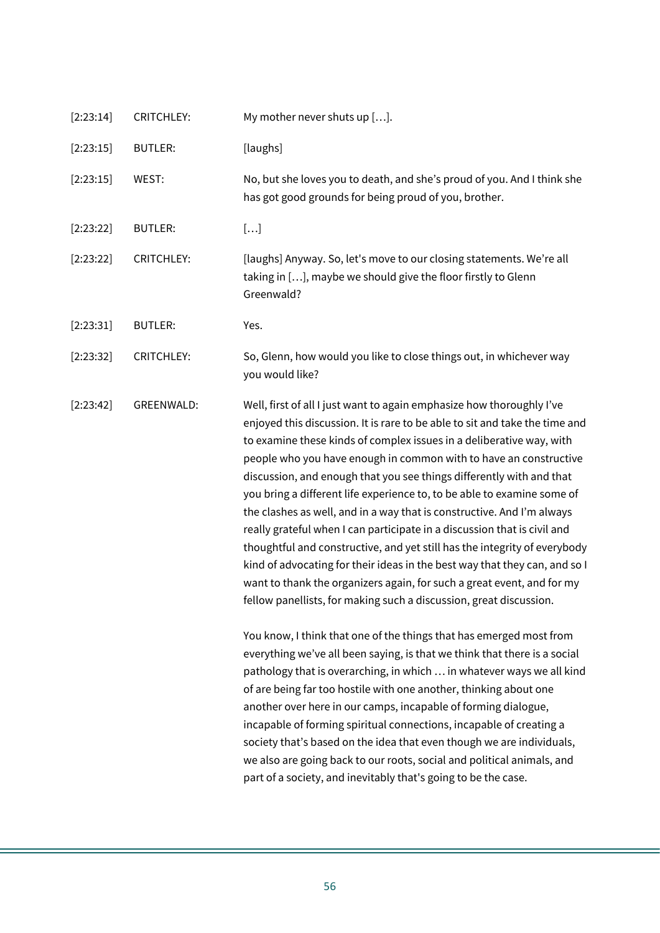| [2:23:14] | <b>CRITCHLEY:</b> | My mother never shuts up [].                                                                                                                                                                                                                                                                                                                                                                                                                                                                                                                                                                                                                                                                                                                                                                                                                                                                                          |
|-----------|-------------------|-----------------------------------------------------------------------------------------------------------------------------------------------------------------------------------------------------------------------------------------------------------------------------------------------------------------------------------------------------------------------------------------------------------------------------------------------------------------------------------------------------------------------------------------------------------------------------------------------------------------------------------------------------------------------------------------------------------------------------------------------------------------------------------------------------------------------------------------------------------------------------------------------------------------------|
| [2:23:15] | <b>BUTLER:</b>    | [laughs]                                                                                                                                                                                                                                                                                                                                                                                                                                                                                                                                                                                                                                                                                                                                                                                                                                                                                                              |
| [2:23:15] | WEST:             | No, but she loves you to death, and she's proud of you. And I think she<br>has got good grounds for being proud of you, brother.                                                                                                                                                                                                                                                                                                                                                                                                                                                                                                                                                                                                                                                                                                                                                                                      |
| [2:23:22] | <b>BUTLER:</b>    | $[ \ldots ]$                                                                                                                                                                                                                                                                                                                                                                                                                                                                                                                                                                                                                                                                                                                                                                                                                                                                                                          |
| [2:23:22] | <b>CRITCHLEY:</b> | [laughs] Anyway. So, let's move to our closing statements. We're all<br>taking in [], maybe we should give the floor firstly to Glenn<br>Greenwald?                                                                                                                                                                                                                                                                                                                                                                                                                                                                                                                                                                                                                                                                                                                                                                   |
| [2:23:31] | <b>BUTLER:</b>    | Yes.                                                                                                                                                                                                                                                                                                                                                                                                                                                                                                                                                                                                                                                                                                                                                                                                                                                                                                                  |
| [2:23:32] | <b>CRITCHLEY:</b> | So, Glenn, how would you like to close things out, in whichever way<br>you would like?                                                                                                                                                                                                                                                                                                                                                                                                                                                                                                                                                                                                                                                                                                                                                                                                                                |
| [2:23:42] | <b>GREENWALD:</b> | Well, first of all I just want to again emphasize how thoroughly I've<br>enjoyed this discussion. It is rare to be able to sit and take the time and<br>to examine these kinds of complex issues in a deliberative way, with<br>people who you have enough in common with to have an constructive<br>discussion, and enough that you see things differently with and that<br>you bring a different life experience to, to be able to examine some of<br>the clashes as well, and in a way that is constructive. And I'm always<br>really grateful when I can participate in a discussion that is civil and<br>thoughtful and constructive, and yet still has the integrity of everybody<br>kind of advocating for their ideas in the best way that they can, and so I<br>want to thank the organizers again, for such a great event, and for my<br>fellow panellists, for making such a discussion, great discussion. |
|           |                   | You know, I think that one of the things that has emerged most from<br>everything we've all been saying, is that we think that there is a social<br>pathology that is overarching, in which  in whatever ways we all kind<br>of are being far too hostile with one another, thinking about one<br>another over here in our camps, incapable of forming dialogue,<br>incapable of forming spiritual connections, incapable of creating a<br>society that's based on the idea that even though we are individuals,<br>we also are going back to our roots, social and political animals, and<br>part of a society, and inevitably that's going to be the case.                                                                                                                                                                                                                                                          |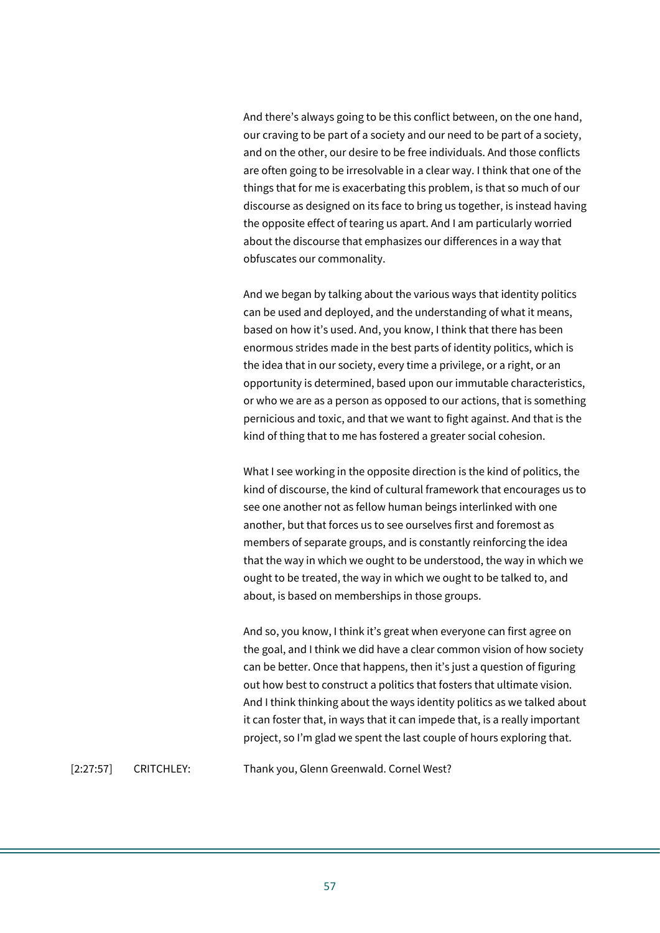And there's always going to be this conflict between, on the one hand, our craving to be part of a society and our need to be part of a society, and on the other, our desire to be free individuals. And those conflicts are often going to be irresolvable in a clear way. I think that one of the things that for me is exacerbating this problem, is that so much of our discourse as designed on its face to bring us together, is instead having the opposite effect of tearing us apart. And I am particularly worried about the discourse that emphasizes our differences in a way that obfuscates our commonality.

And we began by talking about the various ways that identity politics can be used and deployed, and the understanding of what it means, based on how it's used. And, you know, I think that there has been enormous strides made in the best parts of identity politics, which is the idea that in our society, every time a privilege, or a right, or an opportunity is determined, based upon our immutable characteristics, or who we are as a person as opposed to our actions, that is something pernicious and toxic, and that we want to fight against. And that is the kind of thing that to me has fostered a greater social cohesion.

What I see working in the opposite direction is the kind of politics, the kind of discourse, the kind of cultural framework that encourages us to see one another not as fellow human beings interlinked with one another, but that forces us to see ourselves first and foremost as members of separate groups, and is constantly reinforcing the idea that the way in which we ought to be understood, the way in which we ought to be treated, the way in which we ought to be talked to, and about, is based on memberships in those groups.

And so, you know, I think it's great when everyone can first agree on the goal, and I think we did have a clear common vision of how society can be better. Once that happens, then it's just a question of figuring out how best to construct a politics that fosters that ultimate vision. And I think thinking about the ways identity politics as we talked about it can foster that, in ways that it can impede that, is a really important project, so I'm glad we spent the last couple of hours exploring that.

[2:27:57] CRITCHLEY: Thank you, Glenn Greenwald. Cornel West?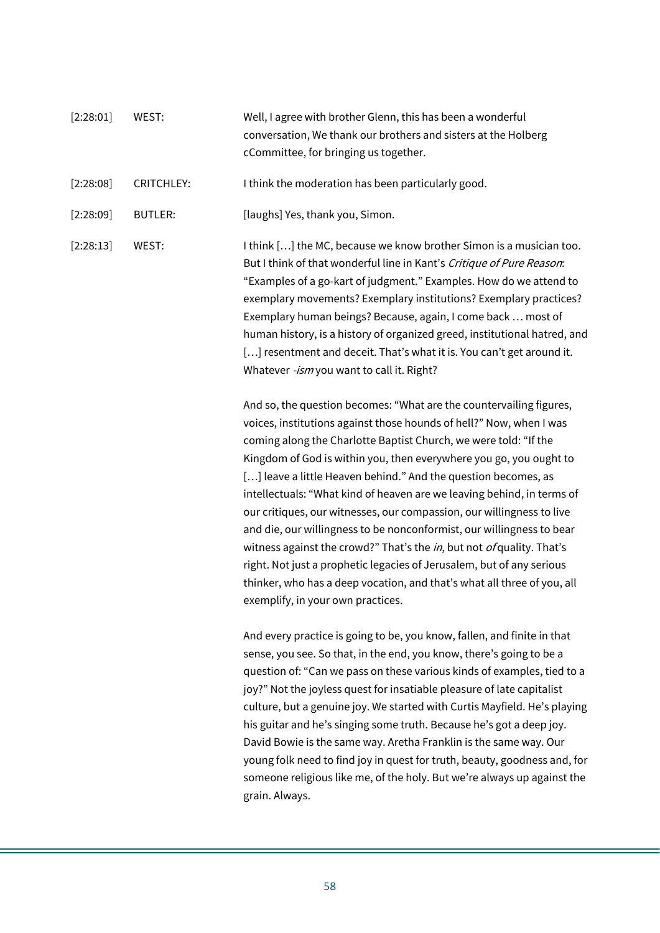[2:28:01] WEST: Well, I agree with brother Glenn, this has been a wonderful conversation, We thank our brothers and sisters at the Holberg cCommittee, for bringing us together. [2:28:08] CRITCHLEY: Ithink the moderation has been particularly good. [2:28:09] BUTLER: [laughs] Yes, thank you, Simon. [2:28:13] WEST: I think [...] the MC, because we know brother Simon is a musician too. But I think of that wonderful line in Kant's Critique of Pure Reason: "Examples of a go-kart of judgment." Examples. How do we attend to exemplary movements? Exemplary institutions? Exemplary practices? Exemplary human beings? Because, again, I come back … most of human history, is a history of organized greed, institutional hatred, and [...] resentment and deceit. That's what it is. You can't get around it. Whatever -ism you want to call it. Right?

> And so, the question becomes: "What are the countervailing figures, voices, institutions against those hounds of hell?" Now, when I was coming along the Charlotte Baptist Church, we were told: "If the Kingdom of God is within you, then everywhere you go, you ought to [...] leave a little Heaven behind." And the question becomes, as intellectuals: "What kind of heaven are we leaving behind, in terms of our critiques, our witnesses, our compassion, our willingness to live and die, our willingness to be nonconformist, our willingness to bear witness against the crowd?" That's the  $in$ , but not  $of$  quality. That's right. Not just a prophetic legacies of Jerusalem, but of any serious thinker, who has a deep vocation, and that's what all three of you, all exemplify, in your own practices.

And every practice is going to be, you know, fallen, and finite in that sense, you see. So that, in the end, you know, there's going to be a question of: "Can we pass on these various kinds of examples, tied to a joy?" Not the joyless quest for insatiable pleasure of late capitalist culture, but a genuine joy. We started with Curtis Mayfield. He's playing his guitar and he's singing some truth. Because he's got a deep joy. David Bowie is the same way. Aretha Franklin is the same way. Our young folk need to find joy in quest for truth, beauty, goodness and, for someone religious like me, of the holy. But we're always up against the grain. Always.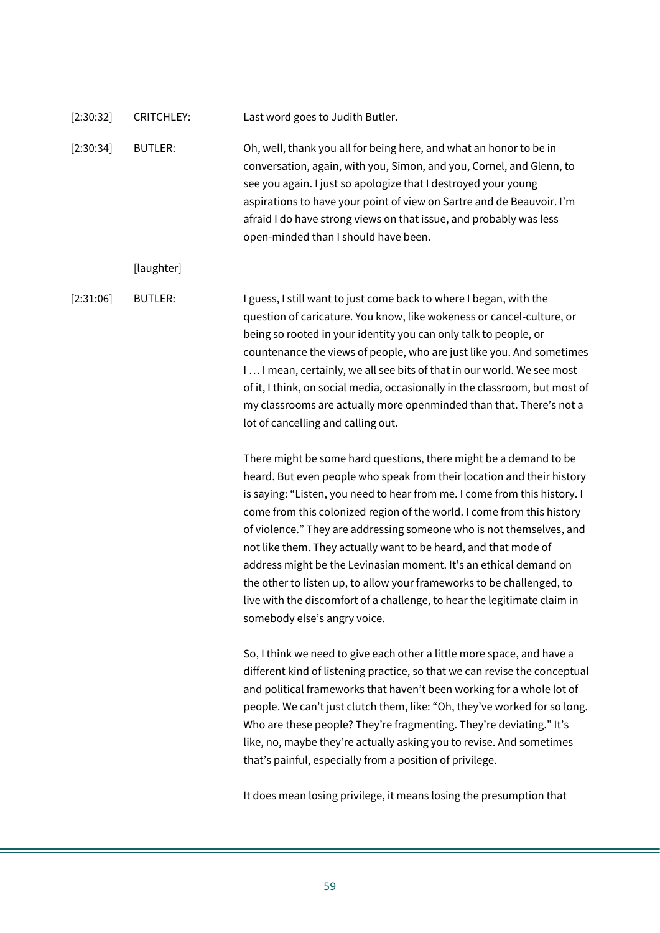| [2:30:32] | <b>CRITCHLEY:</b> | Last word goes to Judith Butler.                                                                                                                                                                                                                                                                                                                                                                                                                                                                                                                                                                                                                                                                        |
|-----------|-------------------|---------------------------------------------------------------------------------------------------------------------------------------------------------------------------------------------------------------------------------------------------------------------------------------------------------------------------------------------------------------------------------------------------------------------------------------------------------------------------------------------------------------------------------------------------------------------------------------------------------------------------------------------------------------------------------------------------------|
| [2:30:34] | <b>BUTLER:</b>    | Oh, well, thank you all for being here, and what an honor to be in<br>conversation, again, with you, Simon, and you, Cornel, and Glenn, to<br>see you again. I just so apologize that I destroyed your young<br>aspirations to have your point of view on Sartre and de Beauvoir. I'm<br>afraid I do have strong views on that issue, and probably was less<br>open-minded than I should have been.                                                                                                                                                                                                                                                                                                     |
|           | [laughter]        |                                                                                                                                                                                                                                                                                                                                                                                                                                                                                                                                                                                                                                                                                                         |
| [2:31:06] | <b>BUTLER:</b>    | I guess, I still want to just come back to where I began, with the<br>question of caricature. You know, like wokeness or cancel-culture, or<br>being so rooted in your identity you can only talk to people, or<br>countenance the views of people, who are just like you. And sometimes<br>I  I mean, certainly, we all see bits of that in our world. We see most<br>of it, I think, on social media, occasionally in the classroom, but most of<br>my classrooms are actually more openminded than that. There's not a<br>lot of cancelling and calling out.                                                                                                                                         |
|           |                   | There might be some hard questions, there might be a demand to be<br>heard. But even people who speak from their location and their history<br>is saying: "Listen, you need to hear from me. I come from this history. I<br>come from this colonized region of the world. I come from this history<br>of violence." They are addressing someone who is not themselves, and<br>not like them. They actually want to be heard, and that mode of<br>address might be the Levinasian moment. It's an ethical demand on<br>the other to listen up, to allow your frameworks to be challenged, to<br>live with the discomfort of a challenge, to hear the legitimate claim in<br>somebody else's angry voice. |
|           |                   | So, I think we need to give each other a little more space, and have a<br>different kind of listening practice, so that we can revise the conceptual<br>and political frameworks that haven't been working for a whole lot of<br>people. We can't just clutch them, like: "Oh, they've worked for so long.<br>Who are these people? They're fragmenting. They're deviating." It's<br>like, no, maybe they're actually asking you to revise. And sometimes<br>that's painful, especially from a position of privilege.                                                                                                                                                                                   |

It does mean losing privilege, it means losing the presumption that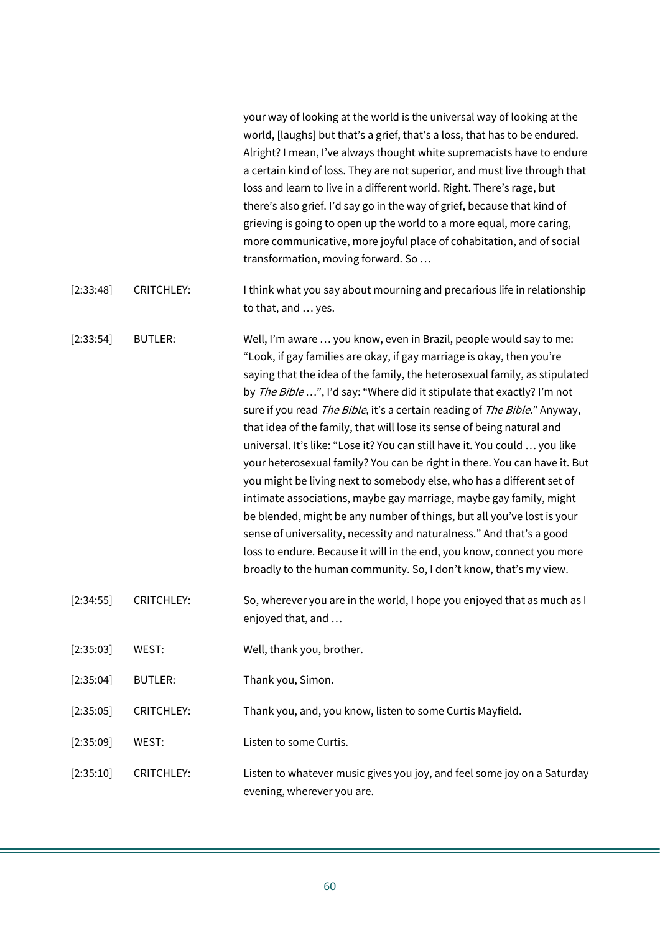|           |                   | your way of looking at the world is the universal way of looking at the<br>world, [laughs] but that's a grief, that's a loss, that has to be endured.<br>Alright? I mean, I've always thought white supremacists have to endure<br>a certain kind of loss. They are not superior, and must live through that<br>loss and learn to live in a different world. Right. There's rage, but<br>there's also grief. I'd say go in the way of grief, because that kind of<br>grieving is going to open up the world to a more equal, more caring,<br>more communicative, more joyful place of cohabitation, and of social<br>transformation, moving forward. So                                                                                                                                                                                                                                                                                                                                                                                                               |
|-----------|-------------------|-----------------------------------------------------------------------------------------------------------------------------------------------------------------------------------------------------------------------------------------------------------------------------------------------------------------------------------------------------------------------------------------------------------------------------------------------------------------------------------------------------------------------------------------------------------------------------------------------------------------------------------------------------------------------------------------------------------------------------------------------------------------------------------------------------------------------------------------------------------------------------------------------------------------------------------------------------------------------------------------------------------------------------------------------------------------------|
| [2:33:48] | <b>CRITCHLEY:</b> | I think what you say about mourning and precarious life in relationship<br>to that, and  yes.                                                                                                                                                                                                                                                                                                                                                                                                                                                                                                                                                                                                                                                                                                                                                                                                                                                                                                                                                                         |
| [2:33:54] | <b>BUTLER:</b>    | Well, I'm aware  you know, even in Brazil, people would say to me:<br>"Look, if gay families are okay, if gay marriage is okay, then you're<br>saying that the idea of the family, the heterosexual family, as stipulated<br>by The Bible ", I'd say: "Where did it stipulate that exactly? I'm not<br>sure if you read The Bible, it's a certain reading of The Bible." Anyway,<br>that idea of the family, that will lose its sense of being natural and<br>universal. It's like: "Lose it? You can still have it. You could  you like<br>your heterosexual family? You can be right in there. You can have it. But<br>you might be living next to somebody else, who has a different set of<br>intimate associations, maybe gay marriage, maybe gay family, might<br>be blended, might be any number of things, but all you've lost is your<br>sense of universality, necessity and naturalness." And that's a good<br>loss to endure. Because it will in the end, you know, connect you more<br>broadly to the human community. So, I don't know, that's my view. |
| [2:34:55] | <b>CRITCHLEY:</b> | So, wherever you are in the world, I hope you enjoyed that as much as I<br>enjoyed that, and                                                                                                                                                                                                                                                                                                                                                                                                                                                                                                                                                                                                                                                                                                                                                                                                                                                                                                                                                                          |
| [2:35:03] | WEST:             | Well, thank you, brother.                                                                                                                                                                                                                                                                                                                                                                                                                                                                                                                                                                                                                                                                                                                                                                                                                                                                                                                                                                                                                                             |
| [2:35:04] | <b>BUTLER:</b>    | Thank you, Simon.                                                                                                                                                                                                                                                                                                                                                                                                                                                                                                                                                                                                                                                                                                                                                                                                                                                                                                                                                                                                                                                     |
| [2:35:05] | <b>CRITCHLEY:</b> | Thank you, and, you know, listen to some Curtis Mayfield.                                                                                                                                                                                                                                                                                                                                                                                                                                                                                                                                                                                                                                                                                                                                                                                                                                                                                                                                                                                                             |
| [2:35:09] | WEST:             | Listen to some Curtis.                                                                                                                                                                                                                                                                                                                                                                                                                                                                                                                                                                                                                                                                                                                                                                                                                                                                                                                                                                                                                                                |
| [2:35:10] | <b>CRITCHLEY:</b> | Listen to whatever music gives you joy, and feel some joy on a Saturday<br>evening, wherever you are.                                                                                                                                                                                                                                                                                                                                                                                                                                                                                                                                                                                                                                                                                                                                                                                                                                                                                                                                                                 |